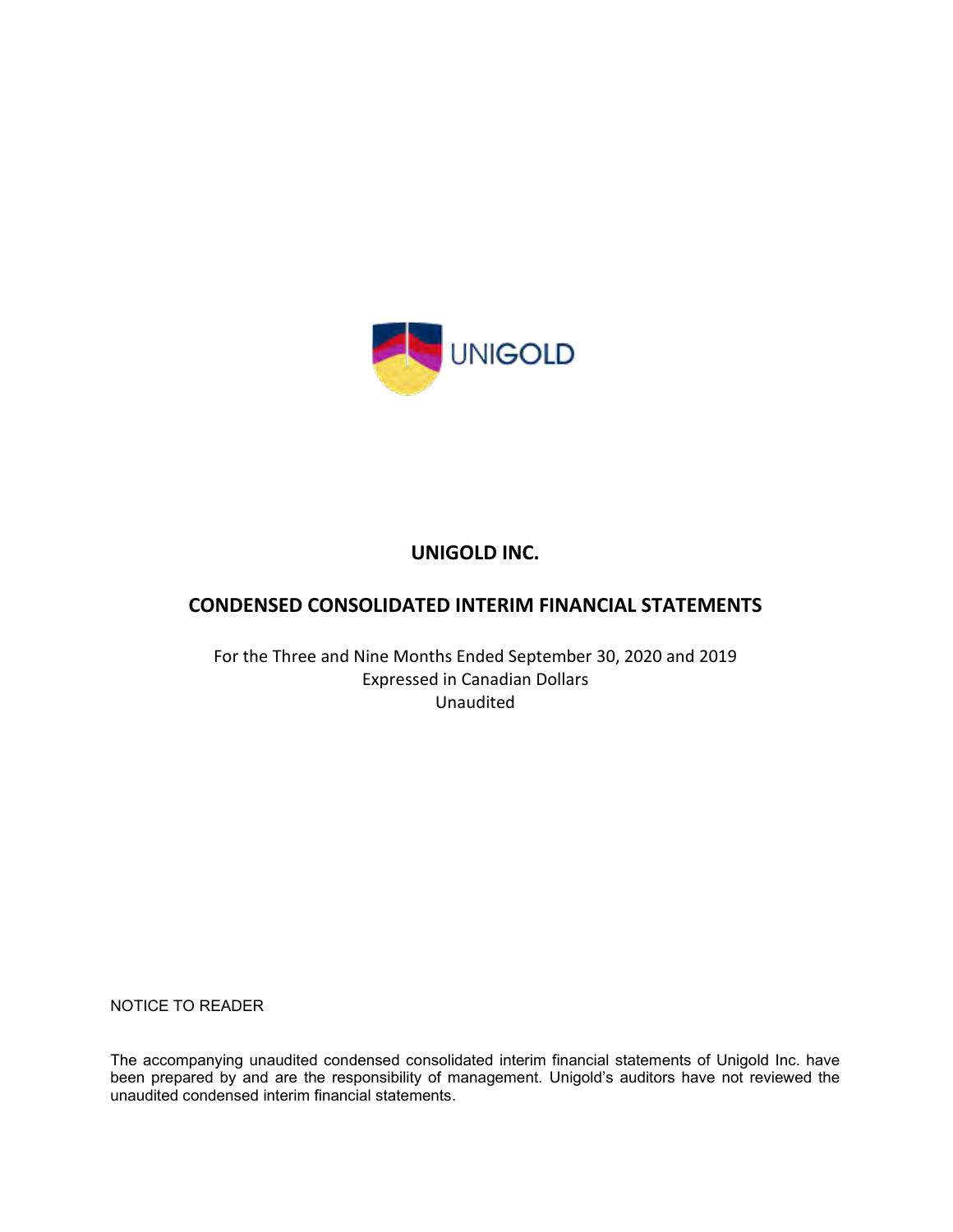

## **CONDENSED CONSOLIDATED INTERIM FINANCIAL STATEMENTS**

For the Three and Nine Months Ended September 30, 2020 and 2019 Expressed in Canadian Dollars Unaudited

NOTICE TO READER

The accompanying unaudited condensed consolidated interim financial statements of Unigold Inc. have been prepared by and are the responsibility of management. Unigold's auditors have not reviewed the unaudited condensed interim financial statements.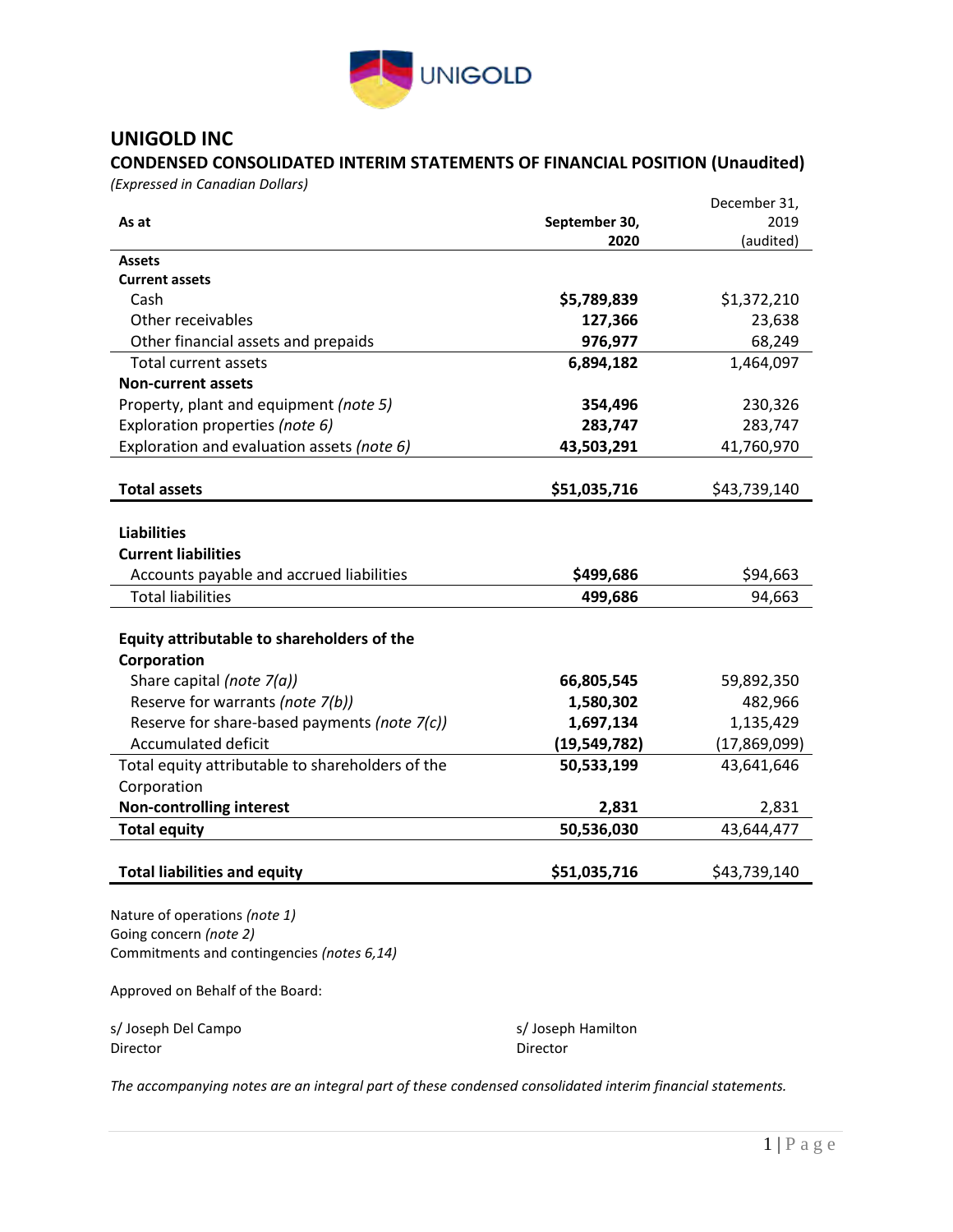

## **CONDENSED CONSOLIDATED INTERIM STATEMENTS OF FINANCIAL POSITION (Unaudited)**

*(Expressed in Canadian Dollars)*

|                                                                      |                    | December 31, |
|----------------------------------------------------------------------|--------------------|--------------|
| As at                                                                | September 30,      | 2019         |
|                                                                      | 2020               | (audited)    |
| Assets                                                               |                    |              |
| <b>Current assets</b>                                                |                    |              |
| Cash                                                                 | \$5,789,839        | \$1,372,210  |
| Other receivables                                                    | 127,366            | 23,638       |
| Other financial assets and prepaids                                  | 976,977            | 68,249       |
| Total current assets                                                 | 6,894,182          | 1,464,097    |
| <b>Non-current assets</b>                                            |                    |              |
| Property, plant and equipment (note 5)                               | 354,496            | 230,326      |
| Exploration properties (note 6)                                      | 283,747            | 283,747      |
| Exploration and evaluation assets (note 6)                           | 43,503,291         | 41,760,970   |
|                                                                      |                    |              |
| <b>Total assets</b>                                                  | \$51,035,716       | \$43,739,140 |
|                                                                      |                    |              |
| <b>Liabilities</b>                                                   |                    |              |
| <b>Current liabilities</b>                                           |                    |              |
| Accounts payable and accrued liabilities                             | \$499,686          | \$94,663     |
| <b>Total liabilities</b>                                             | 499,686            | 94,663       |
|                                                                      |                    |              |
| Equity attributable to shareholders of the                           |                    |              |
| Corporation                                                          |                    |              |
| Share capital (note $7(a)$ )                                         | 66,805,545         | 59,892,350   |
| Reserve for warrants (note 7(b))                                     | 1,580,302          | 482,966      |
| Reserve for share-based payments (note 7(c))                         | 1,697,134          | 1,135,429    |
| <b>Accumulated deficit</b>                                           | (19, 549, 782)     | (17,869,099) |
| Total equity attributable to shareholders of the                     | 50,533,199         | 43,641,646   |
| Corporation                                                          |                    |              |
| <b>Non-controlling interest</b>                                      | 2,831              | 2,831        |
| <b>Total equity</b>                                                  | 50,536,030         | 43,644,477   |
|                                                                      |                    |              |
| <b>Total liabilities and equity</b>                                  | \$51,035,716       | \$43,739,140 |
|                                                                      |                    |              |
| Nature of operations (note 1)                                        |                    |              |
| Going concern (note 2)<br>Commitments and contingencies (notes 6,14) |                    |              |
|                                                                      |                    |              |
| Approved on Behalf of the Board:                                     |                    |              |
|                                                                      |                    |              |
| s/Joseph Del Campo                                                   | s/ Joseph Hamilton |              |

*The accompanying notes are an integral part of these condensed consolidated interim financial statements.*

Director Director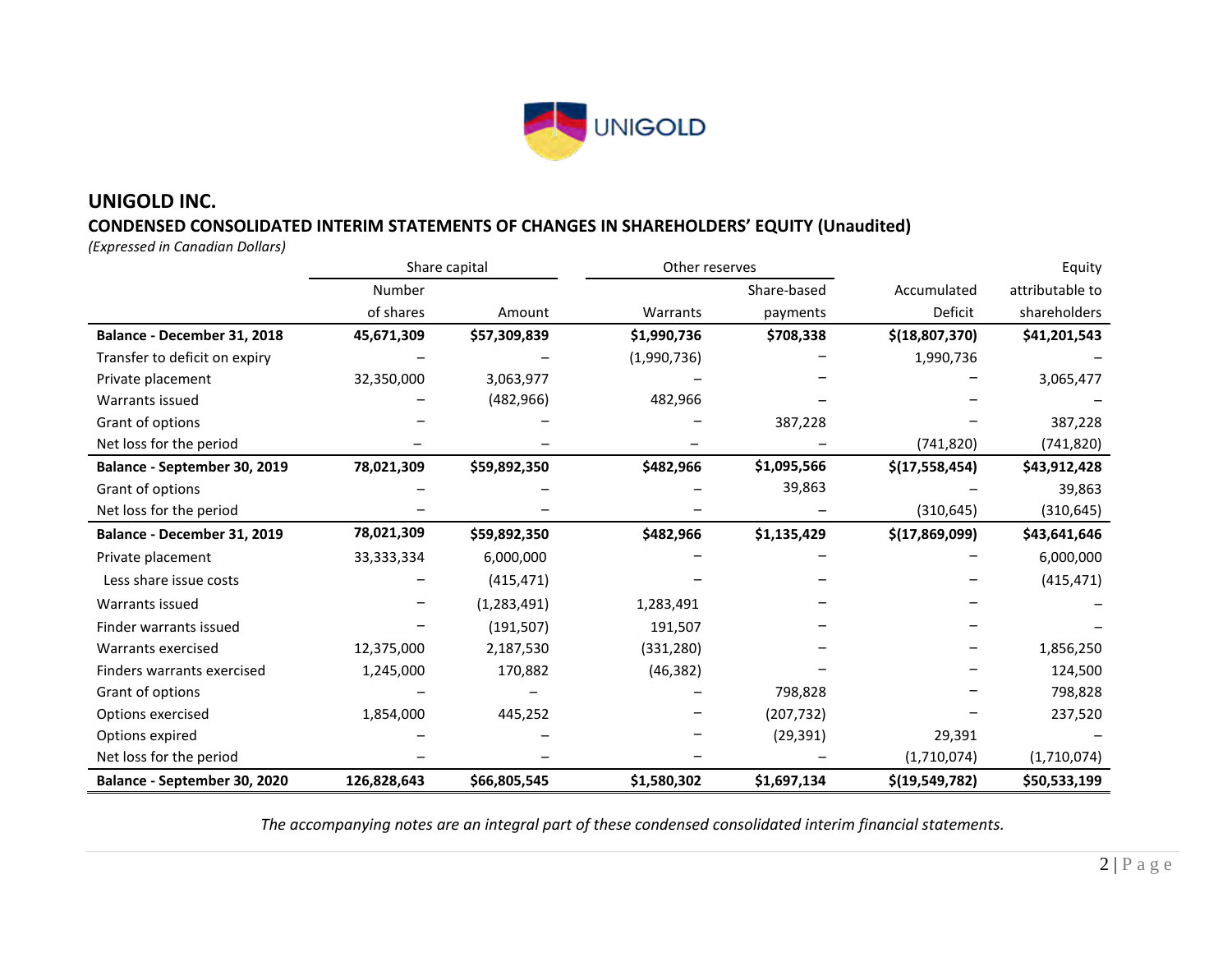

## **CONDENSED CONSOLIDATED INTERIM STATEMENTS OF CHANGES IN SHAREHOLDERS' EQUITY (Unaudited)**

*(Expressed in Canadian Dollars)*

|                               |              | Share capital | Other reserves |             |                  | Equity          |
|-------------------------------|--------------|---------------|----------------|-------------|------------------|-----------------|
|                               | Number       |               |                | Share-based | Accumulated      | attributable to |
|                               | of shares    | Amount        | Warrants       | payments    | Deficit          | shareholders    |
| Balance - December 31, 2018   | 45,671,309   | \$57,309,839  | \$1,990,736    | \$708,338   | \$(18,807,370)   | \$41,201,543    |
| Transfer to deficit on expiry |              |               | (1,990,736)    |             | 1,990,736        |                 |
| Private placement             | 32,350,000   | 3,063,977     |                |             |                  | 3,065,477       |
| Warrants issued               |              | (482, 966)    | 482,966        |             |                  |                 |
| Grant of options              |              |               |                | 387,228     |                  | 387,228         |
| Net loss for the period       |              |               |                |             | (741, 820)       | (741,820)       |
| Balance - September 30, 2019  | 78,021,309   | \$59,892,350  | \$482,966      | \$1,095,566 | \$(17,558,454)   | \$43,912,428    |
| Grant of options              |              |               |                | 39,863      |                  | 39,863          |
| Net loss for the period       |              |               |                |             | (310, 645)       | (310, 645)      |
| Balance - December 31, 2019   | 78,021,309   | \$59,892,350  | \$482,966      | \$1,135,429 | \$(17,869,099)   | \$43,641,646    |
| Private placement             | 33, 333, 334 | 6,000,000     |                |             |                  | 6,000,000       |
| Less share issue costs        |              | (415, 471)    |                |             |                  | (415, 471)      |
| Warrants issued               |              | (1, 283, 491) | 1,283,491      |             |                  |                 |
| Finder warrants issued        |              | (191, 507)    | 191,507        |             |                  |                 |
| Warrants exercised            | 12,375,000   | 2,187,530     | (331, 280)     |             |                  | 1,856,250       |
| Finders warrants exercised    | 1,245,000    | 170,882       | (46, 382)      |             |                  | 124,500         |
| Grant of options              |              |               |                | 798,828     |                  | 798,828         |
| Options exercised             | 1,854,000    | 445,252       |                | (207, 732)  |                  | 237,520         |
| Options expired               |              |               |                | (29, 391)   | 29,391           |                 |
| Net loss for the period       |              |               |                |             | (1,710,074)      | (1,710,074)     |
| Balance - September 30, 2020  | 126,828,643  | \$66,805,545  | \$1,580,302    | \$1,697,134 | \$(19, 549, 782) | \$50,533,199    |

*The accompanying notes are an integral part of these condensed consolidated interim financial statements.*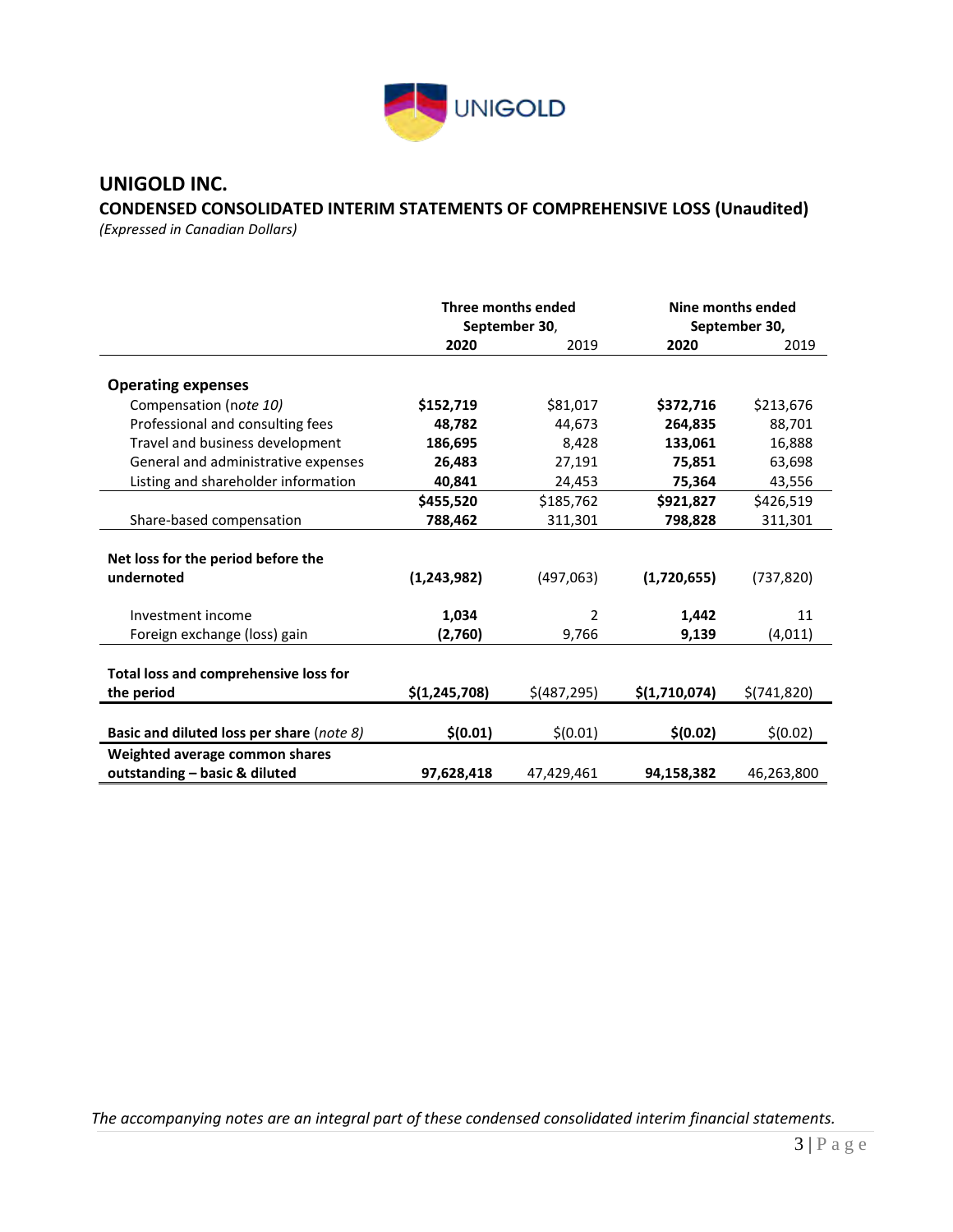

## **CONDENSED CONSOLIDATED INTERIM STATEMENTS OF COMPREHENSIVE LOSS (Unaudited)**

*(Expressed in Canadian Dollars)* 

|                                                                 | Three months ended<br>September 30, |               |               | Nine months ended<br>September 30, |
|-----------------------------------------------------------------|-------------------------------------|---------------|---------------|------------------------------------|
|                                                                 | 2020                                | 2019          | 2020          | 2019                               |
| <b>Operating expenses</b>                                       |                                     |               |               |                                    |
| Compensation (note 10)                                          | \$152,719                           | \$81,017      | \$372,716     | \$213,676                          |
| Professional and consulting fees                                | 48,782                              | 44,673        | 264,835       | 88,701                             |
| Travel and business development                                 | 186,695                             | 8,428         | 133,061       | 16,888                             |
| General and administrative expenses                             | 26,483                              | 27,191        | 75,851        | 63,698                             |
| Listing and shareholder information                             | 40,841                              | 24,453        | 75,364        | 43,556                             |
|                                                                 | \$455,520                           | \$185,762     | \$921,827     | \$426,519                          |
| Share-based compensation                                        | 788,462                             | 311,301       | 798,828       | 311,301                            |
| Net loss for the period before the<br>undernoted                | (1, 243, 982)                       | (497,063)     | (1,720,655)   | (737, 820)                         |
| Investment income                                               | 1,034                               | 2             | 1,442         | 11                                 |
| Foreign exchange (loss) gain                                    | (2,760)                             | 9,766         | 9,139         | (4,011)                            |
| Total loss and comprehensive loss for<br>the period             | \$(1, 245, 708)                     | $$$ (487,295) | \$(1,710,074) | \$(741, 820)                       |
| Basic and diluted loss per share (note 8)                       | \$(0.01)                            | \$(0.01)      | \$(0.02)      | \$(0.02)                           |
| Weighted average common shares<br>outstanding - basic & diluted | 97,628,418                          | 47,429,461    | 94,158,382    | 46,263,800                         |

*The accompanying notes are an integral part of these condensed consolidated interim financial statements.*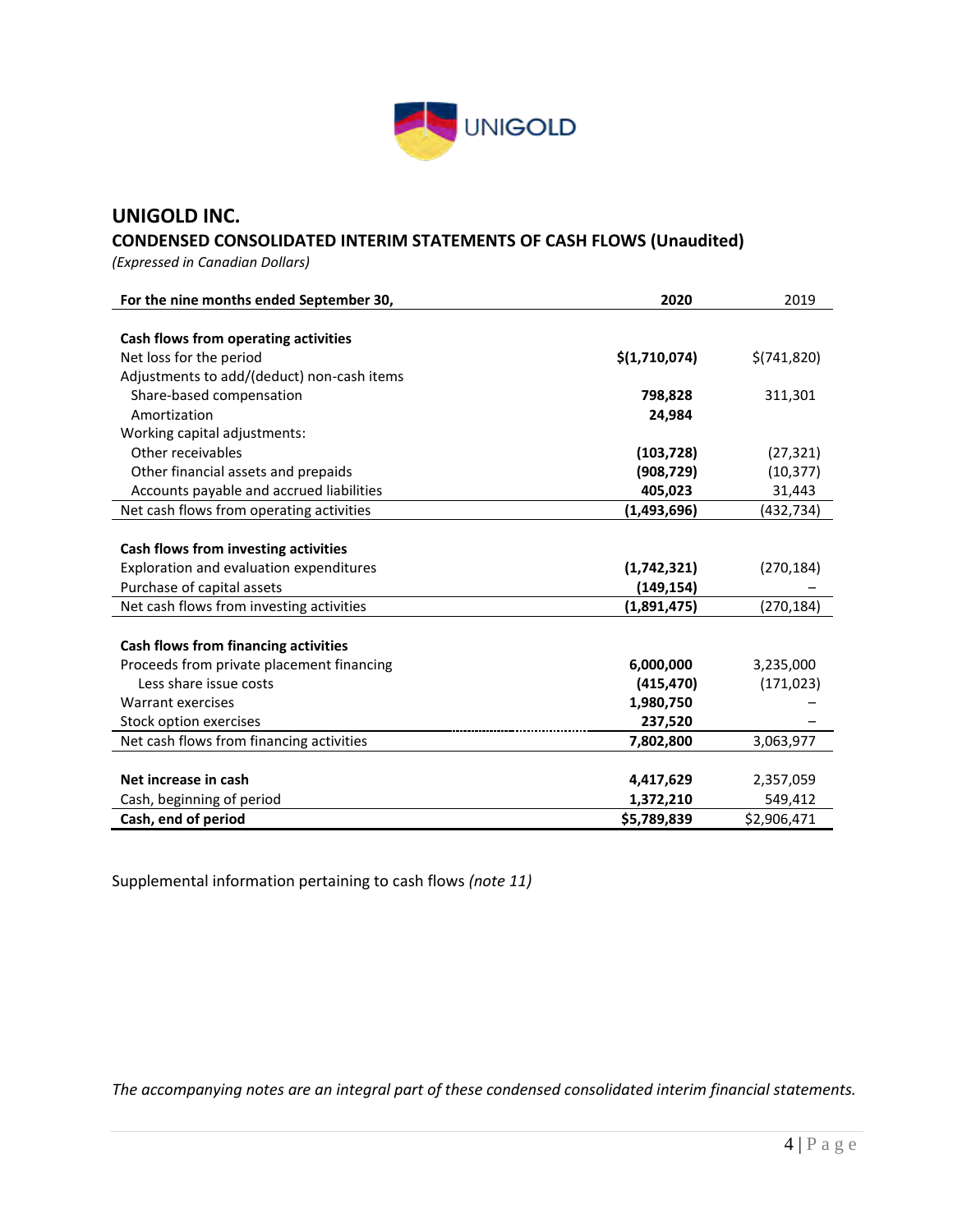

## **CONDENSED CONSOLIDATED INTERIM STATEMENTS OF CASH FLOWS (Unaudited)**

*(Expressed in Canadian Dollars)* 

| For the nine months ended September 30,    | 2020          | 2019         |
|--------------------------------------------|---------------|--------------|
|                                            |               |              |
| Cash flows from operating activities       |               |              |
| Net loss for the period                    | \$(1,710,074) | \$(741, 820) |
| Adjustments to add/(deduct) non-cash items |               |              |
| Share-based compensation                   | 798,828       | 311,301      |
| Amortization                               | 24,984        |              |
| Working capital adjustments:               |               |              |
| Other receivables                          | (103, 728)    | (27, 321)    |
| Other financial assets and prepaids        | (908, 729)    | (10, 377)    |
| Accounts payable and accrued liabilities   | 405,023       | 31,443       |
| Net cash flows from operating activities   | (1, 493, 696) | (432, 734)   |
|                                            |               |              |
| Cash flows from investing activities       |               |              |
| Exploration and evaluation expenditures    | (1,742,321)   | (270, 184)   |
| Purchase of capital assets                 | (149,154)     |              |
| Net cash flows from investing activities   | (1,891,475)   | (270, 184)   |
|                                            |               |              |
| Cash flows from financing activities       |               |              |
| Proceeds from private placement financing  | 6,000,000     | 3,235,000    |
| Less share issue costs                     | (415, 470)    | (171, 023)   |
| Warrant exercises                          | 1,980,750     |              |
| Stock option exercises                     | 237,520       |              |
| Net cash flows from financing activities   | 7,802,800     | 3,063,977    |
|                                            |               |              |
| Net increase in cash                       | 4,417,629     | 2,357,059    |
| Cash, beginning of period                  | 1,372,210     | 549,412      |
| Cash, end of period                        | \$5,789,839   | \$2,906,471  |

Supplemental information pertaining to cash flows *(note 11)*

*The accompanying notes are an integral part of these condensed consolidated interim financial statements.*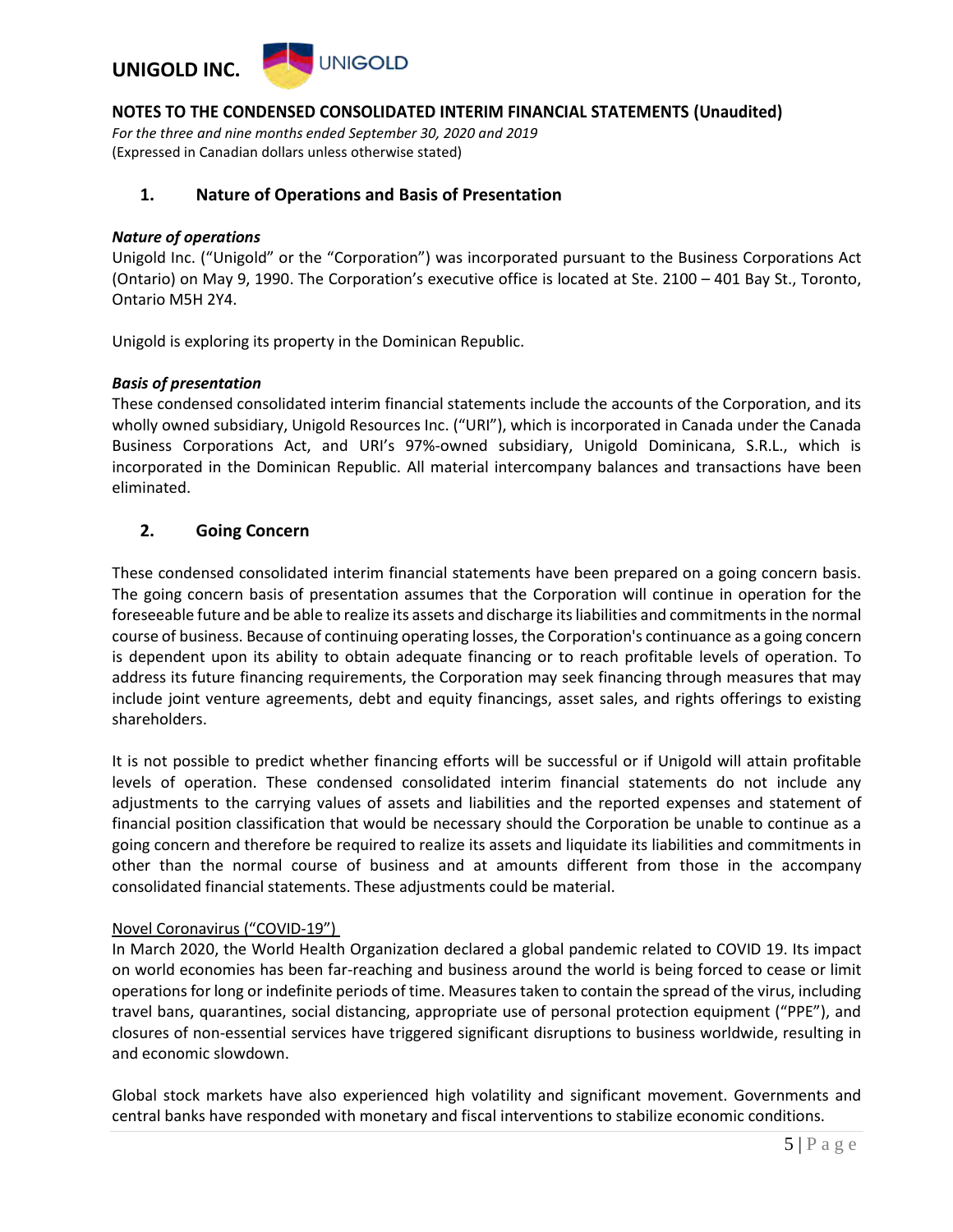

*For the three and nine months ended September 30, 2020 and 2019* (Expressed in Canadian dollars unless otherwise stated)

#### **1. Nature of Operations and Basis of Presentation**

#### *Nature of operations*

Unigold Inc. ("Unigold" or the "Corporation") was incorporated pursuant to the Business Corporations Act (Ontario) on May 9, 1990. The Corporation's executive office is located at Ste. 2100 – 401 Bay St., Toronto, Ontario M5H 2Y4.

Unigold is exploring its property in the Dominican Republic.

#### *Basis of presentation*

These condensed consolidated interim financial statements include the accounts of the Corporation, and its wholly owned subsidiary, Unigold Resources Inc. ("URI"), which is incorporated in Canada under the Canada Business Corporations Act, and URI's 97%-owned subsidiary, Unigold Dominicana, S.R.L., which is incorporated in the Dominican Republic. All material intercompany balances and transactions have been eliminated.

## **2. Going Concern**

These condensed consolidated interim financial statements have been prepared on a going concern basis. The going concern basis of presentation assumes that the Corporation will continue in operation for the foreseeable future and be able to realize its assets and discharge its liabilities and commitments in the normal course of business. Because of continuing operating losses, the Corporation's continuance as a going concern is dependent upon its ability to obtain adequate financing or to reach profitable levels of operation. To address its future financing requirements, the Corporation may seek financing through measures that may include joint venture agreements, debt and equity financings, asset sales, and rights offerings to existing shareholders.

It is not possible to predict whether financing efforts will be successful or if Unigold will attain profitable levels of operation. These condensed consolidated interim financial statements do not include any adjustments to the carrying values of assets and liabilities and the reported expenses and statement of financial position classification that would be necessary should the Corporation be unable to continue as a going concern and therefore be required to realize its assets and liquidate its liabilities and commitments in other than the normal course of business and at amounts different from those in the accompany consolidated financial statements. These adjustments could be material.

#### Novel Coronavirus ("COVID-19")

In March 2020, the World Health Organization declared a global pandemic related to COVID 19. Its impact on world economies has been far-reaching and business around the world is being forced to cease or limit operations for long or indefinite periods of time. Measures taken to contain the spread of the virus, including travel bans, quarantines, social distancing, appropriate use of personal protection equipment ("PPE"), and closures of non-essential services have triggered significant disruptions to business worldwide, resulting in and economic slowdown.

Global stock markets have also experienced high volatility and significant movement. Governments and central banks have responded with monetary and fiscal interventions to stabilize economic conditions.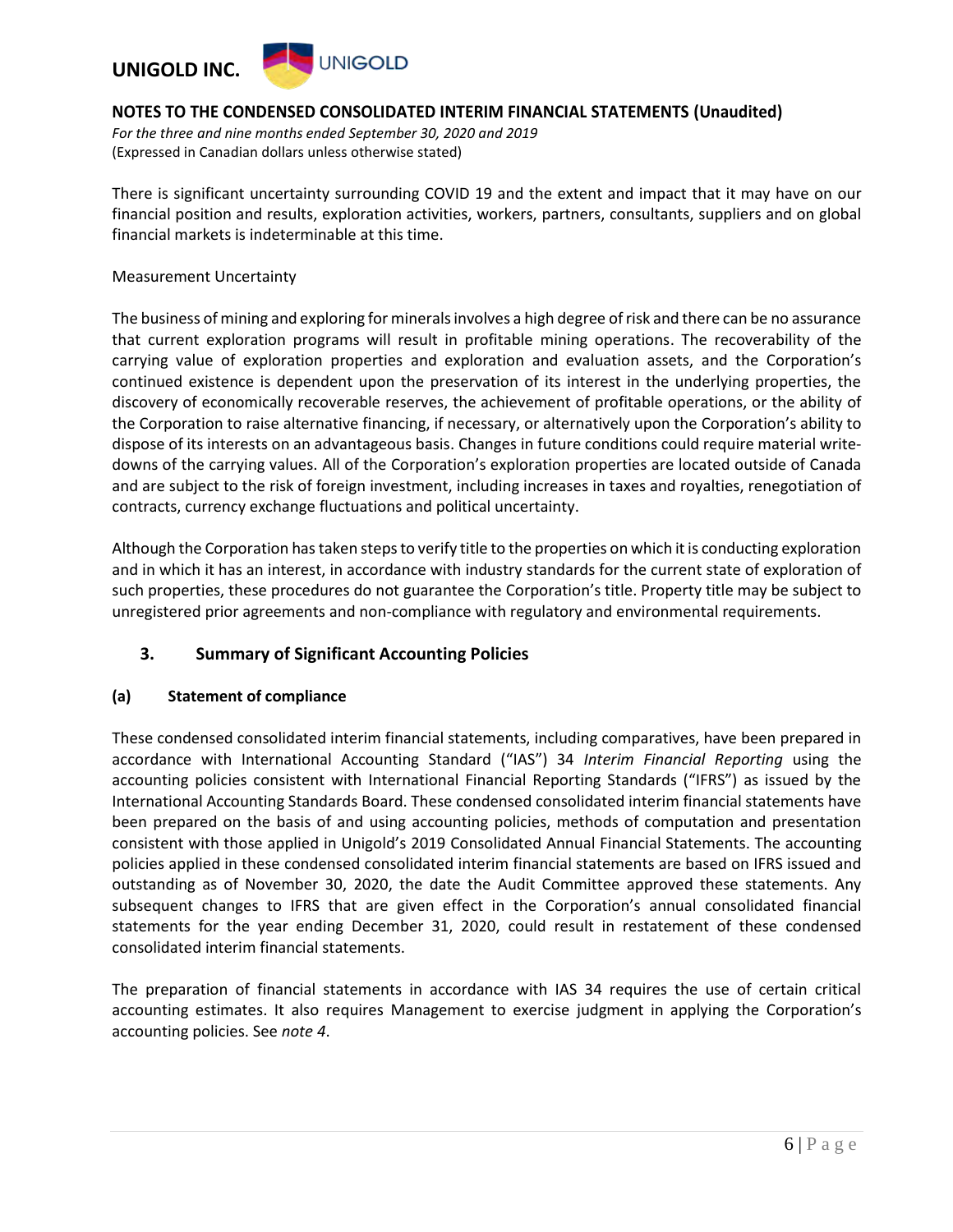

*For the three and nine months ended September 30, 2020 and 2019* (Expressed in Canadian dollars unless otherwise stated)

There is significant uncertainty surrounding COVID 19 and the extent and impact that it may have on our financial position and results, exploration activities, workers, partners, consultants, suppliers and on global financial markets is indeterminable at this time.

Measurement Uncertainty

The business of mining and exploring for minerals involves a high degree of risk and there can be no assurance that current exploration programs will result in profitable mining operations. The recoverability of the carrying value of exploration properties and exploration and evaluation assets, and the Corporation's continued existence is dependent upon the preservation of its interest in the underlying properties, the discovery of economically recoverable reserves, the achievement of profitable operations, or the ability of the Corporation to raise alternative financing, if necessary, or alternatively upon the Corporation's ability to dispose of its interests on an advantageous basis. Changes in future conditions could require material writedowns of the carrying values. All of the Corporation's exploration properties are located outside of Canada and are subject to the risk of foreign investment, including increases in taxes and royalties, renegotiation of contracts, currency exchange fluctuations and political uncertainty.

Although the Corporation has taken steps to verify title to the properties on which it is conducting exploration and in which it has an interest, in accordance with industry standards for the current state of exploration of such properties, these procedures do not guarantee the Corporation's title. Property title may be subject to unregistered prior agreements and non-compliance with regulatory and environmental requirements.

## **3. Summary of Significant Accounting Policies**

#### **(a) Statement of compliance**

These condensed consolidated interim financial statements, including comparatives, have been prepared in accordance with International Accounting Standard ("IAS") 34 *Interim Financial Reporting* using the accounting policies consistent with International Financial Reporting Standards ("IFRS") as issued by the International Accounting Standards Board. These condensed consolidated interim financial statements have been prepared on the basis of and using accounting policies, methods of computation and presentation consistent with those applied in Unigold's 2019 Consolidated Annual Financial Statements. The accounting policies applied in these condensed consolidated interim financial statements are based on IFRS issued and outstanding as of November 30, 2020, the date the Audit Committee approved these statements. Any subsequent changes to IFRS that are given effect in the Corporation's annual consolidated financial statements for the year ending December 31, 2020, could result in restatement of these condensed consolidated interim financial statements.

The preparation of financial statements in accordance with IAS 34 requires the use of certain critical accounting estimates. It also requires Management to exercise judgment in applying the Corporation's accounting policies. See *note 4*.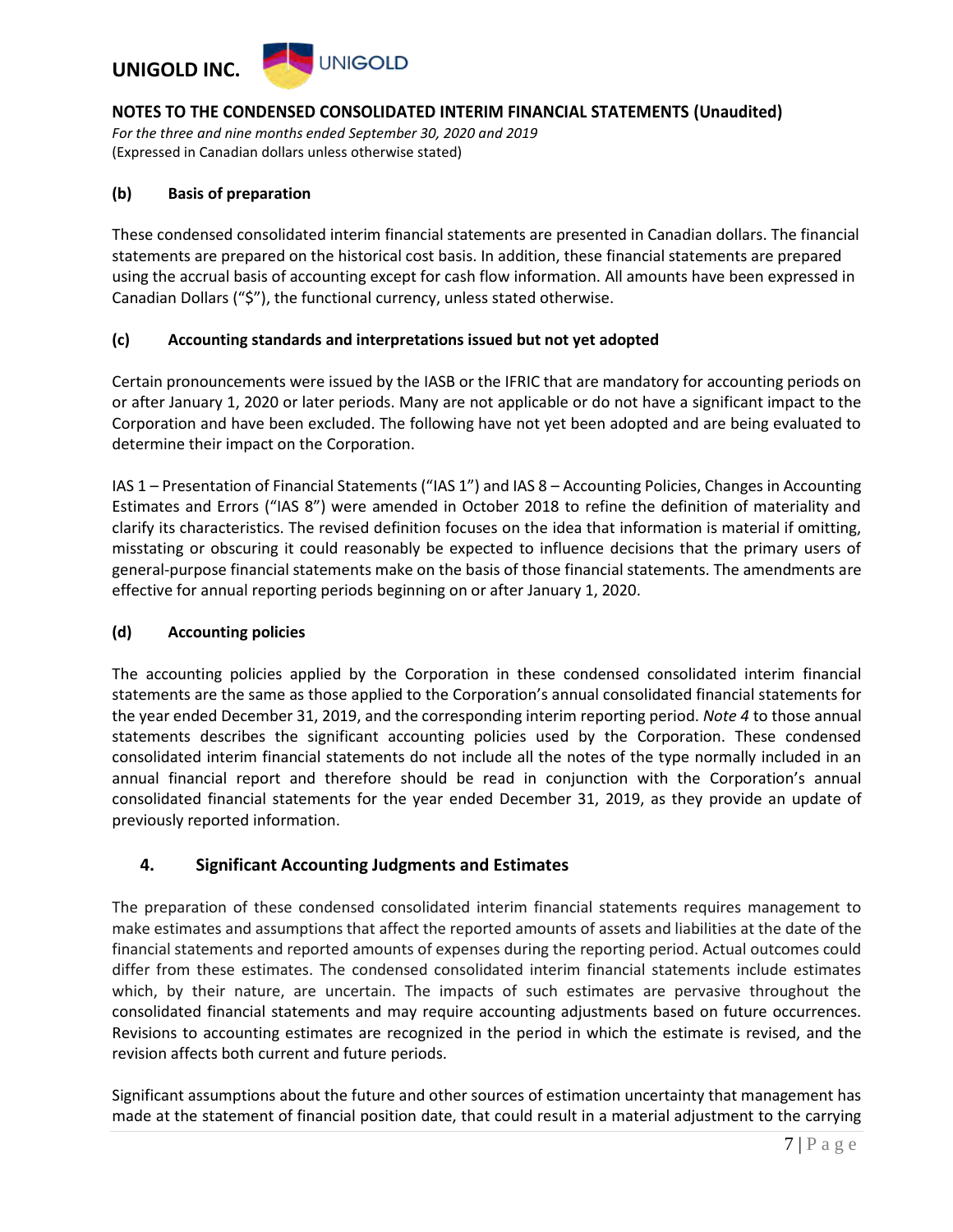

*For the three and nine months ended September 30, 2020 and 2019* (Expressed in Canadian dollars unless otherwise stated)

#### **(b) Basis of preparation**

These condensed consolidated interim financial statements are presented in Canadian dollars. The financial statements are prepared on the historical cost basis. In addition, these financial statements are prepared using the accrual basis of accounting except for cash flow information. All amounts have been expressed in Canadian Dollars ("\$"), the functional currency, unless stated otherwise.

#### **(c) Accounting standards and interpretations issued but not yet adopted**

Certain pronouncements were issued by the IASB or the IFRIC that are mandatory for accounting periods on or after January 1, 2020 or later periods. Many are not applicable or do not have a significant impact to the Corporation and have been excluded. The following have not yet been adopted and are being evaluated to determine their impact on the Corporation.

IAS 1 – Presentation of Financial Statements ("IAS 1") and IAS 8 – Accounting Policies, Changes in Accounting Estimates and Errors ("IAS 8") were amended in October 2018 to refine the definition of materiality and clarify its characteristics. The revised definition focuses on the idea that information is material if omitting, misstating or obscuring it could reasonably be expected to influence decisions that the primary users of general-purpose financial statements make on the basis of those financial statements. The amendments are effective for annual reporting periods beginning on or after January 1, 2020.

#### **(d) Accounting policies**

The accounting policies applied by the Corporation in these condensed consolidated interim financial statements are the same as those applied to the Corporation's annual consolidated financial statements for the year ended December 31, 2019, and the corresponding interim reporting period. *Note 4* to those annual statements describes the significant accounting policies used by the Corporation. These condensed consolidated interim financial statements do not include all the notes of the type normally included in an annual financial report and therefore should be read in conjunction with the Corporation's annual consolidated financial statements for the year ended December 31, 2019, as they provide an update of previously reported information.

#### **4. Significant Accounting Judgments and Estimates**

The preparation of these condensed consolidated interim financial statements requires management to make estimates and assumptions that affect the reported amounts of assets and liabilities at the date of the financial statements and reported amounts of expenses during the reporting period. Actual outcomes could differ from these estimates. The condensed consolidated interim financial statements include estimates which, by their nature, are uncertain. The impacts of such estimates are pervasive throughout the consolidated financial statements and may require accounting adjustments based on future occurrences. Revisions to accounting estimates are recognized in the period in which the estimate is revised, and the revision affects both current and future periods.

Significant assumptions about the future and other sources of estimation uncertainty that management has made at the statement of financial position date, that could result in a material adjustment to the carrying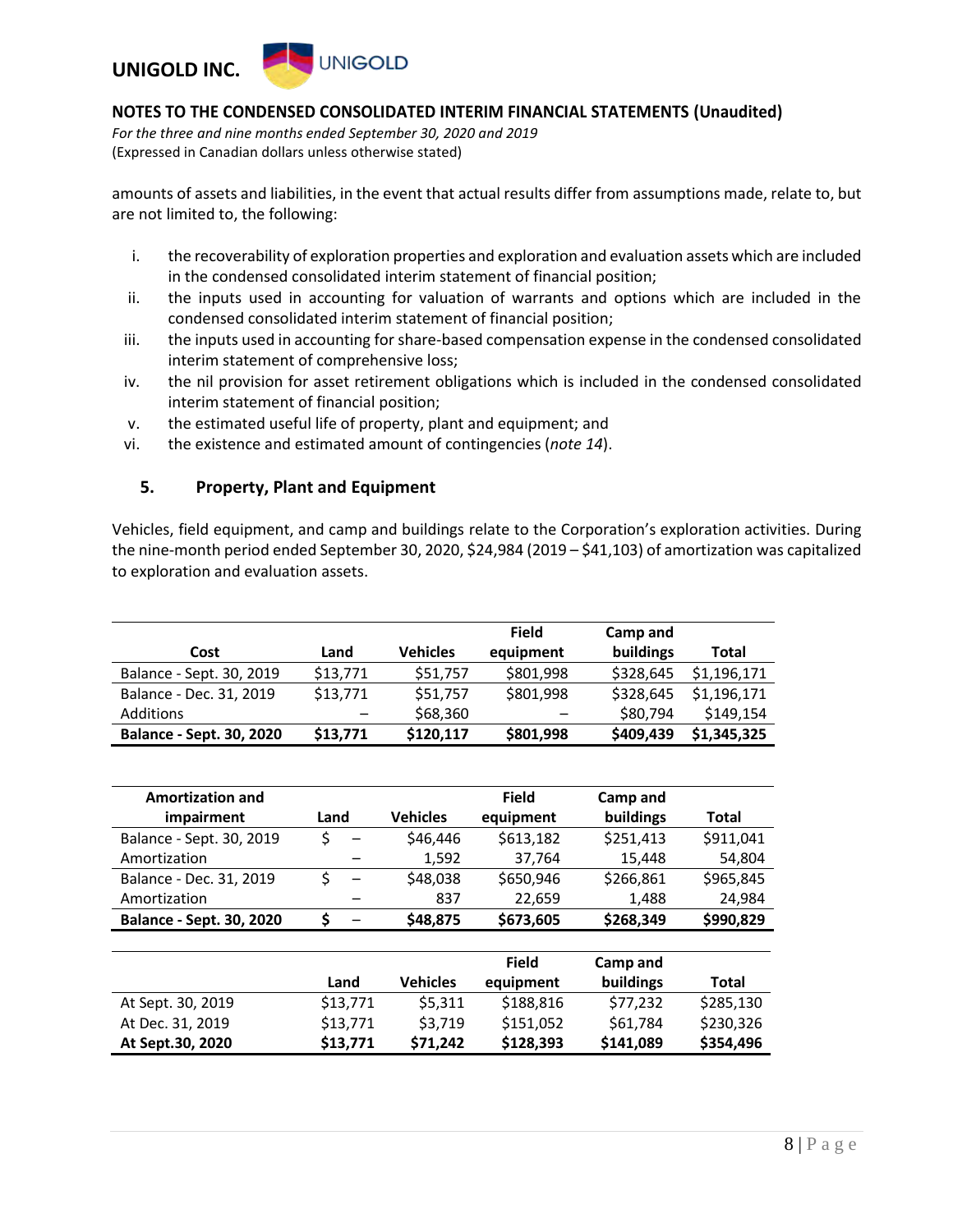

*For the three and nine months ended September 30, 2020 and 2019* (Expressed in Canadian dollars unless otherwise stated)

amounts of assets and liabilities, in the event that actual results differ from assumptions made, relate to, but are not limited to, the following:

- i. the recoverability of exploration properties and exploration and evaluation assets which are included in the condensed consolidated interim statement of financial position;
- ii. the inputs used in accounting for valuation of warrants and options which are included in the condensed consolidated interim statement of financial position;
- iii. the inputs used in accounting for share-based compensation expense in the condensed consolidated interim statement of comprehensive loss;
- iv. the nil provision for asset retirement obligations which is included in the condensed consolidated interim statement of financial position;
- v. the estimated useful life of property, plant and equipment; and
- vi. the existence and estimated amount of contingencies (*note 14*).

#### **5. Property, Plant and Equipment**

Vehicles, field equipment, and camp and buildings relate to the Corporation's exploration activities. During the nine-month period ended September 30, 2020, \$24,984 (2019 – \$41,103) of amortization was capitalized to exploration and evaluation assets.

| Cost                            | Land                     | <b>Vehicles</b> | <b>Field</b><br>equipment | Camp and<br>buildings | Total       |
|---------------------------------|--------------------------|-----------------|---------------------------|-----------------------|-------------|
| Balance - Sept. 30, 2019        | \$13,771                 | \$51,757        | \$801,998                 | \$328,645             | \$1,196,171 |
| Balance - Dec. 31, 2019         | \$13,771                 | \$51,757        | \$801,998                 | \$328,645             | \$1,196,171 |
| Additions                       | $\overline{\phantom{m}}$ | \$68,360        |                           | \$80,794              | \$149,154   |
| <b>Balance - Sept. 30, 2020</b> | \$13,771                 | \$120,117       | \$801,998                 | \$409,439             | \$1,345,325 |

| <b>Amortization and</b>         |      |                 | <b>Field</b> | Camp and  |           |
|---------------------------------|------|-----------------|--------------|-----------|-----------|
| impairment                      | Land | <b>Vehicles</b> | equipment    | buildings | Total     |
| Balance - Sept. 30, 2019        |      | \$46,446        | \$613,182    | \$251.413 | \$911.041 |
| Amortization                    |      | 1,592           | 37,764       | 15,448    | 54,804    |
| Balance - Dec. 31, 2019         |      | \$48,038        | \$650,946    | \$266,861 | \$965,845 |
| Amortization                    |      | 837             | 22,659       | 1,488     | 24,984    |
| <b>Balance - Sept. 30, 2020</b> |      | \$48,875        | \$673,605    | \$268,349 | \$990,829 |

|                   |          |                 | <b>Field</b> | Camp and  |           |
|-------------------|----------|-----------------|--------------|-----------|-----------|
|                   | Land     | <b>Vehicles</b> | equipment    | buildings | Total     |
| At Sept. 30, 2019 | \$13,771 | \$5.311         | \$188,816    | \$77.232  | \$285,130 |
| At Dec. 31, 2019  | \$13,771 | \$3.719         | \$151.052    | \$61.784  | \$230,326 |
| At Sept.30, 2020  | \$13,771 | \$71.242        | \$128,393    | \$141,089 | \$354,496 |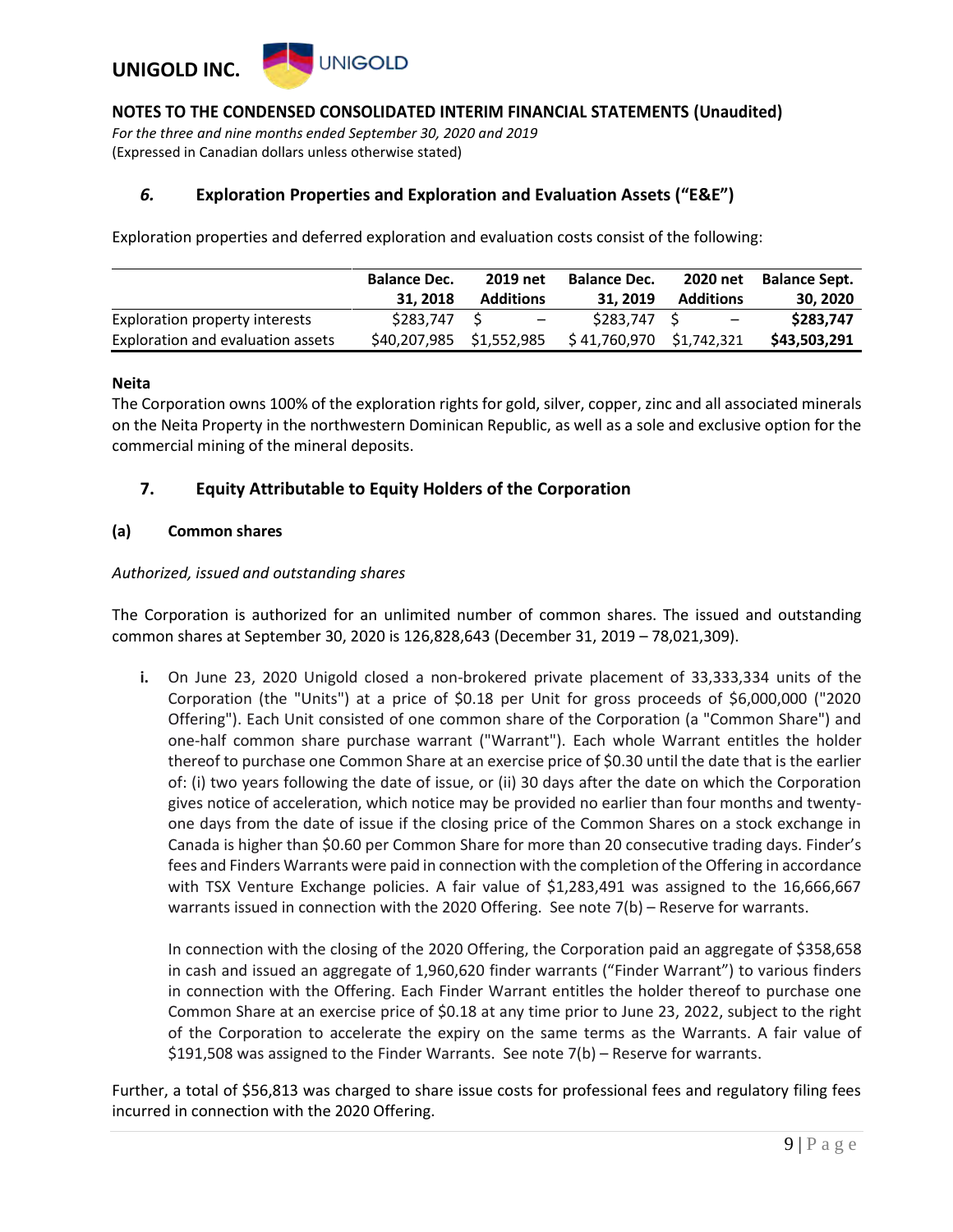

*For the three and nine months ended September 30, 2020 and 2019* (Expressed in Canadian dollars unless otherwise stated)

### *6.* **Exploration Properties and Exploration and Evaluation Assets ("E&E")**

Exploration properties and deferred exploration and evaluation costs consist of the following:

|                                   | <b>Balance Dec.</b>      | 2019 net         | <b>Balance Dec.</b>      | 2020 net                 | <b>Balance Sept.</b> |
|-----------------------------------|--------------------------|------------------|--------------------------|--------------------------|----------------------|
|                                   | 31, 2018                 | <b>Additions</b> | 31, 2019                 | <b>Additions</b>         | 30, 2020             |
| Exploration property interests    | \$283,747 \$             | $-$              | \$283.747 \$             | $\overline{\phantom{a}}$ | \$283,747            |
| Exploration and evaluation assets | \$40,207,985 \$1,552,985 |                  | \$41,760,970 \$1,742,321 |                          | \$43,503,291         |

#### **Neita**

The Corporation owns 100% of the exploration rights for gold, silver, copper, zinc and all associated minerals on the Neita Property in the northwestern Dominican Republic, as well as a sole and exclusive option for the commercial mining of the mineral deposits.

#### **7. Equity Attributable to Equity Holders of the Corporation**

#### **(a) Common shares**

#### *Authorized, issued and outstanding shares*

The Corporation is authorized for an unlimited number of common shares. The issued and outstanding common shares at September 30, 2020 is 126,828,643 (December 31, 2019 – 78,021,309).

**i.** On June 23, 2020 Unigold closed a non-brokered private placement of 33,333,334 units of the Corporation (the "Units") at a price of \$0.18 per Unit for gross proceeds of \$6,000,000 ("2020 Offering"). Each Unit consisted of one common share of the Corporation (a "Common Share") and one-half common share purchase warrant ("Warrant"). Each whole Warrant entitles the holder thereof to purchase one Common Share at an exercise price of \$0.30 until the date that is the earlier of: (i) two years following the date of issue, or (ii) 30 days after the date on which the Corporation gives notice of acceleration, which notice may be provided no earlier than four months and twentyone days from the date of issue if the closing price of the Common Shares on a stock exchange in Canada is higher than \$0.60 per Common Share for more than 20 consecutive trading days. Finder's fees and Finders Warrants were paid in connection with the completion of the Offering in accordance with TSX Venture Exchange policies. A fair value of \$1,283,491 was assigned to the 16,666,667 warrants issued in connection with the 2020 Offering. See note 7(b) – Reserve for warrants.

In connection with the closing of the 2020 Offering, the Corporation paid an aggregate of \$358,658 in cash and issued an aggregate of 1,960,620 finder warrants ("Finder Warrant") to various finders in connection with the Offering. Each Finder Warrant entitles the holder thereof to purchase one Common Share at an exercise price of \$0.18 at any time prior to June 23, 2022, subject to the right of the Corporation to accelerate the expiry on the same terms as the Warrants. A fair value of \$191,508 was assigned to the Finder Warrants. See note 7(b) – Reserve for warrants.

Further, a total of \$56,813 was charged to share issue costs for professional fees and regulatory filing fees incurred in connection with the 2020 Offering.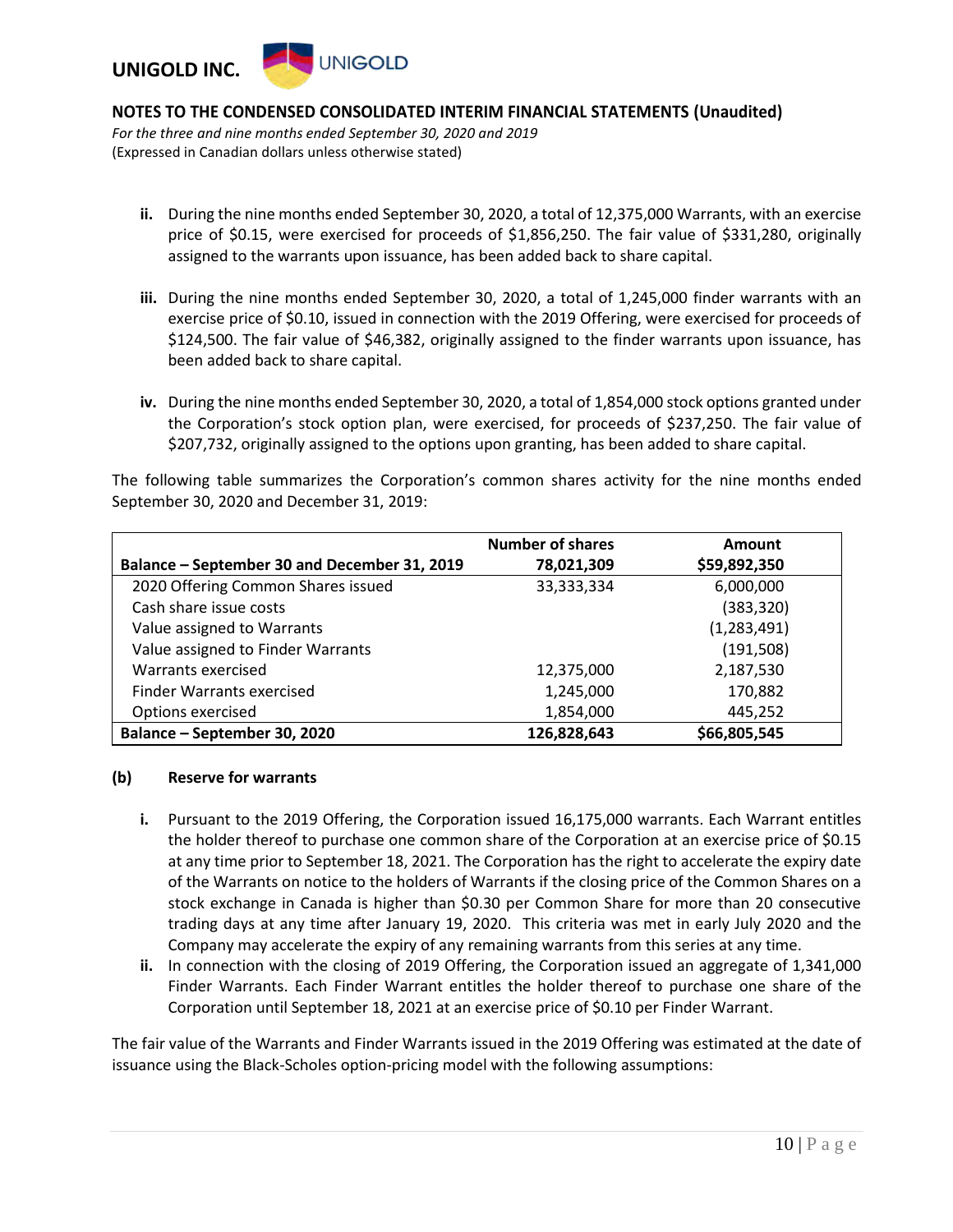

*For the three and nine months ended September 30, 2020 and 2019* (Expressed in Canadian dollars unless otherwise stated)

- **ii.** During the nine months ended September 30, 2020, a total of 12,375,000 Warrants, with an exercise price of \$0.15, were exercised for proceeds of \$1,856,250. The fair value of \$331,280, originally assigned to the warrants upon issuance, has been added back to share capital.
- **iii.** During the nine months ended September 30, 2020, a total of 1,245,000 finder warrants with an exercise price of \$0.10, issued in connection with the 2019 Offering, were exercised for proceeds of \$124,500. The fair value of \$46,382, originally assigned to the finder warrants upon issuance, has been added back to share capital.
- **iv.** During the nine months ended September 30, 2020, a total of 1,854,000 stock options granted under the Corporation's stock option plan, were exercised, for proceeds of \$237,250. The fair value of \$207,732, originally assigned to the options upon granting, has been added to share capital.

The following table summarizes the Corporation's common shares activity for the nine months ended September 30, 2020 and December 31, 2019:

|                                              | <b>Number of shares</b> | Amount       |
|----------------------------------------------|-------------------------|--------------|
| Balance – September 30 and December 31, 2019 | 78,021,309              | \$59,892,350 |
| 2020 Offering Common Shares issued           | 33,333,334              | 6,000,000    |
| Cash share issue costs                       |                         | (383, 320)   |
| Value assigned to Warrants                   |                         | (1,283,491)  |
| Value assigned to Finder Warrants            |                         | (191, 508)   |
| Warrants exercised                           | 12,375,000              | 2,187,530    |
| Finder Warrants exercised                    | 1,245,000               | 170,882      |
| Options exercised                            | 1,854,000               | 445,252      |
| Balance - September 30, 2020                 | 126,828,643             | \$66,805,545 |

#### **(b) Reserve for warrants**

- **i.** Pursuant to the 2019 Offering, the Corporation issued 16,175,000 warrants. Each Warrant entitles the holder thereof to purchase one common share of the Corporation at an exercise price of \$0.15 at any time prior to September 18, 2021. The Corporation has the right to accelerate the expiry date of the Warrants on notice to the holders of Warrants if the closing price of the Common Shares on a stock exchange in Canada is higher than \$0.30 per Common Share for more than 20 consecutive trading days at any time after January 19, 2020. This criteria was met in early July 2020 and the Company may accelerate the expiry of any remaining warrants from this series at any time.
- **ii.** In connection with the closing of 2019 Offering, the Corporation issued an aggregate of 1,341,000 Finder Warrants. Each Finder Warrant entitles the holder thereof to purchase one share of the Corporation until September 18, 2021 at an exercise price of \$0.10 per Finder Warrant.

The fair value of the Warrants and Finder Warrants issued in the 2019 Offering was estimated at the date of issuance using the Black-Scholes option-pricing model with the following assumptions: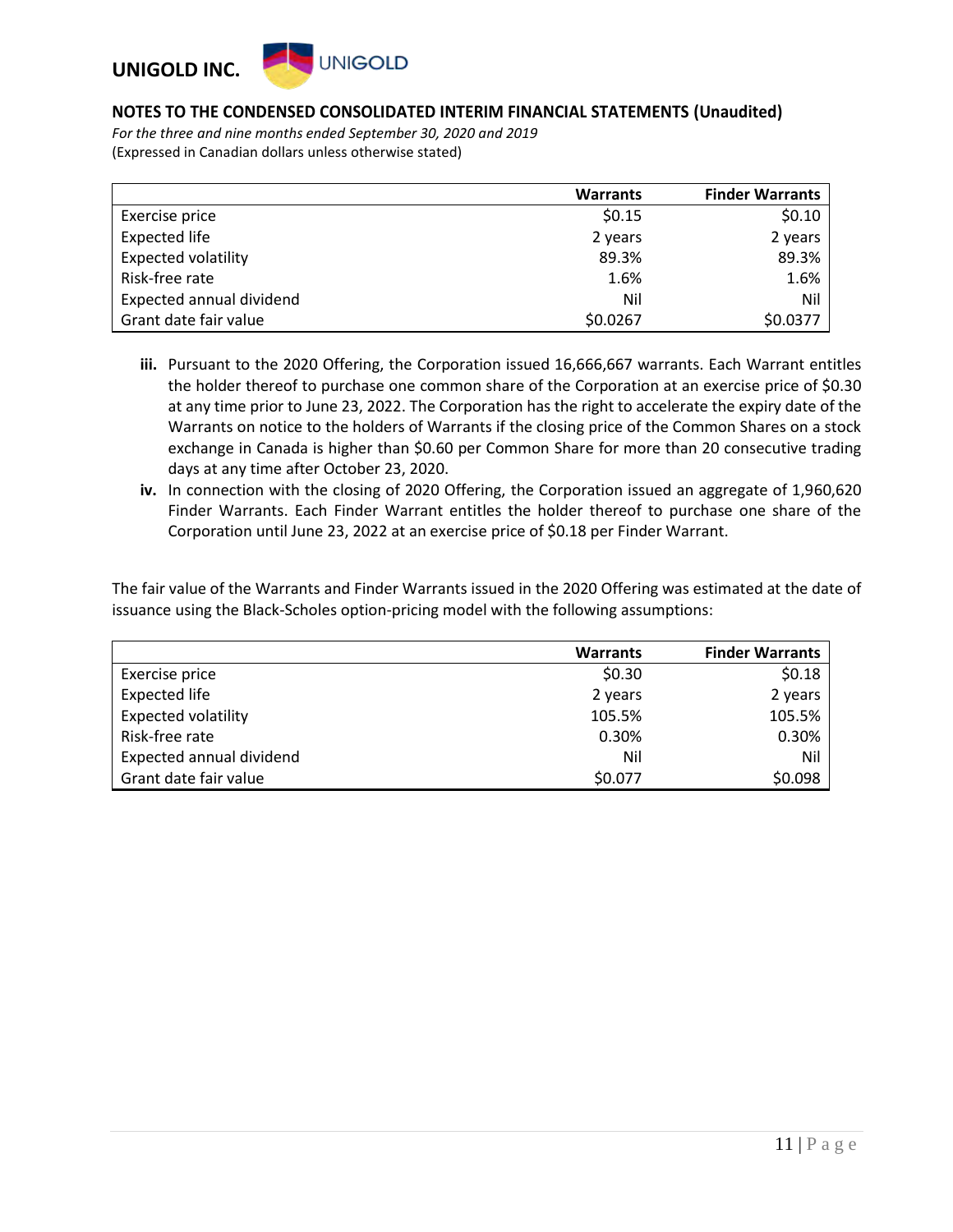

*For the three and nine months ended September 30, 2020 and 2019* (Expressed in Canadian dollars unless otherwise stated)

|                            | <b>Warrants</b> | <b>Finder Warrants</b> |
|----------------------------|-----------------|------------------------|
| Exercise price             | \$0.15          | \$0.10                 |
| <b>Expected life</b>       | 2 years         | 2 years                |
| <b>Expected volatility</b> | 89.3%           | 89.3%                  |
| Risk-free rate             | 1.6%            | 1.6%                   |
| Expected annual dividend   | Nil             | Nil                    |
| Grant date fair value      | \$0.0267        | \$0.0377               |

- **iii.** Pursuant to the 2020 Offering, the Corporation issued 16,666,667 warrants. Each Warrant entitles the holder thereof to purchase one common share of the Corporation at an exercise price of \$0.30 at any time prior to June 23, 2022. The Corporation has the right to accelerate the expiry date of the Warrants on notice to the holders of Warrants if the closing price of the Common Shares on a stock exchange in Canada is higher than \$0.60 per Common Share for more than 20 consecutive trading days at any time after October 23, 2020.
- **iv.** In connection with the closing of 2020 Offering, the Corporation issued an aggregate of 1,960,620 Finder Warrants. Each Finder Warrant entitles the holder thereof to purchase one share of the Corporation until June 23, 2022 at an exercise price of \$0.18 per Finder Warrant.

The fair value of the Warrants and Finder Warrants issued in the 2020 Offering was estimated at the date of issuance using the Black-Scholes option-pricing model with the following assumptions:

|                            | <b>Warrants</b> | <b>Finder Warrants</b> |
|----------------------------|-----------------|------------------------|
| Exercise price             | \$0.30          | \$0.18                 |
| <b>Expected life</b>       | 2 years         | 2 years                |
| <b>Expected volatility</b> | 105.5%          | 105.5%                 |
| Risk-free rate             | 0.30%           | 0.30%                  |
| Expected annual dividend   | Nil             | Nil                    |
| Grant date fair value      | \$0.077         | \$0.098                |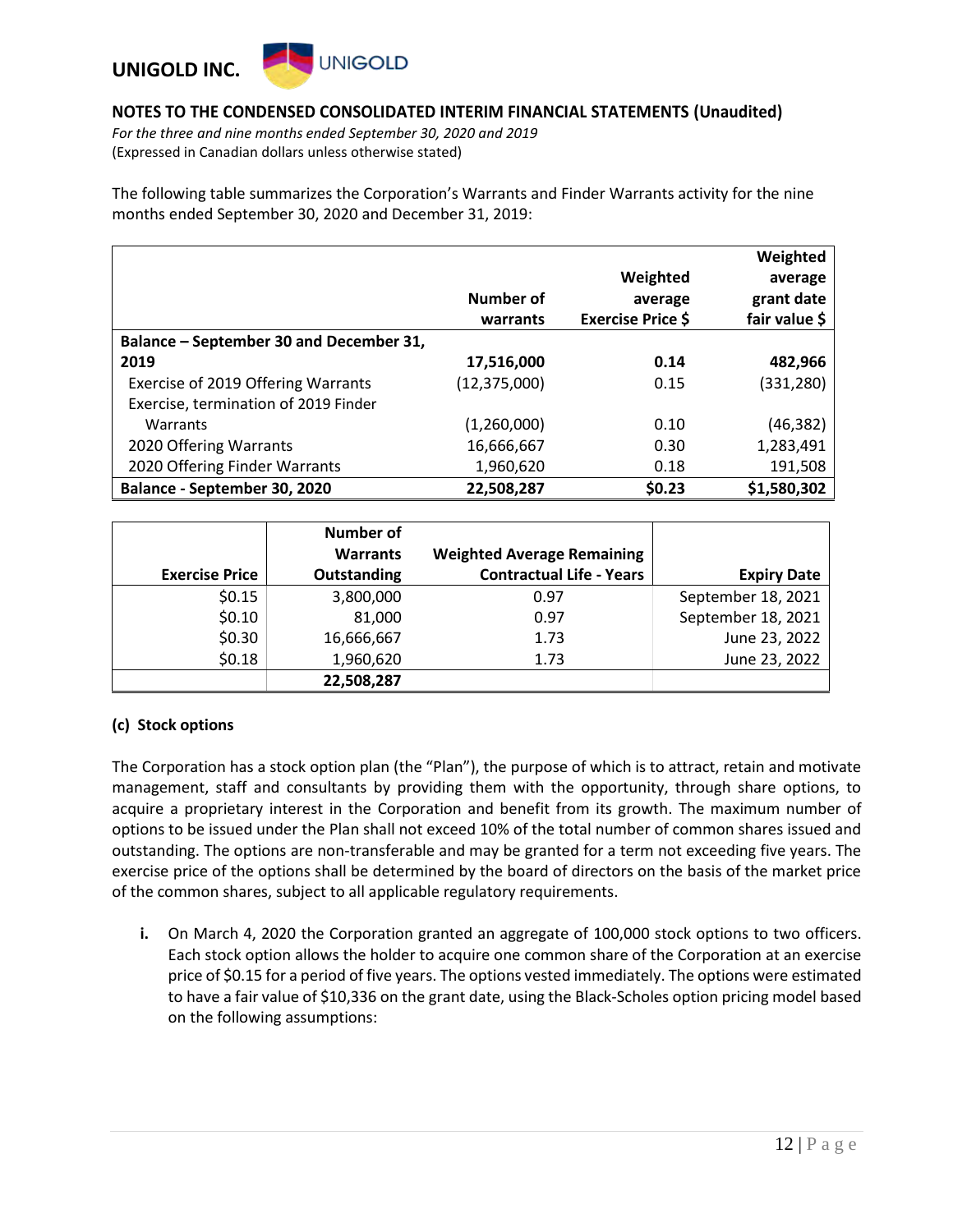

*For the three and nine months ended September 30, 2020 and 2019* (Expressed in Canadian dollars unless otherwise stated)

The following table summarizes the Corporation's Warrants and Finder Warrants activity for the nine months ended September 30, 2020 and December 31, 2019:

|                                         |                |                          | Weighted      |
|-----------------------------------------|----------------|--------------------------|---------------|
|                                         |                | Weighted                 | average       |
|                                         | Number of      | average                  | grant date    |
|                                         | warrants       | <b>Exercise Price \$</b> | fair value \$ |
| Balance – September 30 and December 31, |                |                          |               |
| 2019                                    | 17,516,000     | 0.14                     | 482,966       |
| Exercise of 2019 Offering Warrants      | (12, 375, 000) | 0.15                     | (331,280)     |
| Exercise, termination of 2019 Finder    |                |                          |               |
| Warrants                                | (1,260,000)    | 0.10                     | (46, 382)     |
| 2020 Offering Warrants                  | 16,666,667     | 0.30                     | 1,283,491     |
| 2020 Offering Finder Warrants           | 1,960,620      | 0.18                     | 191,508       |
| Balance - September 30, 2020            | 22,508,287     | \$0.23                   | \$1,580,302   |

|                       | Number of          |                                   |                    |
|-----------------------|--------------------|-----------------------------------|--------------------|
|                       | <b>Warrants</b>    | <b>Weighted Average Remaining</b> |                    |
| <b>Exercise Price</b> | <b>Outstanding</b> | <b>Contractual Life - Years</b>   | <b>Expiry Date</b> |
| \$0.15                | 3,800,000          | 0.97                              | September 18, 2021 |
| \$0.10                | 81,000             | 0.97                              | September 18, 2021 |
| \$0.30                | 16,666,667         | 1.73                              | June 23, 2022      |
| \$0.18                | 1,960,620          | 1.73                              | June 23, 2022      |
|                       | 22,508,287         |                                   |                    |

#### **(c) Stock options**

The Corporation has a stock option plan (the "Plan"), the purpose of which is to attract, retain and motivate management, staff and consultants by providing them with the opportunity, through share options, to acquire a proprietary interest in the Corporation and benefit from its growth. The maximum number of options to be issued under the Plan shall not exceed 10% of the total number of common shares issued and outstanding. The options are non-transferable and may be granted for a term not exceeding five years. The exercise price of the options shall be determined by the board of directors on the basis of the market price of the common shares, subject to all applicable regulatory requirements.

**i.** On March 4, 2020 the Corporation granted an aggregate of 100,000 stock options to two officers. Each stock option allows the holder to acquire one common share of the Corporation at an exercise price of \$0.15 for a period of five years. The options vested immediately. The options were estimated to have a fair value of \$10,336 on the grant date, using the Black-Scholes option pricing model based on the following assumptions: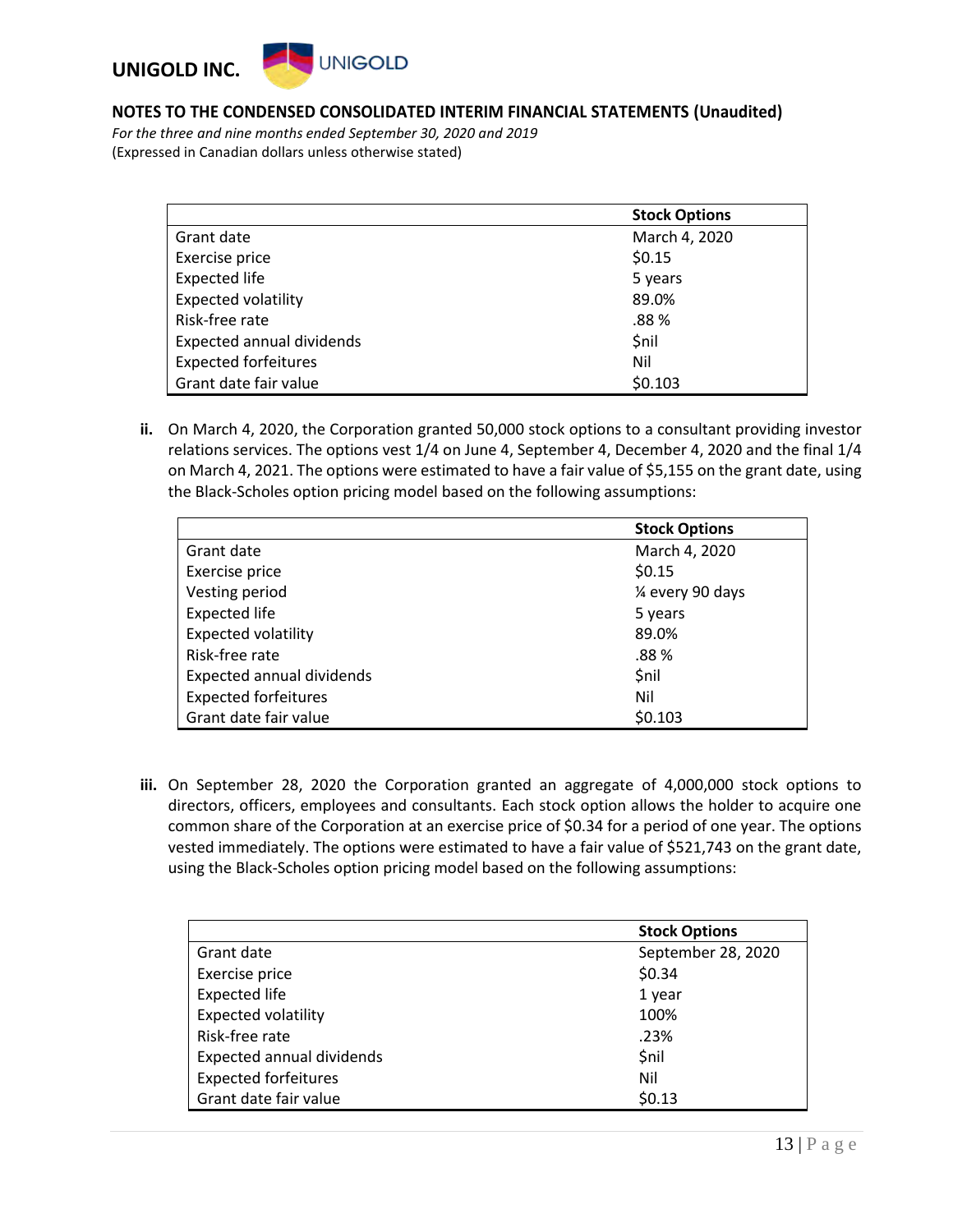

*For the three and nine months ended September 30, 2020 and 2019* (Expressed in Canadian dollars unless otherwise stated)

|                             | <b>Stock Options</b> |
|-----------------------------|----------------------|
| Grant date                  | March 4, 2020        |
| Exercise price              | \$0.15               |
| <b>Expected life</b>        | 5 years              |
| <b>Expected volatility</b>  | 89.0%                |
| Risk-free rate              | .88%                 |
| Expected annual dividends   | \$nil                |
| <b>Expected forfeitures</b> | Nil                  |
| Grant date fair value       | \$0.103              |

**ii.** On March 4, 2020, the Corporation granted 50,000 stock options to a consultant providing investor relations services. The options vest 1/4 on June 4, September 4, December 4, 2020 and the final 1/4 on March 4, 2021. The options were estimated to have a fair value of \$5,155 on the grant date, using the Black-Scholes option pricing model based on the following assumptions:

|                                  | <b>Stock Options</b> |
|----------------------------------|----------------------|
| Grant date                       | March 4, 2020        |
| Exercise price                   | \$0.15               |
| Vesting period                   | 1⁄4 every 90 days    |
| <b>Expected life</b>             | 5 years              |
| <b>Expected volatility</b>       | 89.0%                |
| Risk-free rate                   | .88 %                |
| <b>Expected annual dividends</b> | \$nil                |
| <b>Expected forfeitures</b>      | Nil                  |
| Grant date fair value            | \$0.103              |

**iii.** On September 28, 2020 the Corporation granted an aggregate of 4,000,000 stock options to directors, officers, employees and consultants. Each stock option allows the holder to acquire one common share of the Corporation at an exercise price of \$0.34 for a period of one year. The options vested immediately. The options were estimated to have a fair value of \$521,743 on the grant date, using the Black-Scholes option pricing model based on the following assumptions:

|                             | <b>Stock Options</b> |
|-----------------------------|----------------------|
| Grant date                  | September 28, 2020   |
| Exercise price              | \$0.34               |
| <b>Expected life</b>        | 1 year               |
| <b>Expected volatility</b>  | 100%                 |
| Risk-free rate              | .23%                 |
| Expected annual dividends   | <b>Snil</b>          |
| <b>Expected forfeitures</b> | Nil                  |
| Grant date fair value       | \$0.13               |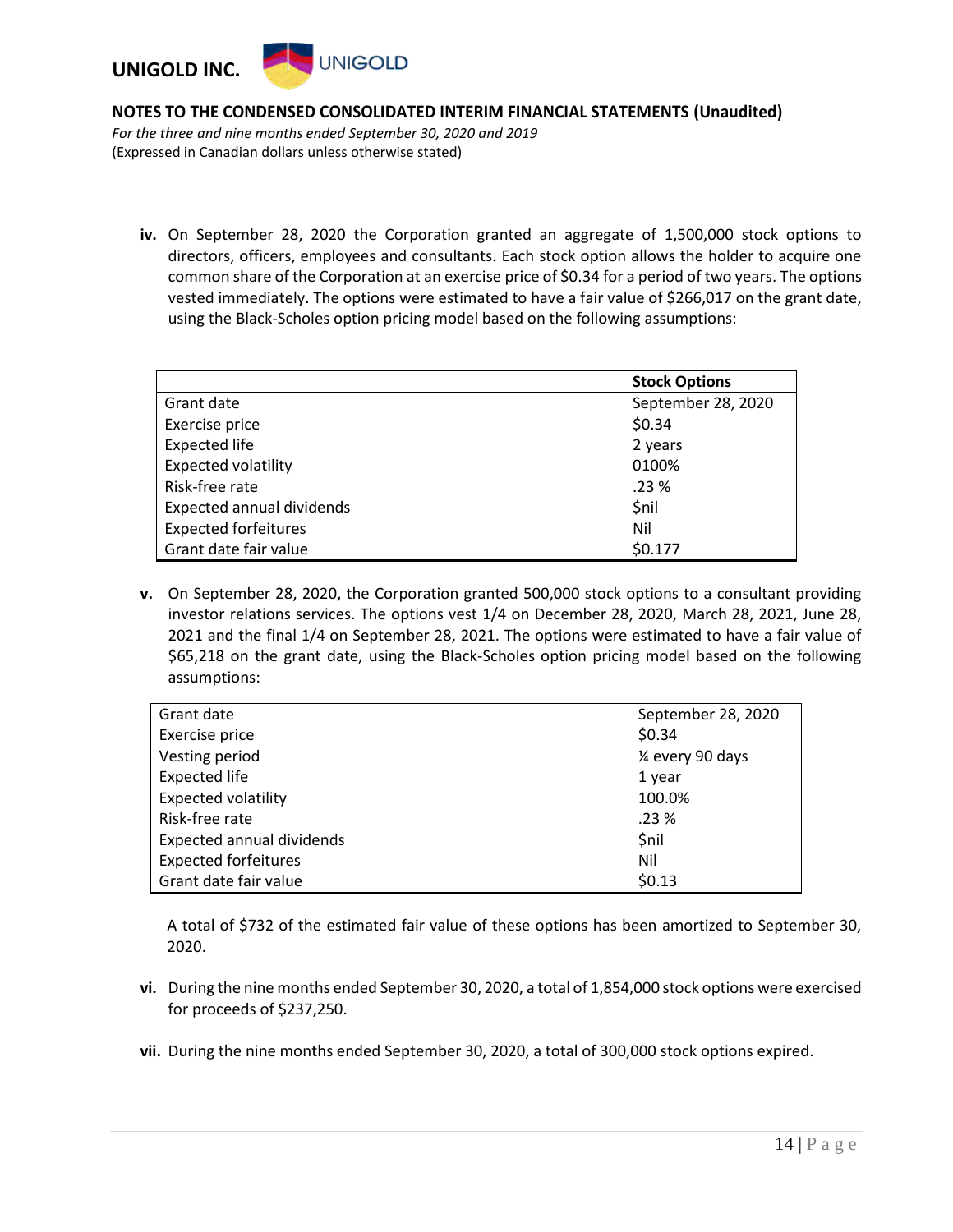

*For the three and nine months ended September 30, 2020 and 2019* (Expressed in Canadian dollars unless otherwise stated)

**iv.** On September 28, 2020 the Corporation granted an aggregate of 1,500,000 stock options to directors, officers, employees and consultants. Each stock option allows the holder to acquire one common share of the Corporation at an exercise price of \$0.34 for a period of two years. The options vested immediately. The options were estimated to have a fair value of \$266,017 on the grant date, using the Black-Scholes option pricing model based on the following assumptions:

|                                  | <b>Stock Options</b> |
|----------------------------------|----------------------|
| Grant date                       | September 28, 2020   |
| Exercise price                   | \$0.34               |
| <b>Expected life</b>             | 2 years              |
| <b>Expected volatility</b>       | 0100%                |
| Risk-free rate                   | .23%                 |
| <b>Expected annual dividends</b> | \$nil                |
| <b>Expected forfeitures</b>      | Nil                  |
| Grant date fair value            | \$0.177              |

**v.** On September 28, 2020, the Corporation granted 500,000 stock options to a consultant providing investor relations services. The options vest 1/4 on December 28, 2020, March 28, 2021, June 28, 2021 and the final 1/4 on September 28, 2021. The options were estimated to have a fair value of \$65,218 on the grant date, using the Black-Scholes option pricing model based on the following assumptions:

| Grant date                       | September 28, 2020 |
|----------------------------------|--------------------|
| Exercise price                   | \$0.34             |
| Vesting period                   | 1⁄4 every 90 days  |
| <b>Expected life</b>             | 1 year             |
| <b>Expected volatility</b>       | 100.0%             |
| Risk-free rate                   | .23%               |
| <b>Expected annual dividends</b> | \$nil              |
| <b>Expected forfeitures</b>      | Nil                |
| Grant date fair value            | \$0.13             |

A total of \$732 of the estimated fair value of these options has been amortized to September 30, 2020.

- **vi.** During the nine months ended September 30, 2020, a total of 1,854,000 stock options were exercised for proceeds of \$237,250.
- **vii.** During the nine months ended September 30, 2020, a total of 300,000 stock options expired.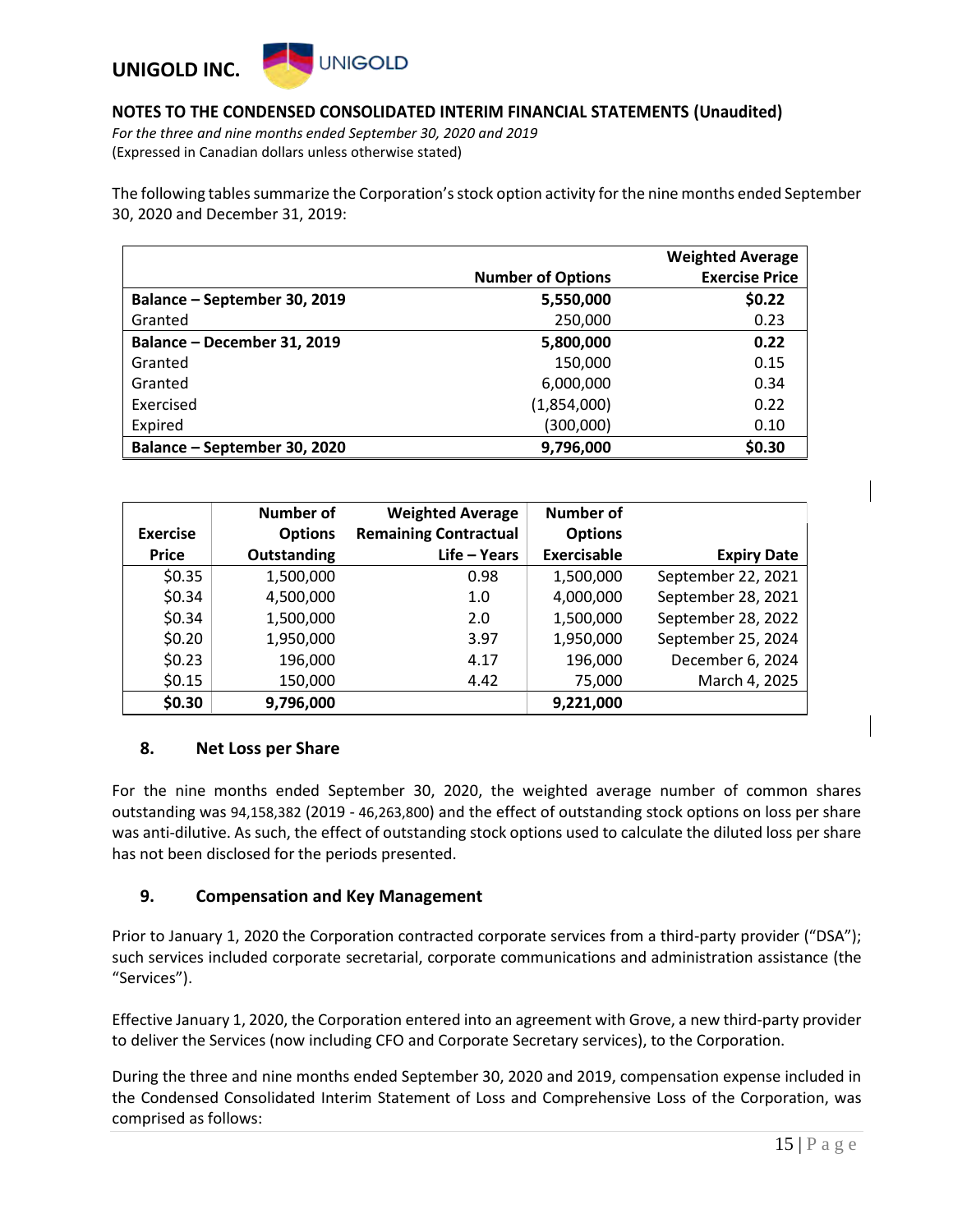

*For the three and nine months ended September 30, 2020 and 2019* (Expressed in Canadian dollars unless otherwise stated)

The following tables summarize the Corporation's stock option activity for the nine months ended September 30, 2020 and December 31, 2019:

|                              |                          | <b>Weighted Average</b> |
|------------------------------|--------------------------|-------------------------|
|                              | <b>Number of Options</b> | <b>Exercise Price</b>   |
| Balance – September 30, 2019 | 5,550,000                | \$0.22                  |
| Granted                      | 250,000                  | 0.23                    |
| Balance – December 31, 2019  | 5,800,000                | 0.22                    |
| Granted                      | 150,000                  | 0.15                    |
| Granted                      | 6,000,000                | 0.34                    |
| Exercised                    | (1,854,000)              | 0.22                    |
| Expired                      | (300,000)                | 0.10                    |
| Balance - September 30, 2020 | 9,796,000                | \$0.30                  |

|                 | Number of          | <b>Weighted Average</b>      | <b>Number of</b>   |                    |
|-----------------|--------------------|------------------------------|--------------------|--------------------|
| <b>Exercise</b> | <b>Options</b>     | <b>Remaining Contractual</b> | <b>Options</b>     |                    |
| <b>Price</b>    | <b>Outstanding</b> | Life - Years                 | <b>Exercisable</b> | <b>Expiry Date</b> |
| \$0.35          | 1,500,000          | 0.98                         | 1,500,000          | September 22, 2021 |
| \$0.34          | 4,500,000          | 1.0                          | 4,000,000          | September 28, 2021 |
| \$0.34          | 1,500,000          | 2.0                          | 1,500,000          | September 28, 2022 |
| \$0.20          | 1,950,000          | 3.97                         | 1,950,000          | September 25, 2024 |
| \$0.23          | 196,000            | 4.17                         | 196,000            | December 6, 2024   |
| \$0.15          | 150,000            | 4.42                         | 75,000             | March 4, 2025      |
| \$0.30          | 9,796,000          |                              | 9,221,000          |                    |

#### **8. Net Loss per Share**

For the nine months ended September 30, 2020, the weighted average number of common shares outstanding was 94,158,382 (2019 - 46,263,800) and the effect of outstanding stock options on loss per share was anti-dilutive. As such, the effect of outstanding stock options used to calculate the diluted loss per share has not been disclosed for the periods presented.

#### **9. Compensation and Key Management**

Prior to January 1, 2020 the Corporation contracted corporate services from a third-party provider ("DSA"); such services included corporate secretarial, corporate communications and administration assistance (the "Services").

Effective January 1, 2020, the Corporation entered into an agreement with Grove, a new third-party provider to deliver the Services (now including CFO and Corporate Secretary services), to the Corporation.

During the three and nine months ended September 30, 2020 and 2019, compensation expense included in the Condensed Consolidated Interim Statement of Loss and Comprehensive Loss of the Corporation, was comprised as follows: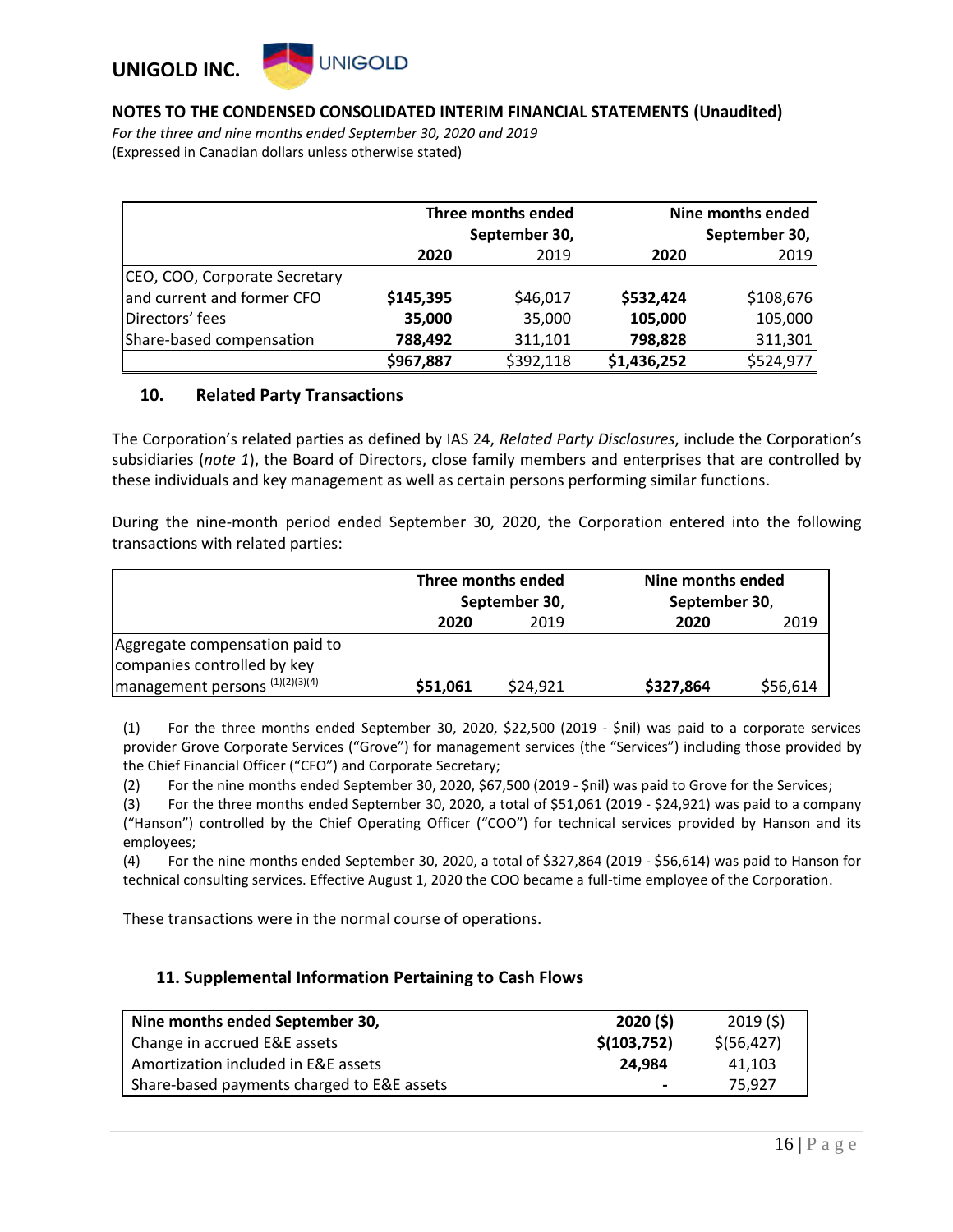## **UNIGOLD UNIGOLD INC.**

#### **NOTES TO THE CONDENSED CONSOLIDATED INTERIM FINANCIAL STATEMENTS (Unaudited)**

*For the three and nine months ended September 30, 2020 and 2019* (Expressed in Canadian dollars unless otherwise stated)

|                               | Three months ended<br>September 30, |           |             | Nine months ended<br>September 30, |
|-------------------------------|-------------------------------------|-----------|-------------|------------------------------------|
|                               | 2020                                | 2019      | 2020        | 2019                               |
| CEO, COO, Corporate Secretary |                                     |           |             |                                    |
| and current and former CFO    | \$145,395                           | \$46,017  | \$532,424   | \$108,676                          |
| Directors' fees               | 35,000                              | 35,000    | 105,000     | 105,000                            |
| Share-based compensation      | 788,492                             | 311,101   | 798,828     | 311,301                            |
|                               | \$967,887                           | \$392,118 | \$1,436,252 | \$524,977                          |

#### **10. Related Party Transactions**

The Corporation's related parties as defined by IAS 24, *Related Party Disclosures*, include the Corporation's subsidiaries (*note 1*), the Board of Directors, close family members and enterprises that are controlled by these individuals and key management as well as certain persons performing similar functions.

During the nine-month period ended September 30, 2020, the Corporation entered into the following transactions with related parties:

|                                                               | Three months ended<br>September 30, |          | Nine months ended<br>September 30, |          |
|---------------------------------------------------------------|-------------------------------------|----------|------------------------------------|----------|
|                                                               | 2020                                | 2019     | 2020                               | 2019     |
| Aggregate compensation paid to<br>companies controlled by key |                                     |          |                                    |          |
| management persons (1)(2)(3)(4)                               | \$51,061                            | \$24,921 | \$327,864                          | \$56,614 |

(1) For the three months ended September 30, 2020, \$22,500 (2019 - \$nil) was paid to a corporate services provider Grove Corporate Services ("Grove") for management services (the "Services") including those provided by the Chief Financial Officer ("CFO") and Corporate Secretary;

(2) For the nine months ended September 30, 2020, \$67,500 (2019 - \$nil) was paid to Grove for the Services;

(3) For the three months ended September 30, 2020, a total of \$51,061 (2019 - \$24,921) was paid to a company ("Hanson") controlled by the Chief Operating Officer ("COO") for technical services provided by Hanson and its employees;

(4) For the nine months ended September 30, 2020, a total of \$327,864 (2019 - \$56,614) was paid to Hanson for technical consulting services. Effective August 1, 2020 the COO became a full-time employee of the Corporation.

These transactions were in the normal course of operations.

#### **11. Supplemental Information Pertaining to Cash Flows**

| Nine months ended September 30,            | 2020(5)     | 2019(5)      |
|--------------------------------------------|-------------|--------------|
| Change in accrued E&E assets               | \$(103,752) | \$ (56, 427) |
| Amortization included in E&E assets        | 24.984      | 41.103       |
| Share-based payments charged to E&E assets |             | 75.927       |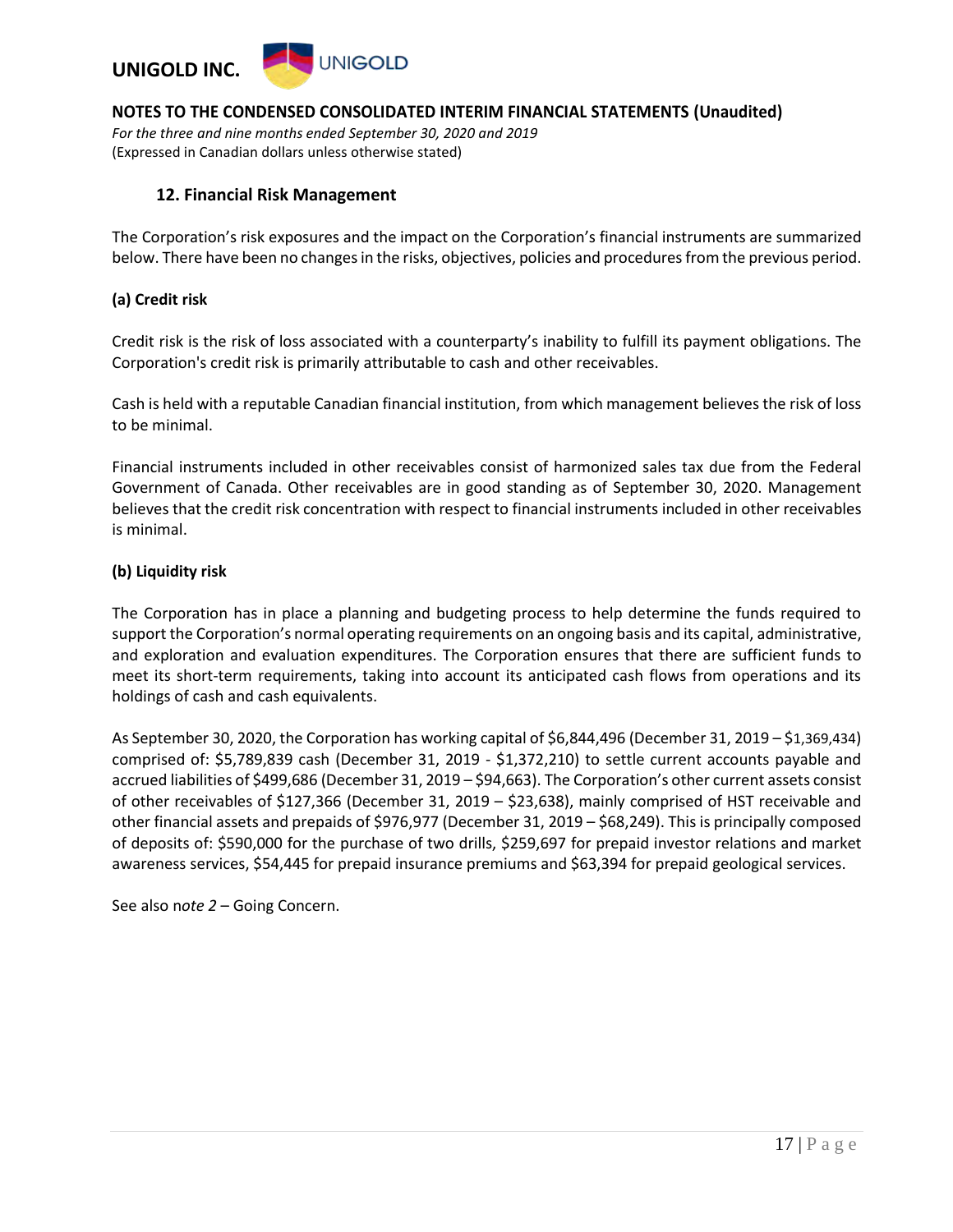

*For the three and nine months ended September 30, 2020 and 2019* (Expressed in Canadian dollars unless otherwise stated)

#### **12. Financial Risk Management**

The Corporation's risk exposures and the impact on the Corporation's financial instruments are summarized below. There have been no changes in the risks, objectives, policies and procedures from the previous period.

#### **(a) Credit risk**

Credit risk is the risk of loss associated with a counterparty's inability to fulfill its payment obligations. The Corporation's credit risk is primarily attributable to cash and other receivables.

Cash is held with a reputable Canadian financial institution, from which management believes the risk of loss to be minimal.

Financial instruments included in other receivables consist of harmonized sales tax due from the Federal Government of Canada. Other receivables are in good standing as of September 30, 2020. Management believes that the credit risk concentration with respect to financial instruments included in other receivables is minimal.

#### **(b) Liquidity risk**

The Corporation has in place a planning and budgeting process to help determine the funds required to support the Corporation's normal operating requirements on an ongoing basis and its capital, administrative, and exploration and evaluation expenditures. The Corporation ensures that there are sufficient funds to meet its short-term requirements, taking into account its anticipated cash flows from operations and its holdings of cash and cash equivalents.

As September 30, 2020, the Corporation has working capital of \$6,844,496 (December 31, 2019 – \$1,369,434) comprised of: \$5,789,839 cash (December 31, 2019 - \$1,372,210) to settle current accounts payable and accrued liabilities of \$499,686 (December 31, 2019 – \$94,663). The Corporation's other current assets consist of other receivables of \$127,366 (December 31, 2019 – \$23,638), mainly comprised of HST receivable and other financial assets and prepaids of \$976,977 (December 31, 2019 – \$68,249). This is principally composed of deposits of: \$590,000 for the purchase of two drills, \$259,697 for prepaid investor relations and market awareness services, \$54,445 for prepaid insurance premiums and \$63,394 for prepaid geological services.

See also n*ote 2* – Going Concern.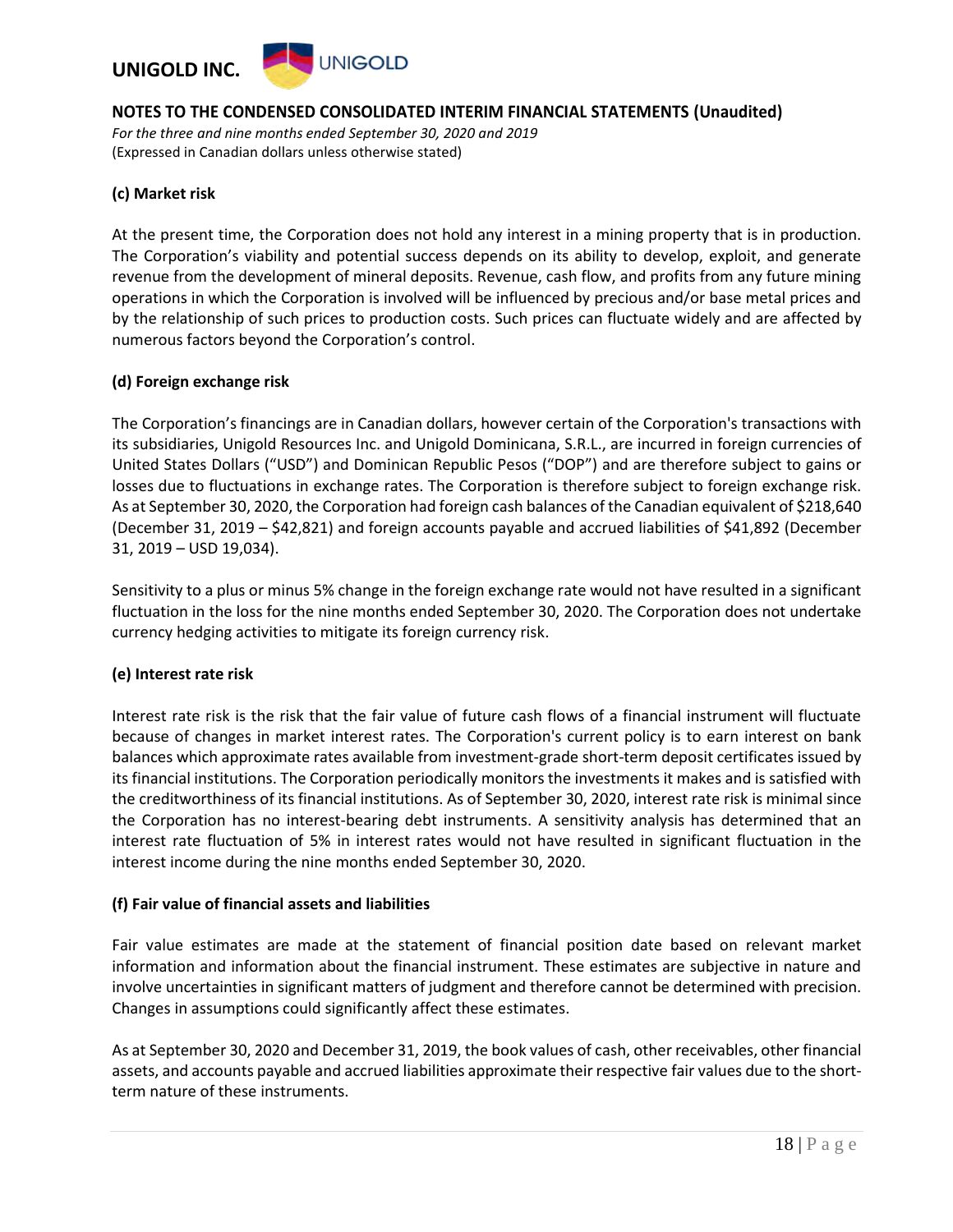

*For the three and nine months ended September 30, 2020 and 2019* (Expressed in Canadian dollars unless otherwise stated)

#### **(c) Market risk**

At the present time, the Corporation does not hold any interest in a mining property that is in production. The Corporation's viability and potential success depends on its ability to develop, exploit, and generate revenue from the development of mineral deposits. Revenue, cash flow, and profits from any future mining operations in which the Corporation is involved will be influenced by precious and/or base metal prices and by the relationship of such prices to production costs. Such prices can fluctuate widely and are affected by numerous factors beyond the Corporation's control.

#### **(d) Foreign exchange risk**

The Corporation's financings are in Canadian dollars, however certain of the Corporation's transactions with its subsidiaries, Unigold Resources Inc. and Unigold Dominicana, S.R.L., are incurred in foreign currencies of United States Dollars ("USD") and Dominican Republic Pesos ("DOP") and are therefore subject to gains or losses due to fluctuations in exchange rates. The Corporation is therefore subject to foreign exchange risk. As at September 30, 2020, the Corporation had foreign cash balances of the Canadian equivalent of \$218,640 (December 31, 2019 – \$42,821) and foreign accounts payable and accrued liabilities of \$41,892 (December 31, 2019 – USD 19,034).

Sensitivity to a plus or minus 5% change in the foreign exchange rate would not have resulted in a significant fluctuation in the loss for the nine months ended September 30, 2020. The Corporation does not undertake currency hedging activities to mitigate its foreign currency risk.

#### **(e) Interest rate risk**

Interest rate risk is the risk that the fair value of future cash flows of a financial instrument will fluctuate because of changes in market interest rates. The Corporation's current policy is to earn interest on bank balances which approximate rates available from investment-grade short-term deposit certificates issued by its financial institutions. The Corporation periodically monitors the investments it makes and is satisfied with the creditworthiness of its financial institutions. As of September 30, 2020, interest rate risk is minimal since the Corporation has no interest-bearing debt instruments. A sensitivity analysis has determined that an interest rate fluctuation of 5% in interest rates would not have resulted in significant fluctuation in the interest income during the nine months ended September 30, 2020.

#### **(f) Fair value of financial assets and liabilities**

Fair value estimates are made at the statement of financial position date based on relevant market information and information about the financial instrument. These estimates are subjective in nature and involve uncertainties in significant matters of judgment and therefore cannot be determined with precision. Changes in assumptions could significantly affect these estimates.

As at September 30, 2020 and December 31, 2019, the book values of cash, other receivables, other financial assets, and accounts payable and accrued liabilities approximate their respective fair values due to the shortterm nature of these instruments.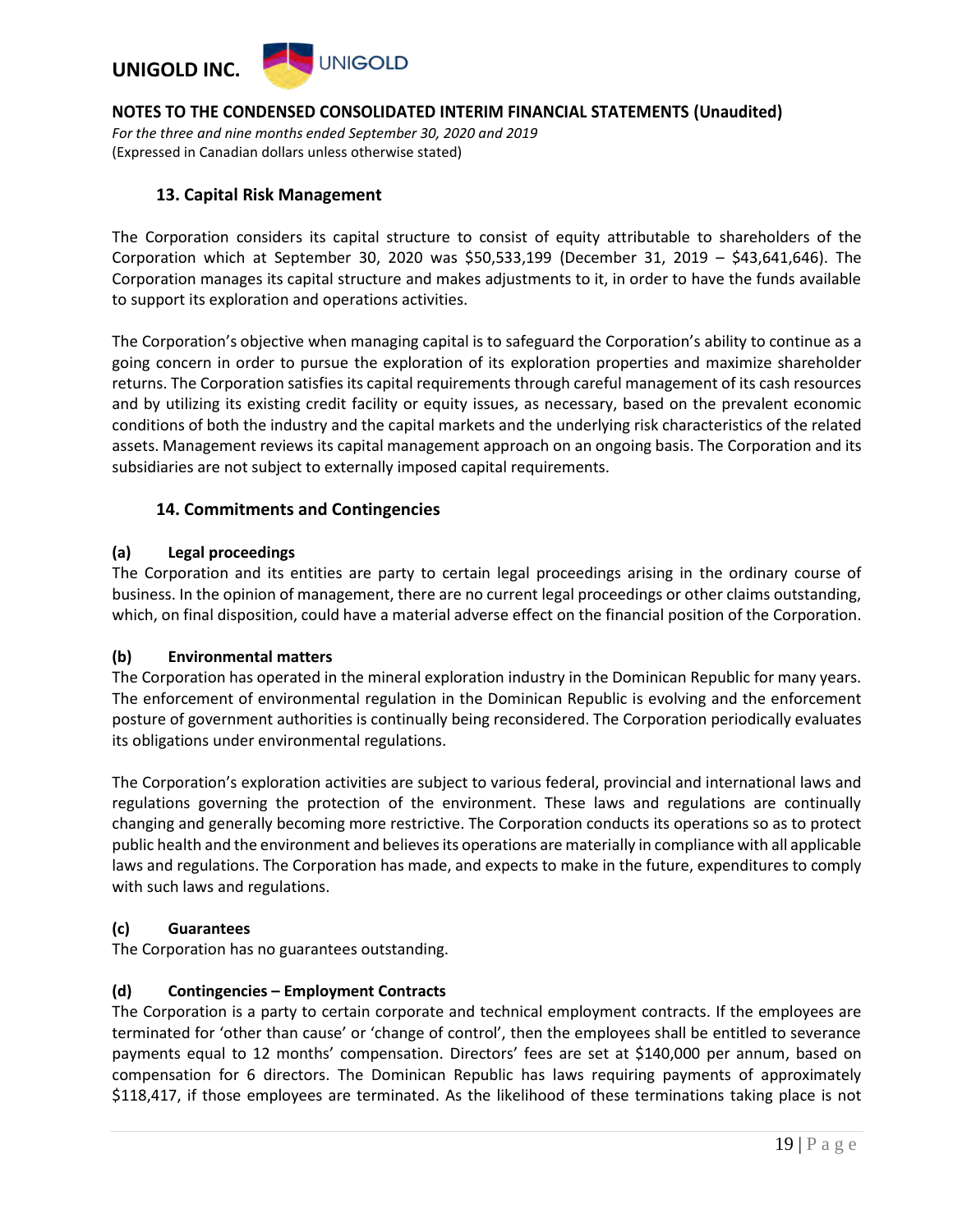

*For the three and nine months ended September 30, 2020 and 2019* (Expressed in Canadian dollars unless otherwise stated)

### **13. Capital Risk Management**

The Corporation considers its capital structure to consist of equity attributable to shareholders of the Corporation which at September 30, 2020 was \$50,533,199 (December 31, 2019 – \$43,641,646). The Corporation manages its capital structure and makes adjustments to it, in order to have the funds available to support its exploration and operations activities.

The Corporation's objective when managing capital is to safeguard the Corporation's ability to continue as a going concern in order to pursue the exploration of its exploration properties and maximize shareholder returns. The Corporation satisfies its capital requirements through careful management of its cash resources and by utilizing its existing credit facility or equity issues, as necessary, based on the prevalent economic conditions of both the industry and the capital markets and the underlying risk characteristics of the related assets. Management reviews its capital management approach on an ongoing basis. The Corporation and its subsidiaries are not subject to externally imposed capital requirements.

## **14. Commitments and Contingencies**

#### **(a) Legal proceedings**

The Corporation and its entities are party to certain legal proceedings arising in the ordinary course of business. In the opinion of management, there are no current legal proceedings or other claims outstanding, which, on final disposition, could have a material adverse effect on the financial position of the Corporation.

#### **(b) Environmental matters**

The Corporation has operated in the mineral exploration industry in the Dominican Republic for many years. The enforcement of environmental regulation in the Dominican Republic is evolving and the enforcement posture of government authorities is continually being reconsidered. The Corporation periodically evaluates its obligations under environmental regulations.

The Corporation's exploration activities are subject to various federal, provincial and international laws and regulations governing the protection of the environment. These laws and regulations are continually changing and generally becoming more restrictive. The Corporation conducts its operations so as to protect public health and the environment and believes its operations are materially in compliance with all applicable laws and regulations. The Corporation has made, and expects to make in the future, expenditures to comply with such laws and regulations.

#### **(c) Guarantees**

The Corporation has no guarantees outstanding.

#### **(d) Contingencies – Employment Contracts**

The Corporation is a party to certain corporate and technical employment contracts. If the employees are terminated for 'other than cause' or 'change of control', then the employees shall be entitled to severance payments equal to 12 months' compensation. Directors' fees are set at \$140,000 per annum, based on compensation for 6 directors. The Dominican Republic has laws requiring payments of approximately \$118,417, if those employees are terminated. As the likelihood of these terminations taking place is not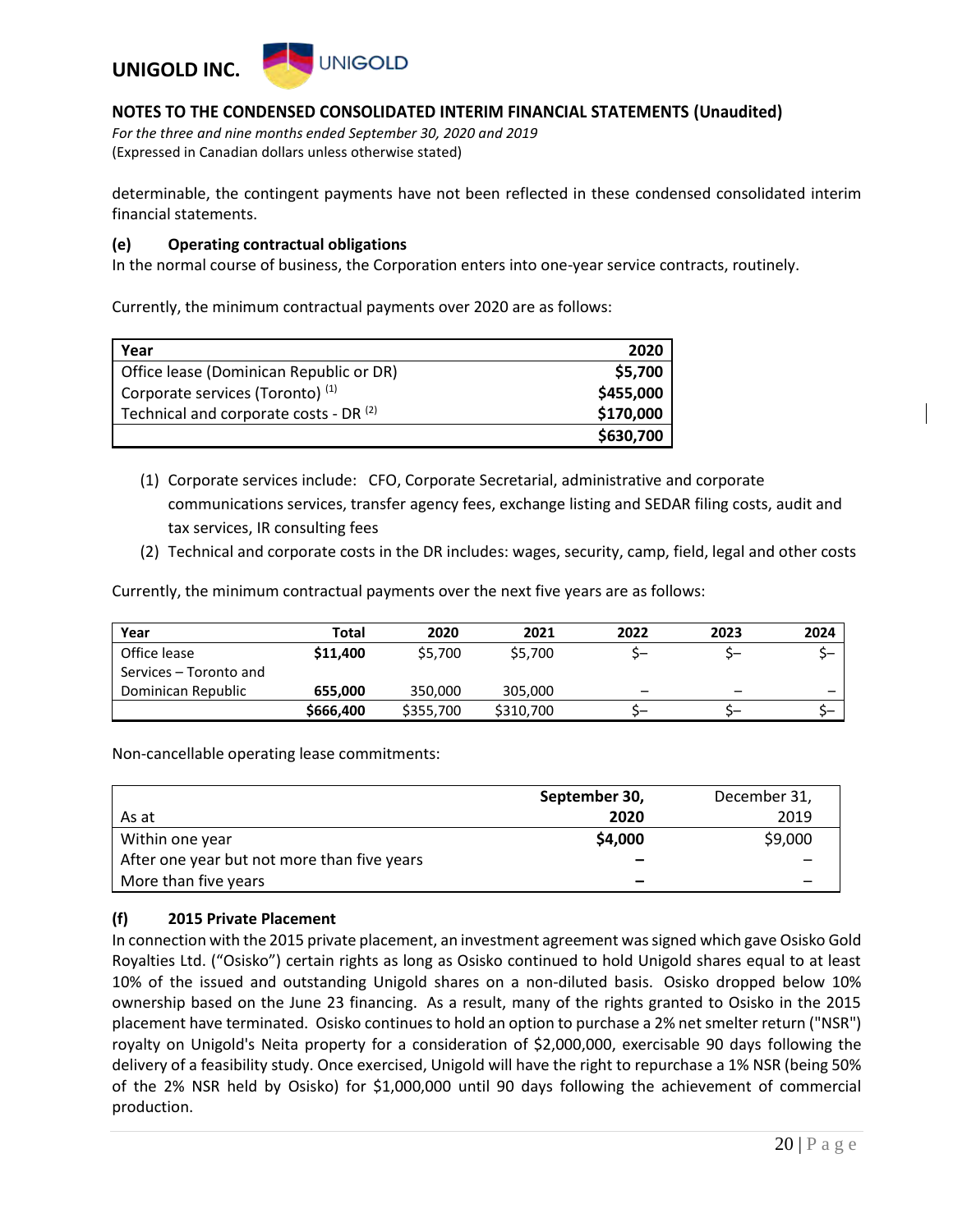

*For the three and nine months ended September 30, 2020 and 2019* (Expressed in Canadian dollars unless otherwise stated)

determinable, the contingent payments have not been reflected in these condensed consolidated interim financial statements.

#### **(e) Operating contractual obligations**

In the normal course of business, the Corporation enters into one-year service contracts, routinely.

Currently, the minimum contractual payments over 2020 are as follows:

| Year                                              | 2020      |
|---------------------------------------------------|-----------|
| Office lease (Dominican Republic or DR)           | \$5,700   |
| Corporate services (Toronto) (1)                  | \$455,000 |
| Technical and corporate costs - DR <sup>(2)</sup> | \$170,000 |
|                                                   | \$630,700 |

- (1) Corporate services include: CFO, Corporate Secretarial, administrative and corporate communications services, transfer agency fees, exchange listing and SEDAR filing costs, audit and tax services, IR consulting fees
- (2) Technical and corporate costs in the DR includes: wages, security, camp, field, legal and other costs

Currently, the minimum contractual payments over the next five years are as follows:

| Year                   | Total     | 2020      | 2021      | 2022                     | 2023                     | 2024 |
|------------------------|-----------|-----------|-----------|--------------------------|--------------------------|------|
| Office lease           | \$11,400  | \$5,700   | \$5,700   |                          |                          |      |
| Services – Toronto and |           |           |           |                          |                          |      |
| Dominican Republic     | 655,000   | 350,000   | 305,000   | $\overline{\phantom{0}}$ | $\overline{\phantom{m}}$ | _    |
|                        | \$666,400 | \$355,700 | \$310,700 |                          |                          |      |

Non-cancellable operating lease commitments:

|                                             | September 30, | December 31, |
|---------------------------------------------|---------------|--------------|
| As at                                       | 2020          | 2019         |
| Within one year                             | \$4,000       | \$9,000      |
| After one year but not more than five years | -             |              |
| More than five years                        | -             |              |

#### **(f) 2015 Private Placement**

In connection with the 2015 private placement, an investment agreement was signed which gave Osisko Gold Royalties Ltd. ("Osisko") certain rights as long as Osisko continued to hold Unigold shares equal to at least 10% of the issued and outstanding Unigold shares on a non-diluted basis. Osisko dropped below 10% ownership based on the June 23 financing. As a result, many of the rights granted to Osisko in the 2015 placement have terminated. Osisko continues to hold an option to purchase a 2% net smelter return ("NSR") royalty on Unigold's Neita property for a consideration of \$2,000,000, exercisable 90 days following the delivery of a feasibility study. Once exercised, Unigold will have the right to repurchase a 1% NSR (being 50% of the 2% NSR held by Osisko) for \$1,000,000 until 90 days following the achievement of commercial production.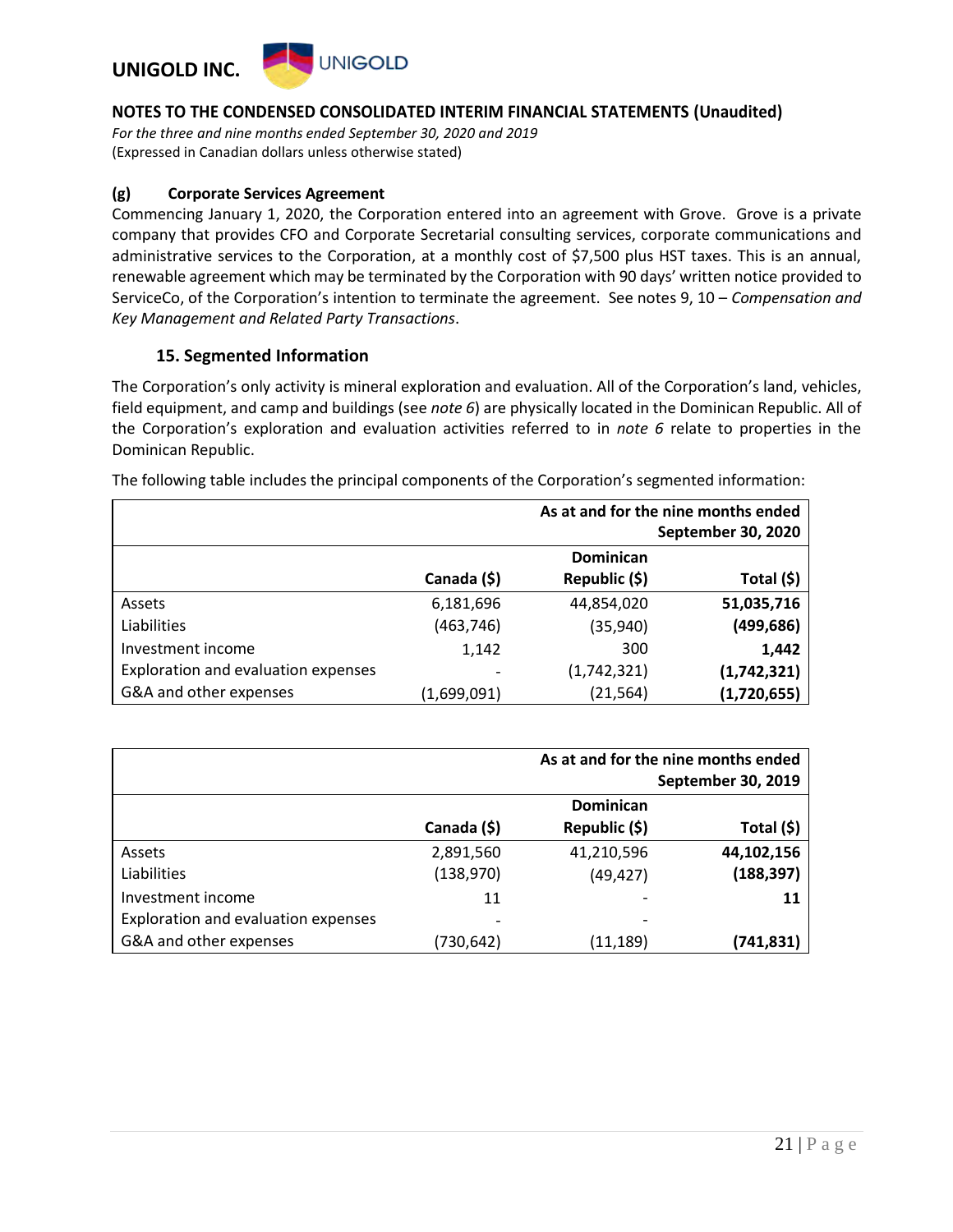

*For the three and nine months ended September 30, 2020 and 2019* (Expressed in Canadian dollars unless otherwise stated)

#### **(g) Corporate Services Agreement**

Commencing January 1, 2020, the Corporation entered into an agreement with Grove. Grove is a private company that provides CFO and Corporate Secretarial consulting services, corporate communications and administrative services to the Corporation, at a monthly cost of \$7,500 plus HST taxes. This is an annual, renewable agreement which may be terminated by the Corporation with 90 days' written notice provided to ServiceCo, of the Corporation's intention to terminate the agreement. See notes 9, 10 – *Compensation and Key Management and Related Party Transactions*.

#### **15. Segmented Information**

The Corporation's only activity is mineral exploration and evaluation. All of the Corporation's land, vehicles, field equipment, and camp and buildings (see *note 6*) are physically located in the Dominican Republic. All of the Corporation's exploration and evaluation activities referred to in *note 6* relate to properties in the Dominican Republic.

|                                     |             | As at and for the nine months ended |             |  |
|-------------------------------------|-------------|-------------------------------------|-------------|--|
|                                     |             | <b>September 30, 2020</b>           |             |  |
|                                     |             | <b>Dominican</b>                    |             |  |
|                                     | Canada (\$) | Republic (\$)                       | Total (\$)  |  |
| Assets                              | 6,181,696   | 44,854,020                          | 51,035,716  |  |
| Liabilities                         | (463, 746)  | (35,940)                            | (499, 686)  |  |
| Investment income                   | 1,142       | 300                                 | 1,442       |  |
| Exploration and evaluation expenses |             | (1,742,321)                         | (1,742,321) |  |
| G&A and other expenses              | (1,699,091) | (21, 564)                           | (1,720,655) |  |

The following table includes the principal components of the Corporation's segmented information:

|                                     |             | As at and for the nine months ended<br>September 30, 2019 |            |  |  |
|-------------------------------------|-------------|-----------------------------------------------------------|------------|--|--|
|                                     |             | Dominican                                                 |            |  |  |
|                                     | Canada (\$) | Republic (\$)                                             | Total (\$) |  |  |
| Assets                              | 2,891,560   | 41,210,596                                                | 44,102,156 |  |  |
| Liabilities                         | (138, 970)  | (49, 427)                                                 | (188, 397) |  |  |
| Investment income                   | 11          |                                                           | 11         |  |  |
| Exploration and evaluation expenses |             |                                                           |            |  |  |
| G&A and other expenses              | (730,642)   | (11, 189)                                                 | (741,831)  |  |  |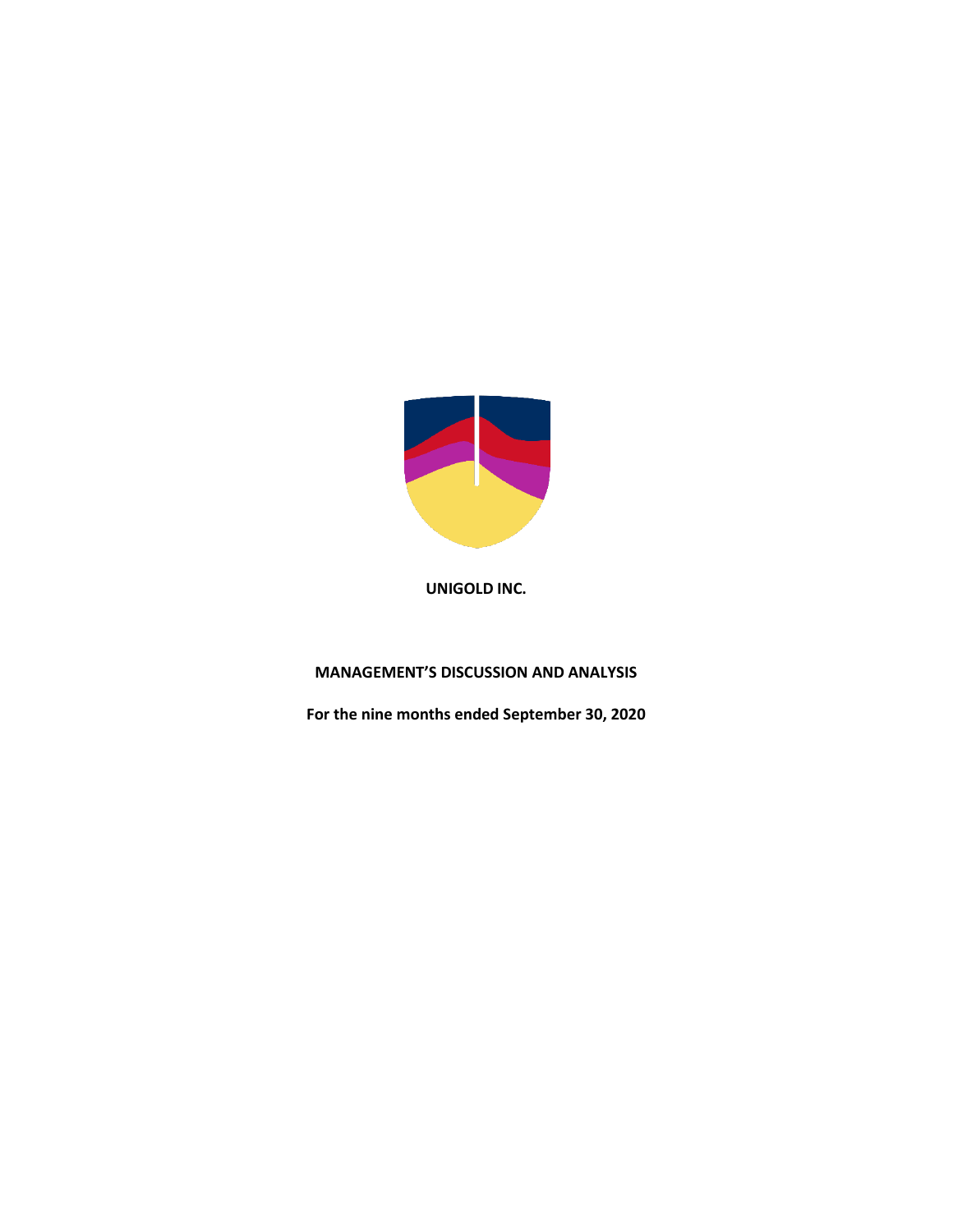

## **MANAGEMENT'S DISCUSSION AND ANALYSIS**

**For the nine months ended September 30, 2020**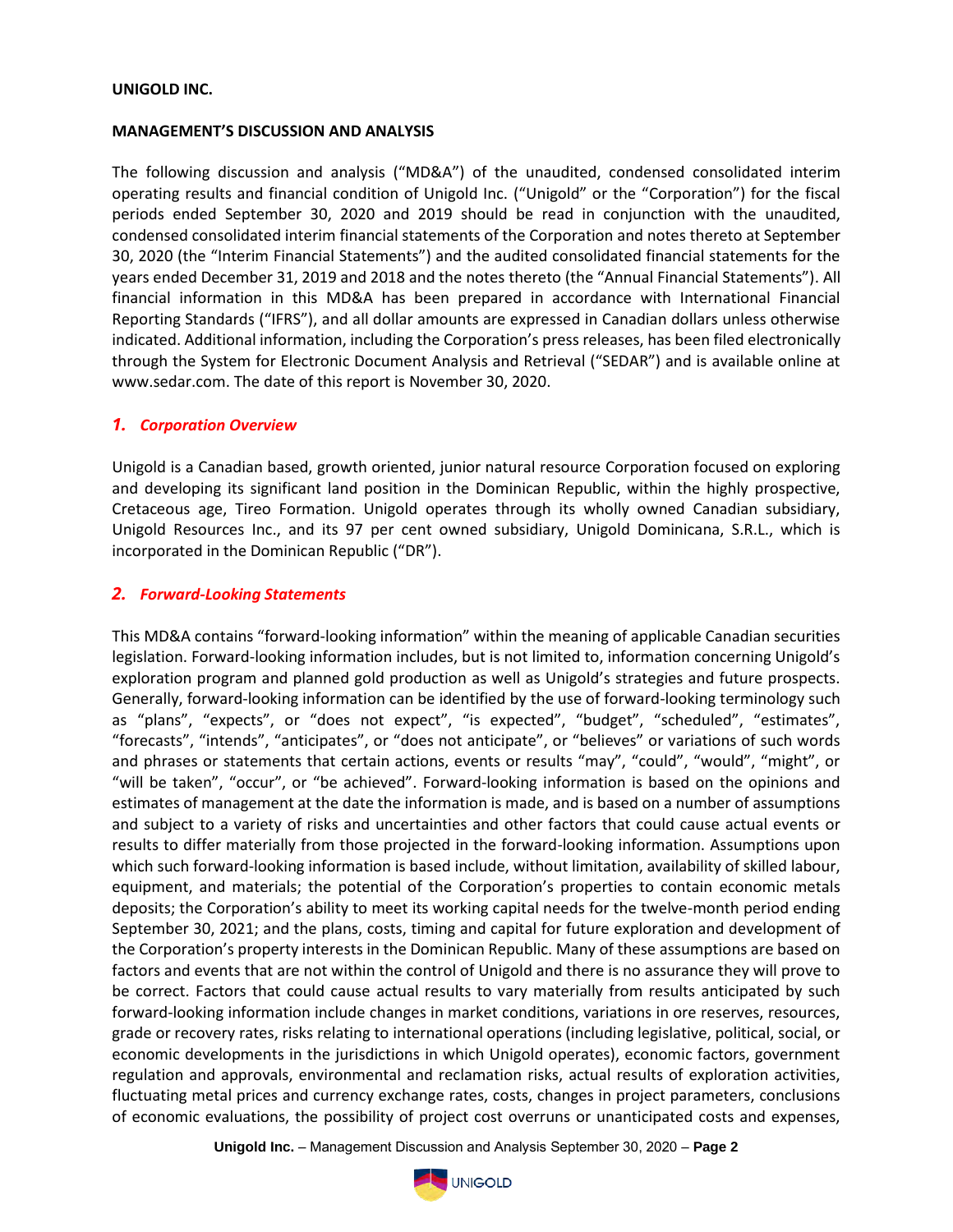#### **MANAGEMENT'S DISCUSSION AND ANALYSIS**

The following discussion and analysis ("MD&A") of the unaudited, condensed consolidated interim operating results and financial condition of Unigold Inc. ("Unigold" or the "Corporation") for the fiscal periods ended September 30, 2020 and 2019 should be read in conjunction with the unaudited, condensed consolidated interim financial statements of the Corporation and notes thereto at September 30, 2020 (the "Interim Financial Statements") and the audited consolidated financial statements for the years ended December 31, 2019 and 2018 and the notes thereto (the "Annual Financial Statements"). All financial information in this MD&A has been prepared in accordance with International Financial Reporting Standards ("IFRS"), and all dollar amounts are expressed in Canadian dollars unless otherwise indicated. Additional information, including the Corporation's press releases, has been filed electronically through the System for Electronic Document Analysis and Retrieval ("SEDAR") and is available online at www.sedar.com. The date of this report is November 30, 2020.

#### *1. Corporation Overview*

Unigold is a Canadian based, growth oriented, junior natural resource Corporation focused on exploring and developing its significant land position in the Dominican Republic, within the highly prospective, Cretaceous age, Tireo Formation. Unigold operates through its wholly owned Canadian subsidiary, Unigold Resources Inc., and its 97 per cent owned subsidiary, Unigold Dominicana, S.R.L., which is incorporated in the Dominican Republic ("DR").

#### *2. Forward-Looking Statements*

This MD&A contains "forward-looking information" within the meaning of applicable Canadian securities legislation. Forward-looking information includes, but is not limited to, information concerning Unigold's exploration program and planned gold production as well as Unigold's strategies and future prospects. Generally, forward-looking information can be identified by the use of forward-looking terminology such as "plans", "expects", or "does not expect", "is expected", "budget", "scheduled", "estimates", "forecasts", "intends", "anticipates", or "does not anticipate", or "believes" or variations of such words and phrases or statements that certain actions, events or results "may", "could", "would", "might", or "will be taken", "occur", or "be achieved". Forward-looking information is based on the opinions and estimates of management at the date the information is made, and is based on a number of assumptions and subject to a variety of risks and uncertainties and other factors that could cause actual events or results to differ materially from those projected in the forward-looking information. Assumptions upon which such forward-looking information is based include, without limitation, availability of skilled labour, equipment, and materials; the potential of the Corporation's properties to contain economic metals deposits; the Corporation's ability to meet its working capital needs for the twelve-month period ending September 30, 2021; and the plans, costs, timing and capital for future exploration and development of the Corporation's property interests in the Dominican Republic. Many of these assumptions are based on factors and events that are not within the control of Unigold and there is no assurance they will prove to be correct. Factors that could cause actual results to vary materially from results anticipated by such forward-looking information include changes in market conditions, variations in ore reserves, resources, grade or recovery rates, risks relating to international operations (including legislative, political, social, or economic developments in the jurisdictions in which Unigold operates), economic factors, government regulation and approvals, environmental and reclamation risks, actual results of exploration activities, fluctuating metal prices and currency exchange rates, costs, changes in project parameters, conclusions of economic evaluations, the possibility of project cost overruns or unanticipated costs and expenses,

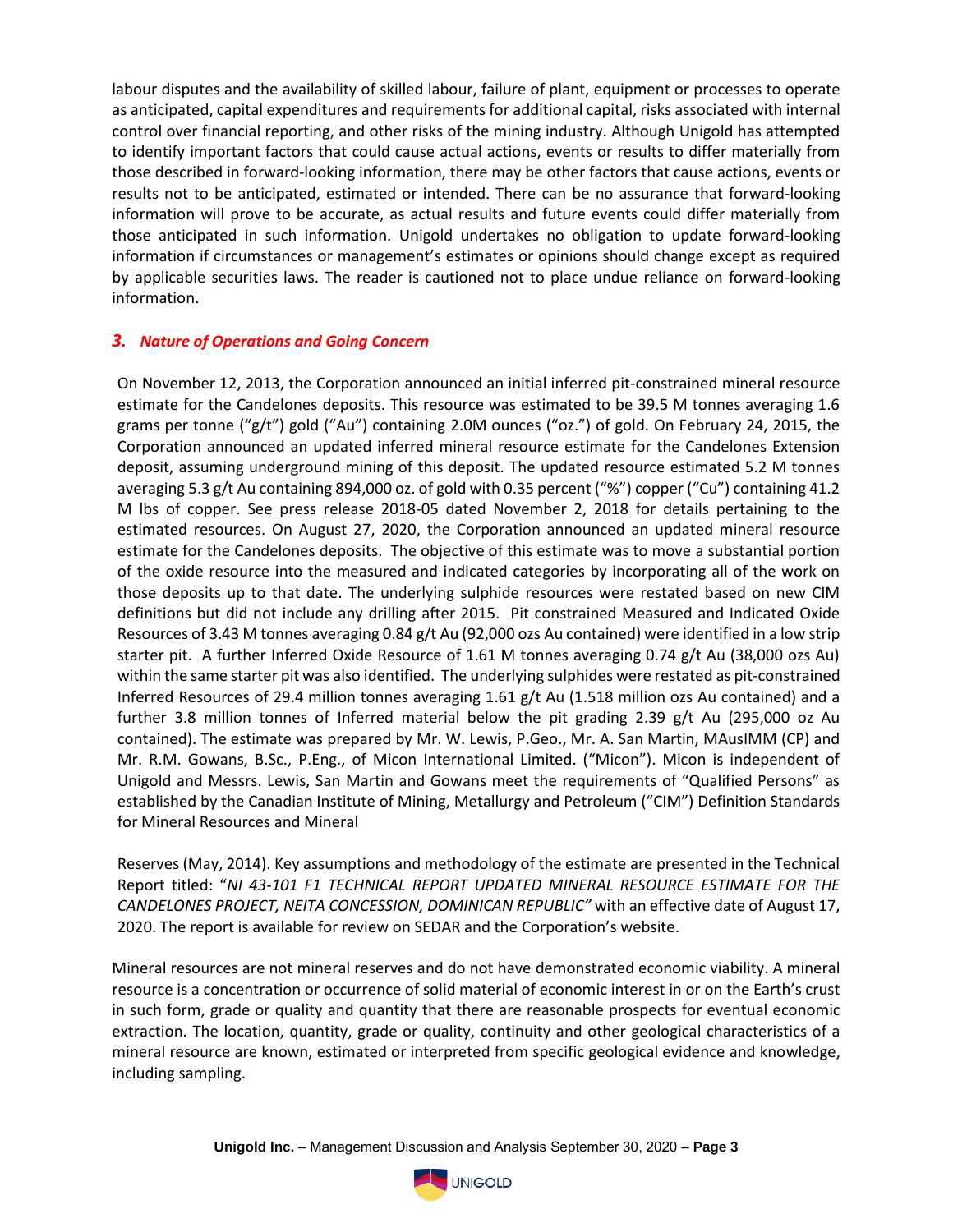labour disputes and the availability of skilled labour, failure of plant, equipment or processes to operate as anticipated, capital expenditures and requirements for additional capital, risks associated with internal control over financial reporting, and other risks of the mining industry. Although Unigold has attempted to identify important factors that could cause actual actions, events or results to differ materially from those described in forward-looking information, there may be other factors that cause actions, events or results not to be anticipated, estimated or intended. There can be no assurance that forward-looking information will prove to be accurate, as actual results and future events could differ materially from those anticipated in such information. Unigold undertakes no obligation to update forward-looking information if circumstances or management's estimates or opinions should change except as required by applicable securities laws. The reader is cautioned not to place undue reliance on forward-looking information.

## *3. Nature of Operations and Going Concern*

On November 12, 2013, the Corporation announced an initial inferred pit-constrained mineral resource estimate for the Candelones deposits. This resource was estimated to be 39.5 M tonnes averaging 1.6 grams per tonne ("g/t") gold ("Au") containing 2.0M ounces ("oz.") of gold. On February 24, 2015, the Corporation announced an updated inferred mineral resource estimate for the Candelones Extension deposit, assuming underground mining of this deposit. The updated resource estimated 5.2 M tonnes averaging 5.3 g/t Au containing 894,000 oz. of gold with 0.35 percent ("%") copper ("Cu") containing 41.2 M lbs of copper. See press release 2018-05 dated November 2, 2018 for details pertaining to the estimated resources. On August 27, 2020, the Corporation announced an updated mineral resource estimate for the Candelones deposits. The objective of this estimate was to move a substantial portion of the oxide resource into the measured and indicated categories by incorporating all of the work on those deposits up to that date. The underlying sulphide resources were restated based on new CIM definitions but did not include any drilling after 2015. Pit constrained Measured and Indicated Oxide Resources of 3.43 M tonnes averaging 0.84 g/t Au (92,000 ozs Au contained) were identified in a low strip starter pit. A further Inferred Oxide Resource of 1.61 M tonnes averaging 0.74 g/t Au (38,000 ozs Au) within the same starter pit was also identified. The underlying sulphides were restated as pit-constrained Inferred Resources of 29.4 million tonnes averaging 1.61 g/t Au (1.518 million ozs Au contained) and a further 3.8 million tonnes of Inferred material below the pit grading 2.39 g/t Au (295,000 oz Au contained). The estimate was prepared by Mr. W. Lewis, P.Geo., Mr. A. San Martin, MAusIMM (CP) and Mr. R.M. Gowans, B.Sc., P.Eng., of Micon International Limited. ("Micon"). Micon is independent of Unigold and Messrs. Lewis, San Martin and Gowans meet the requirements of "Qualified Persons" as established by the Canadian Institute of Mining, Metallurgy and Petroleum ("CIM") Definition Standards for Mineral Resources and Mineral

Reserves (May, 2014). Key assumptions and methodology of the estimate are presented in the Technical Report titled: "*NI 43-101 F1 TECHNICAL REPORT UPDATED MINERAL RESOURCE ESTIMATE FOR THE CANDELONES PROJECT, NEITA CONCESSION, DOMINICAN REPUBLIC"* with an effective date of August 17, 2020. The report is available for review on SEDAR and the Corporation's website.

Mineral resources are not mineral reserves and do not have demonstrated economic viability. A mineral resource is a concentration or occurrence of solid material of economic interest in or on the Earth's crust in such form, grade or quality and quantity that there are reasonable prospects for eventual economic extraction. The location, quantity, grade or quality, continuity and other geological characteristics of a mineral resource are known, estimated or interpreted from specific geological evidence and knowledge, including sampling.

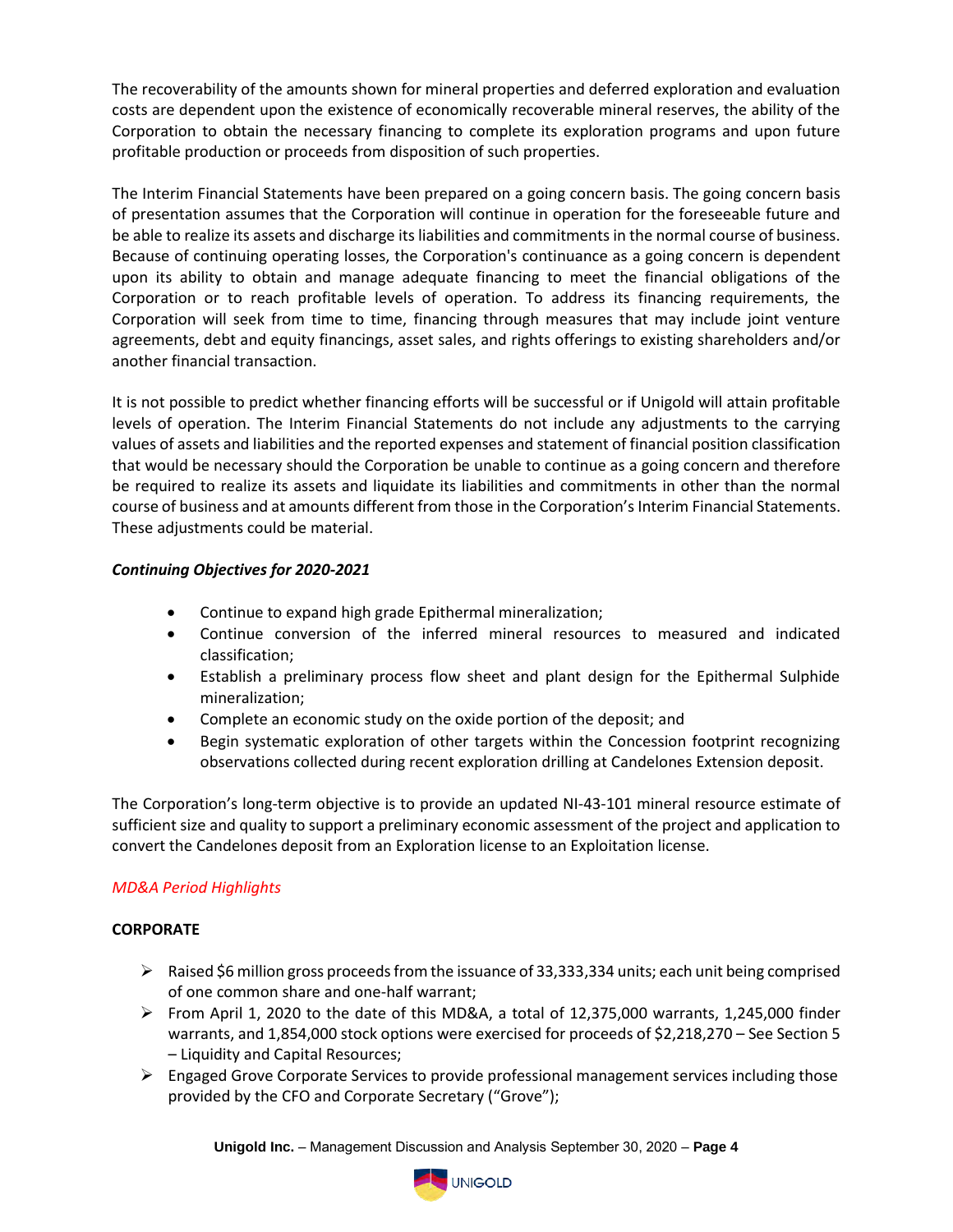The recoverability of the amounts shown for mineral properties and deferred exploration and evaluation costs are dependent upon the existence of economically recoverable mineral reserves, the ability of the Corporation to obtain the necessary financing to complete its exploration programs and upon future profitable production or proceeds from disposition of such properties.

The Interim Financial Statements have been prepared on a going concern basis. The going concern basis of presentation assumes that the Corporation will continue in operation for the foreseeable future and be able to realize its assets and discharge its liabilities and commitments in the normal course of business. Because of continuing operating losses, the Corporation's continuance as a going concern is dependent upon its ability to obtain and manage adequate financing to meet the financial obligations of the Corporation or to reach profitable levels of operation. To address its financing requirements, the Corporation will seek from time to time, financing through measures that may include joint venture agreements, debt and equity financings, asset sales, and rights offerings to existing shareholders and/or another financial transaction.

It is not possible to predict whether financing efforts will be successful or if Unigold will attain profitable levels of operation. The Interim Financial Statements do not include any adjustments to the carrying values of assets and liabilities and the reported expenses and statement of financial position classification that would be necessary should the Corporation be unable to continue as a going concern and therefore be required to realize its assets and liquidate its liabilities and commitments in other than the normal course of business and at amounts different from those in the Corporation's Interim Financial Statements. These adjustments could be material.

## *Continuing Objectives for 2020-2021*

- Continue to expand high grade Epithermal mineralization;
- Continue conversion of the inferred mineral resources to measured and indicated classification;
- Establish a preliminary process flow sheet and plant design for the Epithermal Sulphide mineralization;
- Complete an economic study on the oxide portion of the deposit; and
- Begin systematic exploration of other targets within the Concession footprint recognizing observations collected during recent exploration drilling at Candelones Extension deposit.

The Corporation's long-term objective is to provide an updated NI-43-101 mineral resource estimate of sufficient size and quality to support a preliminary economic assessment of the project and application to convert the Candelones deposit from an Exploration license to an Exploitation license.

## *MD&A Period Highlights*

## **CORPORATE**

- ➢ Raised \$6 million gross proceeds from the issuance of 33,333,334 units; each unit being comprised of one common share and one-half warrant;
- $\triangleright$  From April 1, 2020 to the date of this MD&A, a total of 12,375,000 warrants, 1,245,000 finder warrants, and 1,854,000 stock options were exercised for proceeds of \$2,218,270 – See Section 5 – Liquidity and Capital Resources;
- $\triangleright$  Engaged Grove Corporate Services to provide professional management services including those provided by the CFO and Corporate Secretary ("Grove");

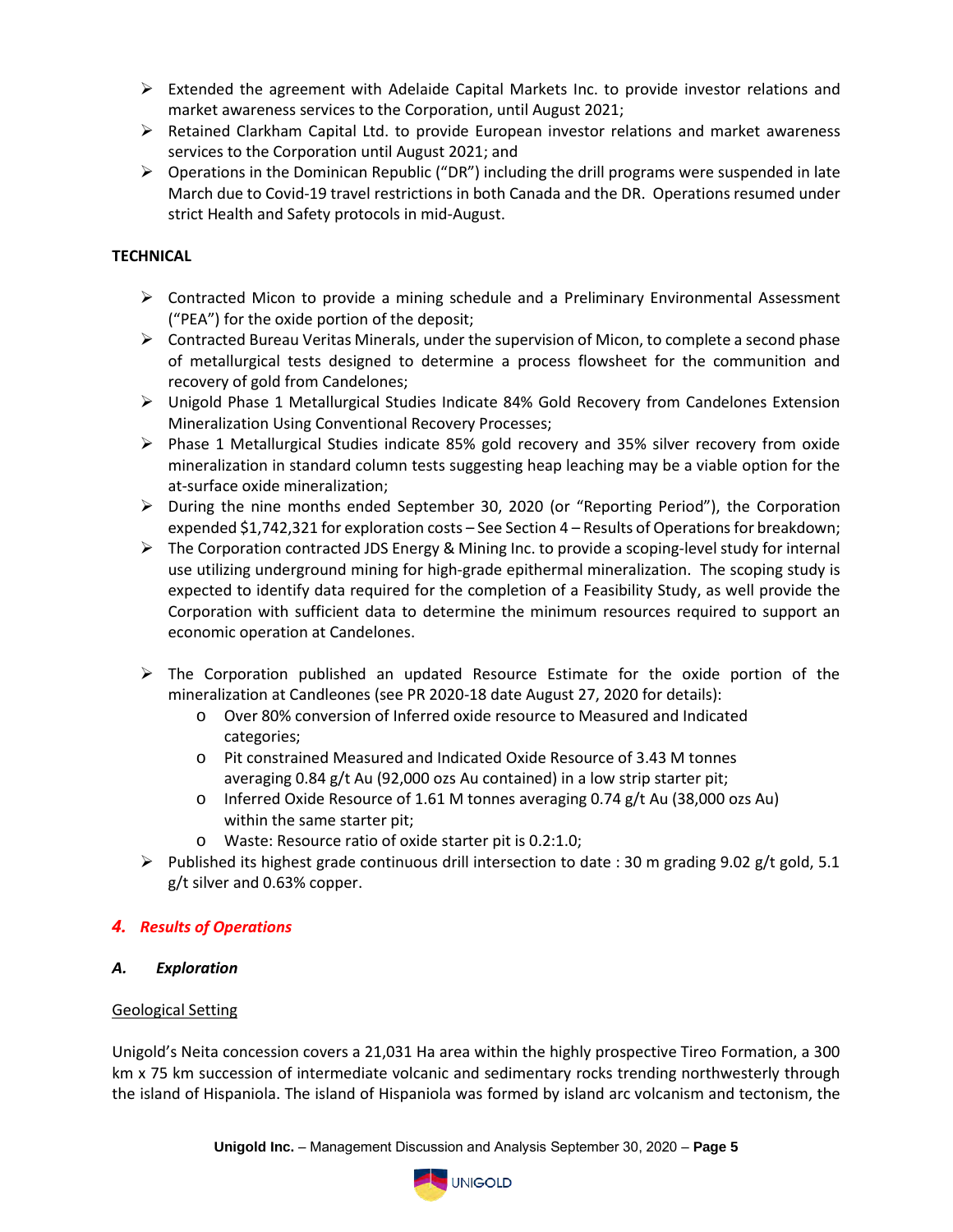- $\triangleright$  Extended the agreement with Adelaide Capital Markets Inc. to provide investor relations and market awareness services to the Corporation, until August 2021;
- $\triangleright$  Retained Clarkham Capital Ltd. to provide European investor relations and market awareness services to the Corporation until August 2021; and
- $\triangleright$  Operations in the Dominican Republic ("DR") including the drill programs were suspended in late March due to Covid-19 travel restrictions in both Canada and the DR. Operations resumed under strict Health and Safety protocols in mid-August.

## **TECHNICAL**

- ➢ Contracted Micon to provide a mining schedule and a Preliminary Environmental Assessment ("PEA") for the oxide portion of the deposit;
- $\triangleright$  Contracted Bureau Veritas Minerals, under the supervision of Micon, to complete a second phase of metallurgical tests designed to determine a process flowsheet for the communition and recovery of gold from Candelones;
- ➢ Unigold Phase 1 Metallurgical Studies Indicate 84% Gold Recovery from Candelones Extension Mineralization Using Conventional Recovery Processes;
- ➢ Phase 1 Metallurgical Studies indicate 85% gold recovery and 35% silver recovery from oxide mineralization in standard column tests suggesting heap leaching may be a viable option for the at-surface oxide mineralization;
- $\triangleright$  During the nine months ended September 30, 2020 (or "Reporting Period"), the Corporation expended \$1,742,321 for exploration costs – See Section 4 – Results of Operations for breakdown;
- $\triangleright$  The Corporation contracted JDS Energy & Mining Inc. to provide a scoping-level study for internal use utilizing underground mining for high-grade epithermal mineralization. The scoping study is expected to identify data required for the completion of a Feasibility Study, as well provide the Corporation with sufficient data to determine the minimum resources required to support an economic operation at Candelones.
- ➢ The Corporation published an updated Resource Estimate for the oxide portion of the mineralization at Candleones (see PR 2020-18 date August 27, 2020 for details):
	- o Over 80% conversion of Inferred oxide resource to Measured and Indicated categories;
	- o Pit constrained Measured and Indicated Oxide Resource of 3.43 M tonnes averaging 0.84 g/t Au (92,000 ozs Au contained) in a low strip starter pit;
	- o Inferred Oxide Resource of 1.61 M tonnes averaging 0.74 g/t Au (38,000 ozs Au) within the same starter pit;
	- o Waste: Resource ratio of oxide starter pit is 0.2:1.0;
- $\triangleright$  Published its highest grade continuous drill intersection to date : 30 m grading 9.02 g/t gold, 5.1 g/t silver and 0.63% copper.

## *4. Results of Operations*

## *A. Exploration*

## Geological Setting

Unigold's Neita concession covers a 21,031 Ha area within the highly prospective Tireo Formation, a 300 km x 75 km succession of intermediate volcanic and sedimentary rocks trending northwesterly through the island of Hispaniola. The island of Hispaniola was formed by island arc volcanism and tectonism, the

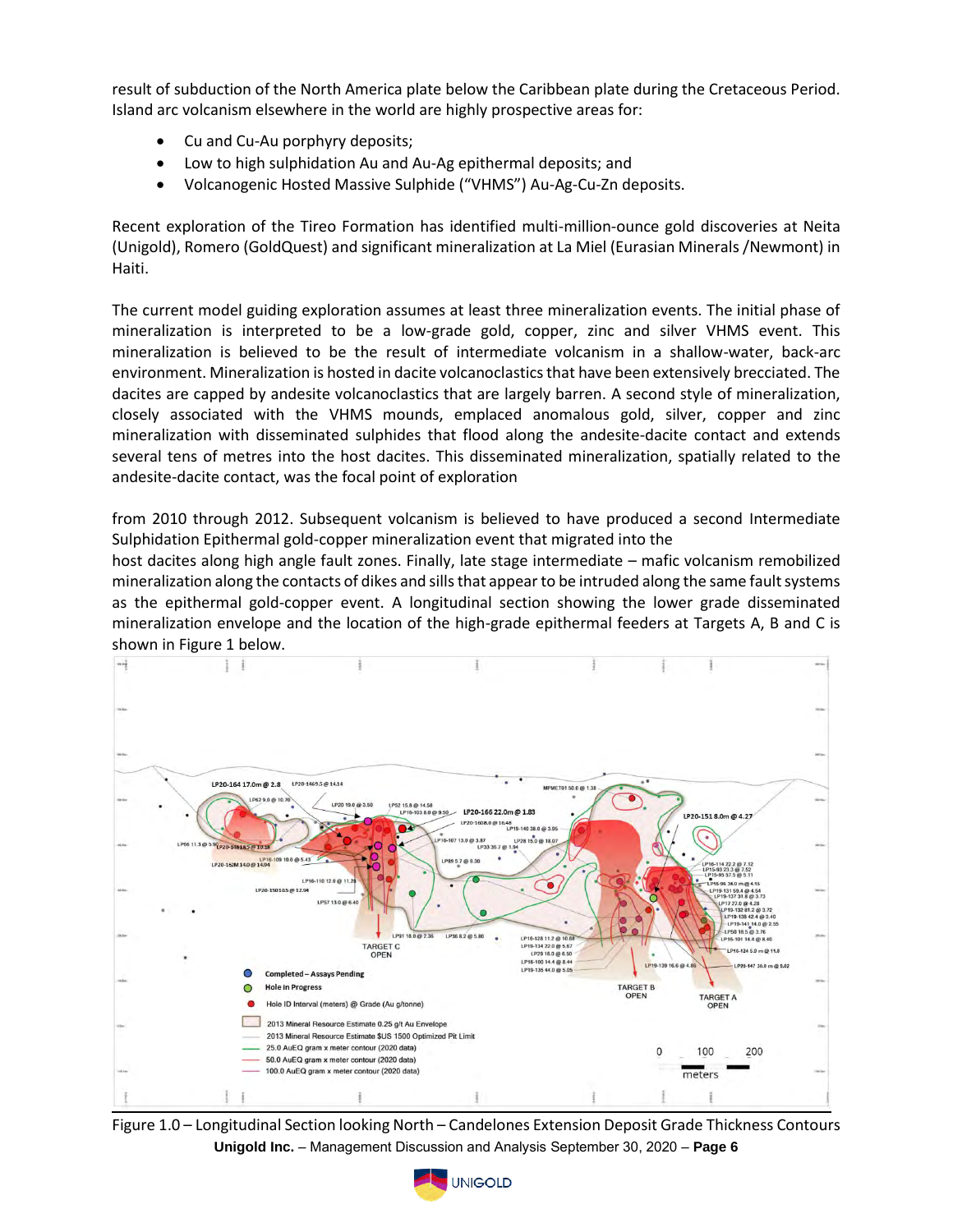result of subduction of the North America plate below the Caribbean plate during the Cretaceous Period. Island arc volcanism elsewhere in the world are highly prospective areas for:

- Cu and Cu-Au porphyry deposits;
- Low to high sulphidation Au and Au-Ag epithermal deposits; and
- Volcanogenic Hosted Massive Sulphide ("VHMS") Au-Ag-Cu-Zn deposits.

Recent exploration of the Tireo Formation has identified multi-million-ounce gold discoveries at Neita (Unigold), Romero (GoldQuest) and significant mineralization at La Miel (Eurasian Minerals /Newmont) in Haiti.

The current model guiding exploration assumes at least three mineralization events. The initial phase of mineralization is interpreted to be a low-grade gold, copper, zinc and silver VHMS event. This mineralization is believed to be the result of intermediate volcanism in a shallow-water, back-arc environment. Mineralization is hosted in dacite volcanoclastics that have been extensively brecciated. The dacites are capped by andesite volcanoclastics that are largely barren. A second style of mineralization, closely associated with the VHMS mounds, emplaced anomalous gold, silver, copper and zinc mineralization with disseminated sulphides that flood along the andesite-dacite contact and extends several tens of metres into the host dacites. This disseminated mineralization, spatially related to the andesite-dacite contact, was the focal point of exploration

from 2010 through 2012. Subsequent volcanism is believed to have produced a second Intermediate Sulphidation Epithermal gold-copper mineralization event that migrated into the

host dacites along high angle fault zones. Finally, late stage intermediate – mafic volcanism remobilized mineralization along the contacts of dikes and sills that appear to be intruded along the same fault systems as the epithermal gold-copper event. A longitudinal section showing the lower grade disseminated mineralization envelope and the location of the high-grade epithermal feeders at Targets A, B and C is shown in Figure 1 below.



**Unigold Inc.** – Management Discussion and Analysis September 30, 2020 – **Page 6** Figure 1.0 – Longitudinal Section looking North – Candelones Extension Deposit Grade Thickness Contours

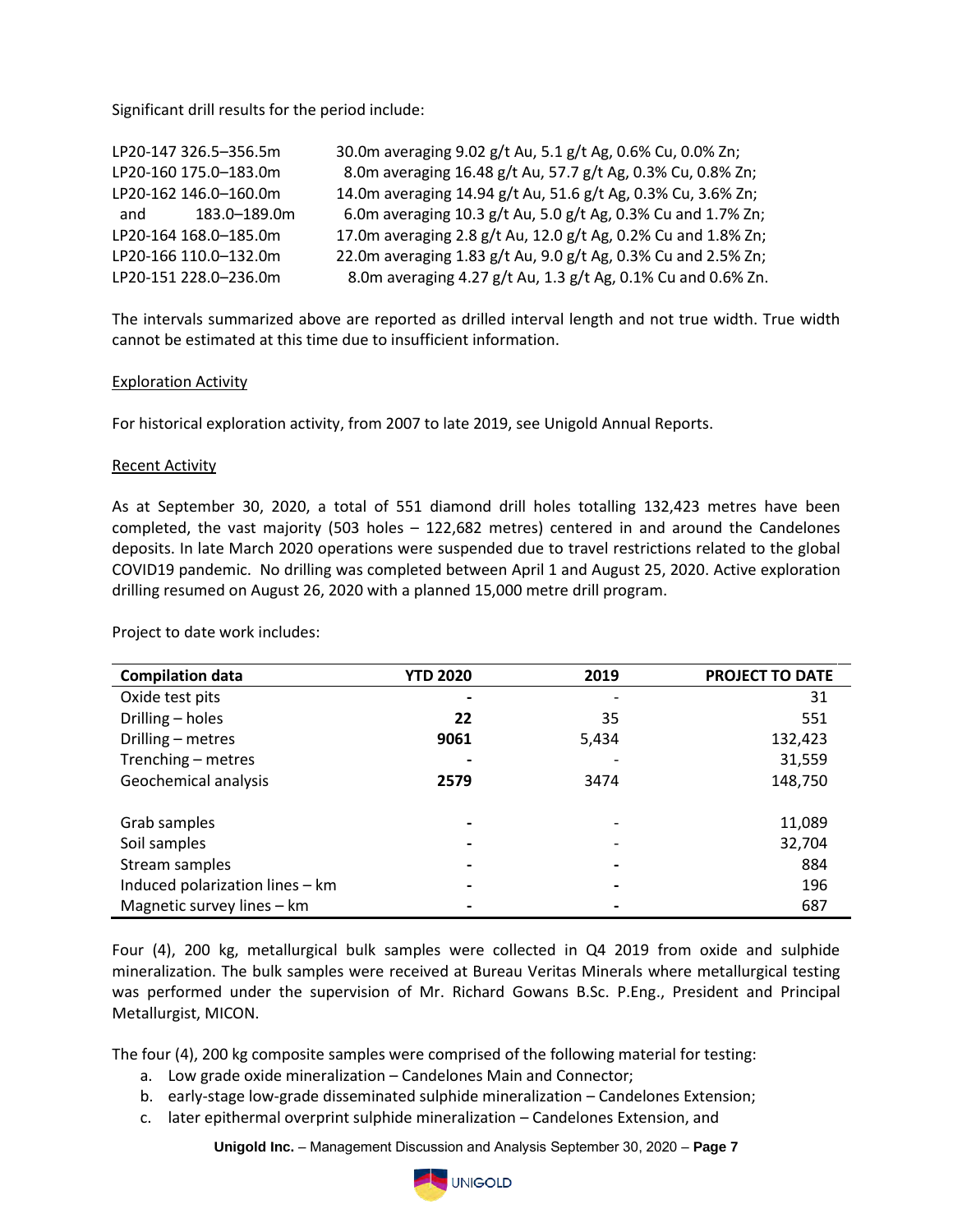Significant drill results for the period include:

| LP20-147 326.5-356.5m | 30.0m averaging 9.02 g/t Au, 5.1 g/t Ag, 0.6% Cu, 0.0% Zn;    |
|-----------------------|---------------------------------------------------------------|
| LP20-160 175.0-183.0m | 8.0m averaging 16.48 g/t Au, 57.7 g/t Ag, 0.3% Cu, 0.8% Zn;   |
| LP20-162 146.0-160.0m | 14.0m averaging 14.94 g/t Au, 51.6 g/t Ag, 0.3% Cu, 3.6% Zn;  |
| and 183.0-189.0m      | 6.0m averaging 10.3 g/t Au, 5.0 g/t Ag, 0.3% Cu and 1.7% Zn;  |
| LP20-164 168.0-185.0m | 17.0m averaging 2.8 g/t Au, 12.0 g/t Ag, 0.2% Cu and 1.8% Zn; |
| LP20-166 110.0-132.0m | 22.0m averaging 1.83 g/t Au, 9.0 g/t Ag, 0.3% Cu and 2.5% Zn; |
| LP20-151 228.0-236.0m | 8.0m averaging 4.27 g/t Au, 1.3 g/t Ag, 0.1% Cu and 0.6% Zn.  |

The intervals summarized above are reported as drilled interval length and not true width. True width cannot be estimated at this time due to insufficient information.

#### Exploration Activity

For historical exploration activity, from 2007 to late 2019, see Unigold Annual Reports.

#### Recent Activity

As at September 30, 2020, a total of 551 diamond drill holes totalling 132,423 metres have been completed, the vast majority (503 holes – 122,682 metres) centered in and around the Candelones deposits. In late March 2020 operations were suspended due to travel restrictions related to the global COVID19 pandemic. No drilling was completed between April 1 and August 25, 2020. Active exploration drilling resumed on August 26, 2020 with a planned 15,000 metre drill program.

| <b>Compilation data</b>         | <b>YTD 2020</b> | 2019  | <b>PROJECT TO DATE</b> |
|---------------------------------|-----------------|-------|------------------------|
| Oxide test pits                 |                 |       | 31                     |
| Drilling - holes                | 22              | 35    | 551                    |
| Drilling - metres               | 9061            | 5,434 | 132,423                |
| Trenching - metres              |                 |       | 31,559                 |
| Geochemical analysis            | 2579            | 3474  | 148,750                |
|                                 |                 |       |                        |
| Grab samples                    |                 |       | 11,089                 |
| Soil samples                    |                 |       | 32,704                 |
| Stream samples                  |                 |       | 884                    |
| Induced polarization lines - km |                 |       | 196                    |
| Magnetic survey lines - km      |                 |       | 687                    |

Project to date work includes:

Four (4), 200 kg, metallurgical bulk samples were collected in Q4 2019 from oxide and sulphide mineralization. The bulk samples were received at Bureau Veritas Minerals where metallurgical testing was performed under the supervision of Mr. Richard Gowans B.Sc. P.Eng., President and Principal Metallurgist, MICON.

The four (4), 200 kg composite samples were comprised of the following material for testing:

- a. Low grade oxide mineralization Candelones Main and Connector;
- b. early-stage low-grade disseminated sulphide mineralization Candelones Extension;
- c. later epithermal overprint sulphide mineralization Candelones Extension, and

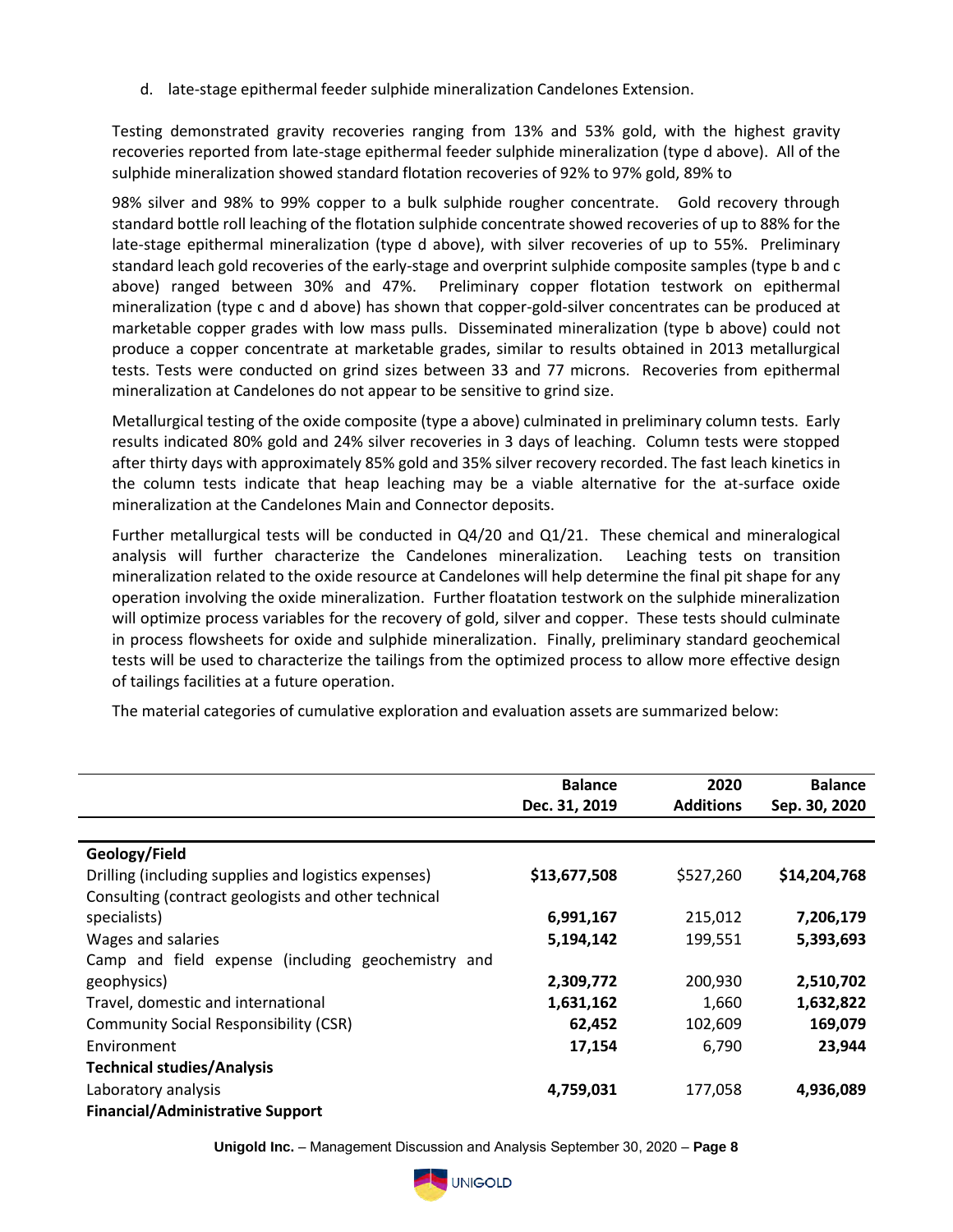d. late-stage epithermal feeder sulphide mineralization Candelones Extension.

Testing demonstrated gravity recoveries ranging from 13% and 53% gold, with the highest gravity recoveries reported from late-stage epithermal feeder sulphide mineralization (type d above). All of the sulphide mineralization showed standard flotation recoveries of 92% to 97% gold, 89% to

98% silver and 98% to 99% copper to a bulk sulphide rougher concentrate. Gold recovery through standard bottle roll leaching of the flotation sulphide concentrate showed recoveries of up to 88% for the late-stage epithermal mineralization (type d above), with silver recoveries of up to 55%. Preliminary standard leach gold recoveries of the early-stage and overprint sulphide composite samples (type b and c above) ranged between 30% and 47%. Preliminary copper flotation testwork on epithermal mineralization (type c and d above) has shown that copper-gold-silver concentrates can be produced at marketable copper grades with low mass pulls. Disseminated mineralization (type b above) could not produce a copper concentrate at marketable grades, similar to results obtained in 2013 metallurgical tests. Tests were conducted on grind sizes between 33 and 77 microns. Recoveries from epithermal mineralization at Candelones do not appear to be sensitive to grind size.

Metallurgical testing of the oxide composite (type a above) culminated in preliminary column tests. Early results indicated 80% gold and 24% silver recoveries in 3 days of leaching. Column tests were stopped after thirty days with approximately 85% gold and 35% silver recovery recorded. The fast leach kinetics in the column tests indicate that heap leaching may be a viable alternative for the at-surface oxide mineralization at the Candelones Main and Connector deposits.

Further metallurgical tests will be conducted in Q4/20 and Q1/21. These chemical and mineralogical analysis will further characterize the Candelones mineralization. Leaching tests on transition mineralization related to the oxide resource at Candelones will help determine the final pit shape for any operation involving the oxide mineralization. Further floatation testwork on the sulphide mineralization will optimize process variables for the recovery of gold, silver and copper. These tests should culminate in process flowsheets for oxide and sulphide mineralization. Finally, preliminary standard geochemical tests will be used to characterize the tailings from the optimized process to allow more effective design of tailings facilities at a future operation.

The material categories of cumulative exploration and evaluation assets are summarized below:

|                                                      | <b>Balance</b> | 2020             | <b>Balance</b> |
|------------------------------------------------------|----------------|------------------|----------------|
|                                                      | Dec. 31, 2019  | <b>Additions</b> | Sep. 30, 2020  |
|                                                      |                |                  |                |
| Geology/Field                                        |                |                  |                |
| Drilling (including supplies and logistics expenses) | \$13,677,508   | \$527,260        | \$14,204,768   |
| Consulting (contract geologists and other technical  |                |                  |                |
| specialists)                                         | 6,991,167      | 215,012          | 7,206,179      |
| Wages and salaries                                   | 5,194,142      | 199,551          | 5,393,693      |
| Camp and field expense (including geochemistry and   |                |                  |                |
| geophysics)                                          | 2,309,772      | 200,930          | 2,510,702      |
| Travel, domestic and international                   | 1,631,162      | 1,660            | 1,632,822      |
| <b>Community Social Responsibility (CSR)</b>         | 62,452         | 102,609          | 169,079        |
| Environment                                          | 17,154         | 6,790            | 23,944         |
| <b>Technical studies/Analysis</b>                    |                |                  |                |
| Laboratory analysis                                  | 4,759,031      | 177,058          | 4,936,089      |
| <b>Financial/Administrative Support</b>              |                |                  |                |

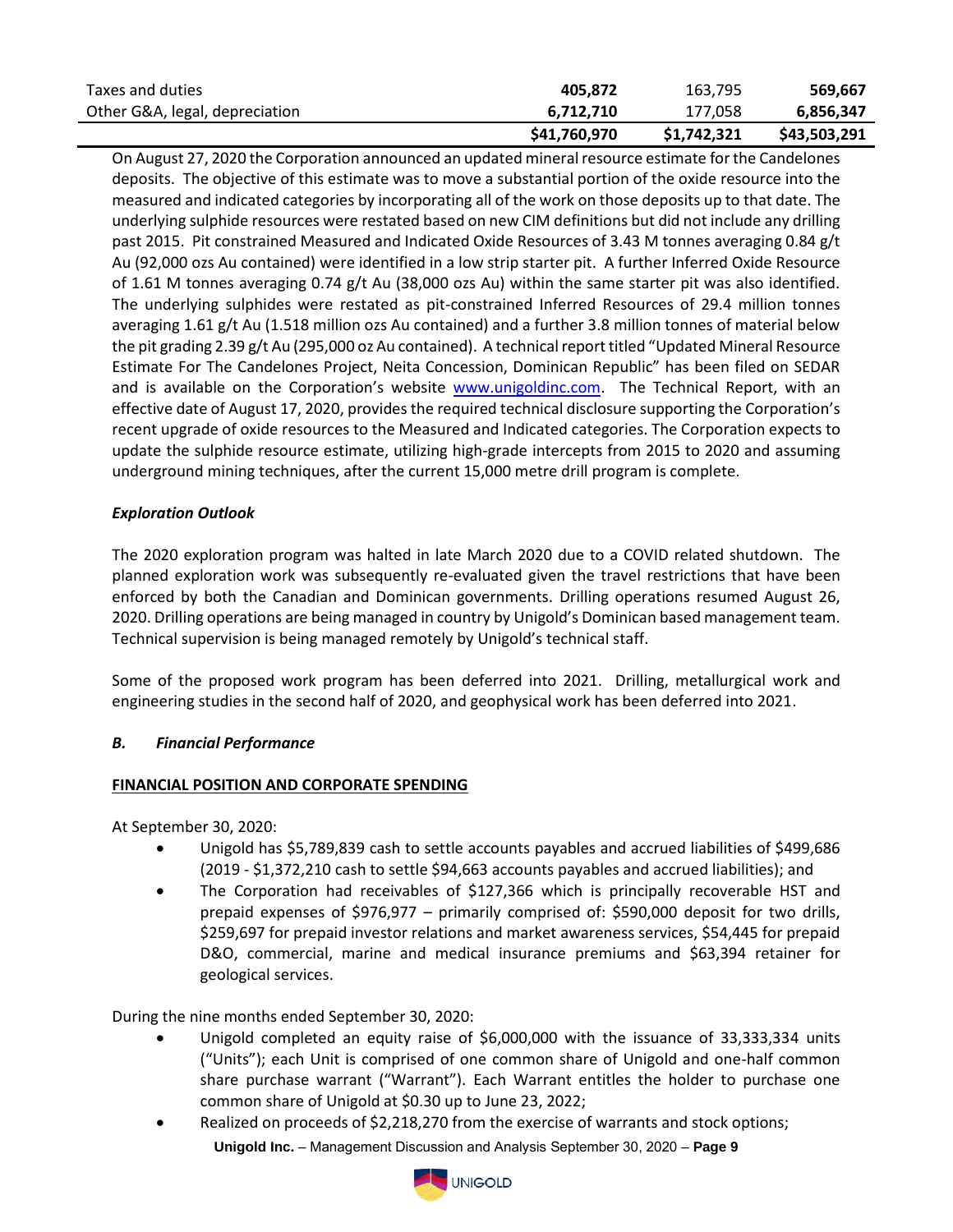| Taxes and duties               | 405.872      | 163.795     | 569.667      |
|--------------------------------|--------------|-------------|--------------|
| Other G&A, legal, depreciation | 6.712.710    | 177.058     | 6.856.347    |
|                                | \$41,760,970 | \$1,742,321 | \$43,503,291 |

On August 27, 2020 the Corporation announced an updated mineral resource estimate for the Candelones deposits. The objective of this estimate was to move a substantial portion of the oxide resource into the measured and indicated categories by incorporating all of the work on those deposits up to that date. The underlying sulphide resources were restated based on new CIM definitions but did not include any drilling past 2015. Pit constrained Measured and Indicated Oxide Resources of 3.43 M tonnes averaging 0.84 g/t Au (92,000 ozs Au contained) were identified in a low strip starter pit. A further Inferred Oxide Resource of 1.61 M tonnes averaging 0.74 g/t Au (38,000 ozs Au) within the same starter pit was also identified. The underlying sulphides were restated as pit-constrained Inferred Resources of 29.4 million tonnes averaging 1.61 g/t Au (1.518 million ozs Au contained) and a further 3.8 million tonnes of material below the pit grading 2.39 g/t Au (295,000 oz Au contained). A technical report titled "Updated Mineral Resource Estimate For The Candelones Project, Neita Concession, Dominican Republic" has been filed on SEDAR and is available on the Corporation's website www.unigoldinc.com. The Technical Report, with an effective date of August 17, 2020, provides the required technical disclosure supporting the Corporation's recent upgrade of oxide resources to the Measured and Indicated categories. The Corporation expects to update the sulphide resource estimate, utilizing high-grade intercepts from 2015 to 2020 and assuming underground mining techniques, after the current 15,000 metre drill program is complete.

## *Exploration Outlook*

The 2020 exploration program was halted in late March 2020 due to a COVID related shutdown. The planned exploration work was subsequently re-evaluated given the travel restrictions that have been enforced by both the Canadian and Dominican governments. Drilling operations resumed August 26, 2020. Drilling operations are being managed in country by Unigold's Dominican based management team. Technical supervision is being managed remotely by Unigold's technical staff.

Some of the proposed work program has been deferred into 2021. Drilling, metallurgical work and engineering studies in the second half of 2020, and geophysical work has been deferred into 2021.

#### *B. Financial Performance*

#### **FINANCIAL POSITION AND CORPORATE SPENDING**

At September 30, 2020:

- Unigold has \$5,789,839 cash to settle accounts payables and accrued liabilities of \$499,686 (2019 - \$1,372,210 cash to settle \$94,663 accounts payables and accrued liabilities); and
- The Corporation had receivables of \$127,366 which is principally recoverable HST and prepaid expenses of \$976,977 – primarily comprised of: \$590,000 deposit for two drills, \$259,697 for prepaid investor relations and market awareness services, \$54,445 for prepaid D&O, commercial, marine and medical insurance premiums and \$63,394 retainer for geological services.

During the nine months ended September 30, 2020:

- Unigold completed an equity raise of \$6,000,000 with the issuance of 33,333,334 units ("Units"); each Unit is comprised of one common share of Unigold and one-half common share purchase warrant ("Warrant"). Each Warrant entitles the holder to purchase one common share of Unigold at \$0.30 up to June 23, 2022;
- **Unigold Inc.** Management Discussion and Analysis September 30, 2020 **Page 9** Realized on proceeds of \$2,218,270 from the exercise of warrants and stock options;

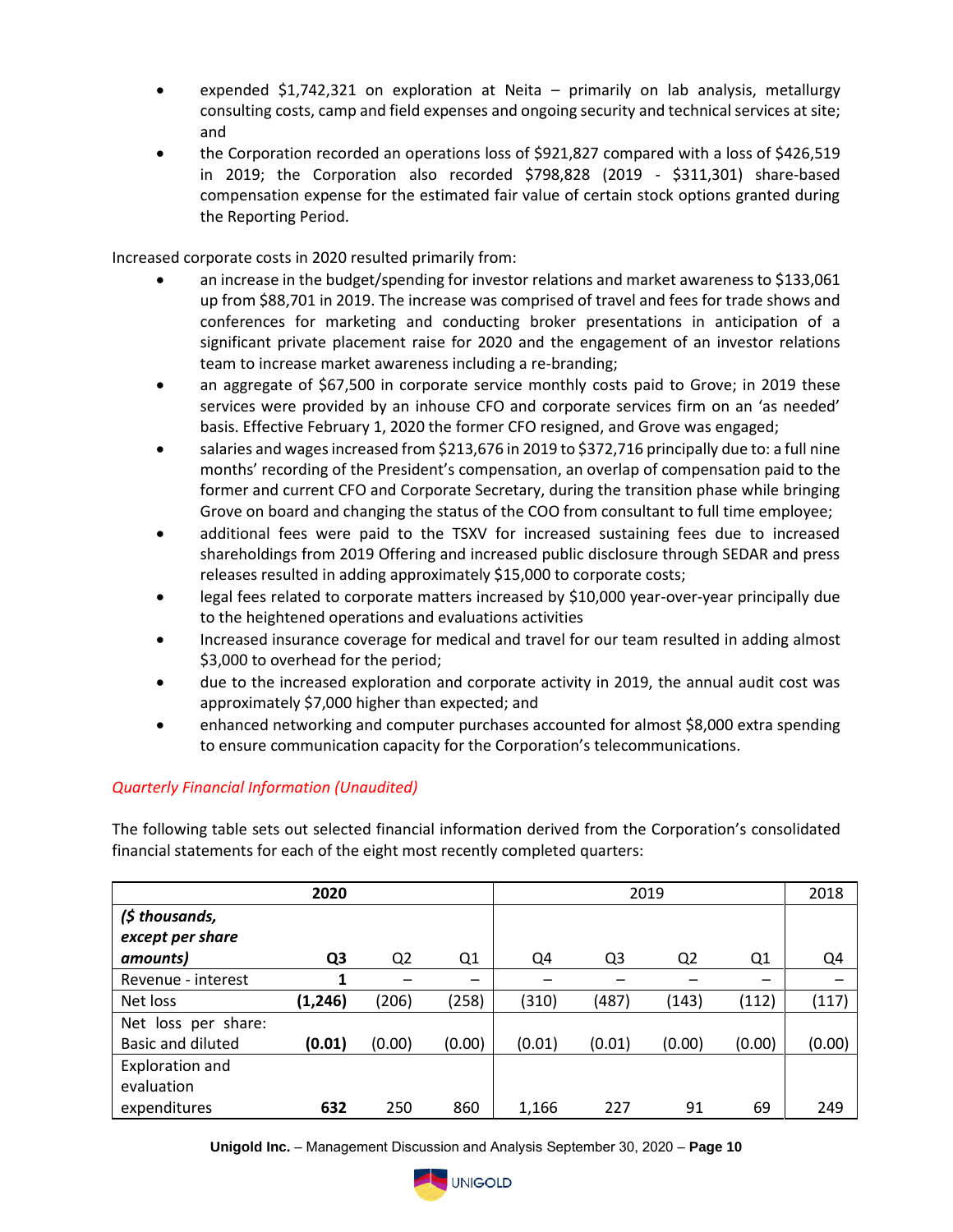- expended  $$1,742,321$  on exploration at Neita primarily on lab analysis, metallurgy consulting costs, camp and field expenses and ongoing security and technical services at site; and
- the Corporation recorded an operations loss of \$921,827 compared with a loss of \$426,519 in 2019; the Corporation also recorded \$798,828 (2019 - \$311,301) share-based compensation expense for the estimated fair value of certain stock options granted during the Reporting Period.

Increased corporate costs in 2020 resulted primarily from:

- an increase in the budget/spending for investor relations and market awareness to \$133,061 up from \$88,701 in 2019. The increase was comprised of travel and fees for trade shows and conferences for marketing and conducting broker presentations in anticipation of a significant private placement raise for 2020 and the engagement of an investor relations team to increase market awareness including a re-branding;
- an aggregate of \$67,500 in corporate service monthly costs paid to Grove; in 2019 these services were provided by an inhouse CFO and corporate services firm on an 'as needed' basis. Effective February 1, 2020 the former CFO resigned, and Grove was engaged;
- salaries and wages increased from \$213,676 in 2019 to \$372,716 principally due to: a full nine months' recording of the President's compensation, an overlap of compensation paid to the former and current CFO and Corporate Secretary, during the transition phase while bringing Grove on board and changing the status of the COO from consultant to full time employee;
- additional fees were paid to the TSXV for increased sustaining fees due to increased shareholdings from 2019 Offering and increased public disclosure through SEDAR and press releases resulted in adding approximately \$15,000 to corporate costs;
- legal fees related to corporate matters increased by \$10,000 year-over-year principally due to the heightened operations and evaluations activities
- Increased insurance coverage for medical and travel for our team resulted in adding almost \$3,000 to overhead for the period;
- due to the increased exploration and corporate activity in 2019, the annual audit cost was approximately \$7,000 higher than expected; and
- enhanced networking and computer purchases accounted for almost \$8,000 extra spending to ensure communication capacity for the Corporation's telecommunications.

## *Quarterly Financial Information (Unaudited)*

The following table sets out selected financial information derived from the Corporation's consolidated financial statements for each of the eight most recently completed quarters:

|                                      | 2020           |                |        |        | 2019           |                |                          |        |
|--------------------------------------|----------------|----------------|--------|--------|----------------|----------------|--------------------------|--------|
| (\$ thousands,<br>except per share   |                |                |        |        |                |                |                          |        |
| amounts)                             | Q <sub>3</sub> | Q <sub>2</sub> | Q1     | Q4     | Q <sub>3</sub> | Q <sub>2</sub> | Q1                       | Q4     |
| Revenue - interest                   |                |                | -      |        |                |                | $\overline{\phantom{0}}$ |        |
| Net loss                             | (1,246)        | (206)          | (258)  | (310)  | (487)          | (143)          | (112)                    | (117)  |
| Net loss per share:                  |                |                |        |        |                |                |                          |        |
| Basic and diluted                    | (0.01)         | (0.00)         | (0.00) | (0.01) | (0.01)         | (0.00)         | (0.00)                   | (0.00) |
| <b>Exploration and</b><br>evaluation |                |                |        |        |                |                |                          |        |
| expenditures                         | 632            | 250            | 860    | 1,166  | 227            | 91             | 69                       | 249    |

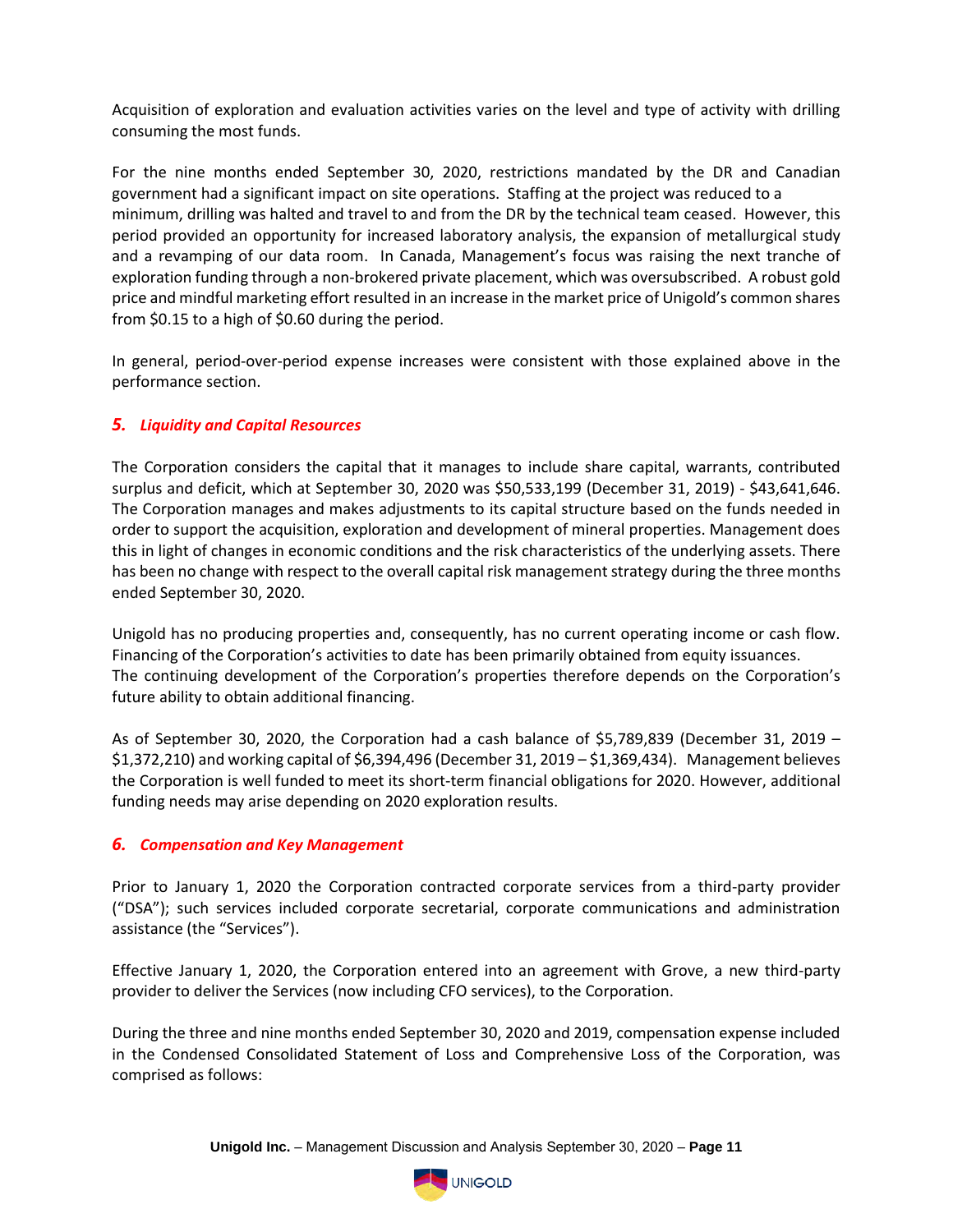Acquisition of exploration and evaluation activities varies on the level and type of activity with drilling consuming the most funds.

For the nine months ended September 30, 2020, restrictions mandated by the DR and Canadian government had a significant impact on site operations. Staffing at the project was reduced to a minimum, drilling was halted and travel to and from the DR by the technical team ceased. However, this period provided an opportunity for increased laboratory analysis, the expansion of metallurgical study and a revamping of our data room. In Canada, Management's focus was raising the next tranche of exploration funding through a non-brokered private placement, which was oversubscribed. A robust gold price and mindful marketing effort resulted in an increase in the market price of Unigold's common shares from \$0.15 to a high of \$0.60 during the period.

In general, period-over-period expense increases were consistent with those explained above in the performance section.

## *5. Liquidity and Capital Resources*

The Corporation considers the capital that it manages to include share capital, warrants, contributed surplus and deficit, which at September 30, 2020 was \$50,533,199 (December 31, 2019) - \$43,641,646. The Corporation manages and makes adjustments to its capital structure based on the funds needed in order to support the acquisition, exploration and development of mineral properties. Management does this in light of changes in economic conditions and the risk characteristics of the underlying assets. There has been no change with respect to the overall capital risk management strategy during the three months ended September 30, 2020.

Unigold has no producing properties and, consequently, has no current operating income or cash flow. Financing of the Corporation's activities to date has been primarily obtained from equity issuances. The continuing development of the Corporation's properties therefore depends on the Corporation's future ability to obtain additional financing.

As of September 30, 2020, the Corporation had a cash balance of \$5,789,839 (December 31, 2019 – \$1,372,210) and working capital of \$6,394,496 (December 31, 2019 – \$1,369,434). Management believes the Corporation is well funded to meet its short-term financial obligations for 2020. However, additional funding needs may arise depending on 2020 exploration results.

## *6. Compensation and Key Management*

Prior to January 1, 2020 the Corporation contracted corporate services from a third-party provider ("DSA"); such services included corporate secretarial, corporate communications and administration assistance (the "Services").

Effective January 1, 2020, the Corporation entered into an agreement with Grove, a new third-party provider to deliver the Services (now including CFO services), to the Corporation.

During the three and nine months ended September 30, 2020 and 2019, compensation expense included in the Condensed Consolidated Statement of Loss and Comprehensive Loss of the Corporation, was comprised as follows:

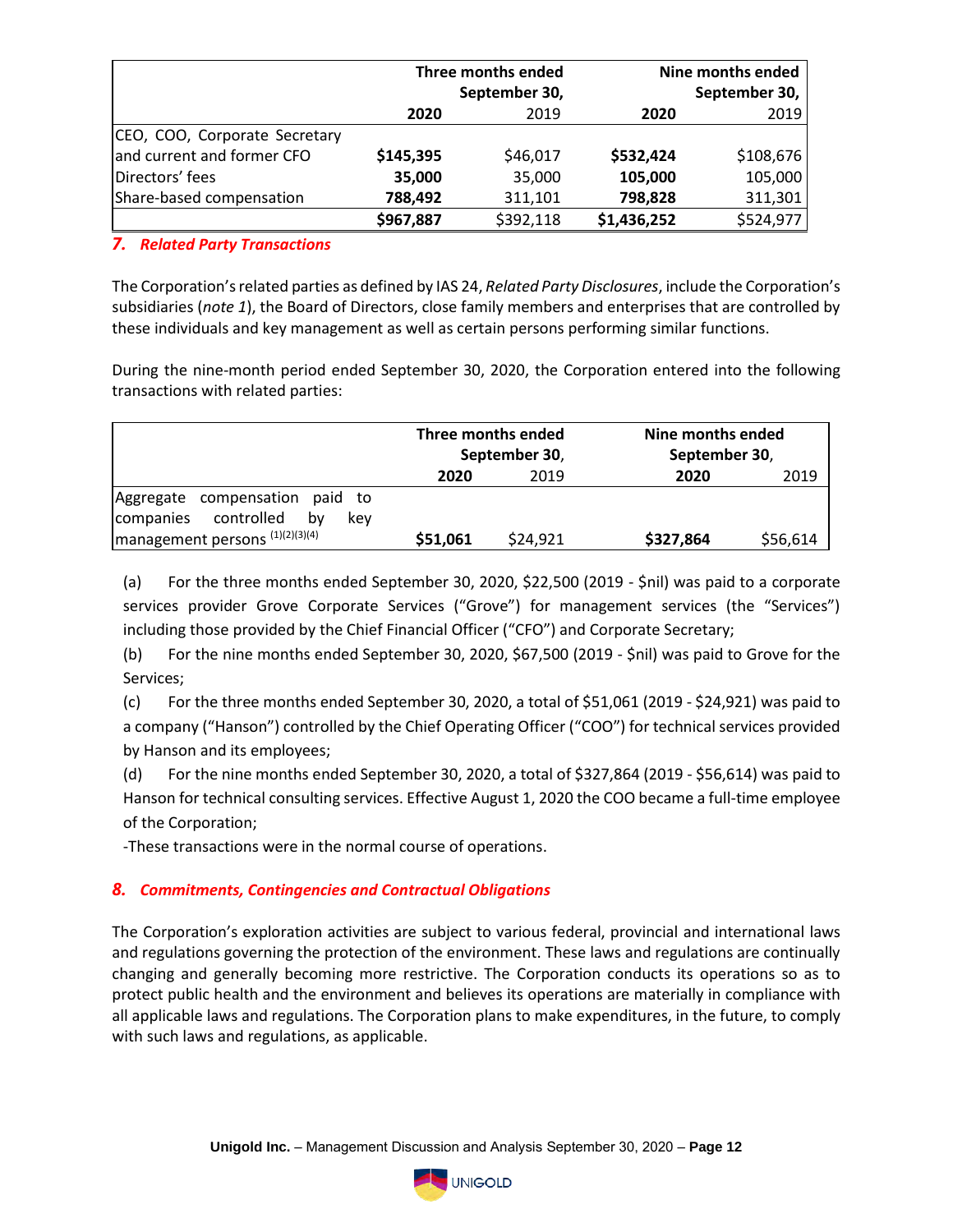|                               | Three months ended<br>September 30, |           |             | Nine months ended<br>September 30, |
|-------------------------------|-------------------------------------|-----------|-------------|------------------------------------|
|                               | 2020                                | 2019      | 2020        | 2019                               |
| CEO, COO, Corporate Secretary |                                     |           |             |                                    |
| and current and former CFO    | \$145,395                           | \$46,017  | \$532,424   | \$108,676                          |
| Directors' fees               | 35,000                              | 35,000    | 105,000     | 105,000                            |
| Share-based compensation      | 788,492                             | 311,101   | 798,828     | 311,301                            |
|                               | \$967,887                           | \$392,118 | \$1,436,252 | \$524,977                          |

## *7. Related Party Transactions*

The Corporation's related parties as defined by IAS 24, *Related Party Disclosures*, include the Corporation's subsidiaries (*note 1*), the Board of Directors, close family members and enterprises that are controlled by these individuals and key management as well as certain persons performing similar functions.

During the nine-month period ended September 30, 2020, the Corporation entered into the following transactions with related parties:

|                                                                     | Three months ended<br>September 30, |          | Nine months ended<br>September 30, |          |
|---------------------------------------------------------------------|-------------------------------------|----------|------------------------------------|----------|
|                                                                     | 2020                                | 2019     | 2020                               | 2019     |
| Aggregate compensation paid to<br>companies controlled<br>bv<br>kev |                                     |          |                                    |          |
| $\left $ management persons $(1)(2)(3)(4)\right $                   | \$51,061                            | \$24,921 | \$327,864                          | \$56,614 |

(a) For the three months ended September 30, 2020, \$22,500 (2019 - \$nil) was paid to a corporate services provider Grove Corporate Services ("Grove") for management services (the "Services") including those provided by the Chief Financial Officer ("CFO") and Corporate Secretary;

(b) For the nine months ended September 30, 2020, \$67,500 (2019 - \$nil) was paid to Grove for the Services;

 $(c)$  For the three months ended September 30, 2020, a total of \$51,061 (2019 - \$24,921) was paid to a company ("Hanson") controlled by the Chief Operating Officer ("COO") for technical services provided by Hanson and its employees;

(d) For the nine months ended September 30, 2020, a total of \$327,864 (2019 - \$56,614) was paid to Hanson for technical consulting services. Effective August 1, 2020 the COO became a full-time employee of the Corporation;

-These transactions were in the normal course of operations.

## *8. Commitments, Contingencies and Contractual Obligations*

The Corporation's exploration activities are subject to various federal, provincial and international laws and regulations governing the protection of the environment. These laws and regulations are continually changing and generally becoming more restrictive. The Corporation conducts its operations so as to protect public health and the environment and believes its operations are materially in compliance with all applicable laws and regulations. The Corporation plans to make expenditures, in the future, to comply with such laws and regulations, as applicable.

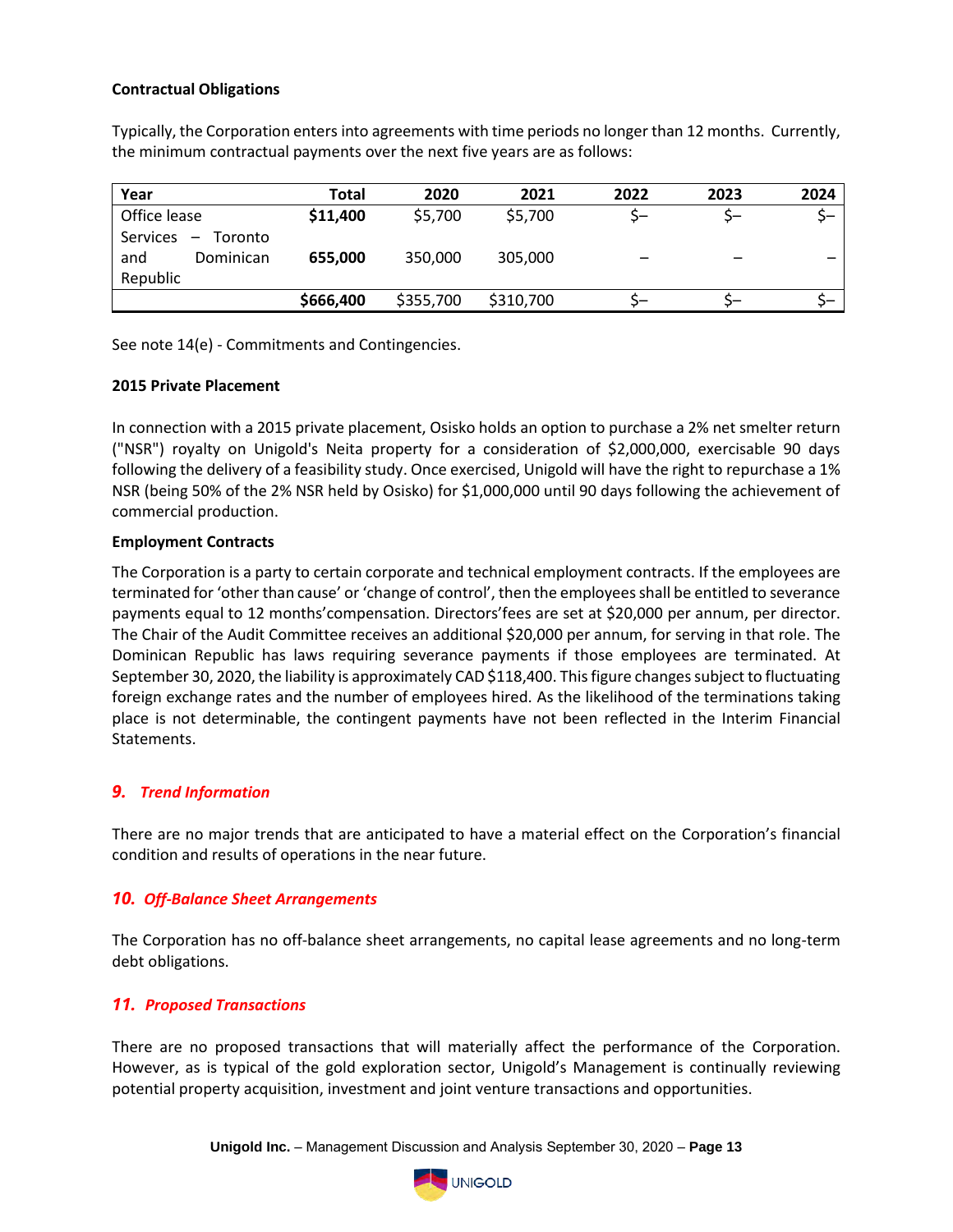#### **Contractual Obligations**

Typically, the Corporation enters into agreements with time periods no longer than 12 months. Currently, the minimum contractual payments over the next five years are as follows:

| Year                                                                            | <b>Total</b> | 2020      | 2021      | 2022 | 2023 | 2024                     |
|---------------------------------------------------------------------------------|--------------|-----------|-----------|------|------|--------------------------|
| Office lease                                                                    | \$11,400     | \$5,700   | \$5,700   |      | 5-   | 5-                       |
| Services<br>Toronto<br>$\overline{\phantom{m}}$<br>Dominican<br>and<br>Republic | 655,000      | 350,000   | 305,000   | --   | -    | $\overline{\phantom{0}}$ |
|                                                                                 | \$666,400    | \$355,700 | \$310,700 | כ–   |      |                          |

See note 14(e) - Commitments and Contingencies.

#### **2015 Private Placement**

In connection with a 2015 private placement, Osisko holds an option to purchase a 2% net smelter return ("NSR") royalty on Unigold's Neita property for a consideration of \$2,000,000, exercisable 90 days following the delivery of a feasibility study. Once exercised, Unigold will have the right to repurchase a 1% NSR (being 50% of the 2% NSR held by Osisko) for \$1,000,000 until 90 days following the achievement of commercial production.

#### **Employment Contracts**

The Corporation is a party to certain corporate and technical employment contracts. If the employees are terminated for 'other than cause' or 'change of control', then the employees shall be entitled to severance payments equal to 12 months'compensation. Directors'fees are set at \$20,000 per annum, per director. The Chair of the Audit Committee receives an additional \$20,000 per annum, for serving in that role. The Dominican Republic has laws requiring severance payments if those employees are terminated. At September 30, 2020, the liability is approximately CAD \$118,400. This figure changes subject to fluctuating foreign exchange rates and the number of employees hired. As the likelihood of the terminations taking place is not determinable, the contingent payments have not been reflected in the Interim Financial Statements.

#### *9. Trend Information*

There are no major trends that are anticipated to have a material effect on the Corporation's financial condition and results of operations in the near future.

#### *10. Off-Balance Sheet Arrangements*

The Corporation has no off-balance sheet arrangements, no capital lease agreements and no long-term debt obligations.

## *11. Proposed Transactions*

There are no proposed transactions that will materially affect the performance of the Corporation. However, as is typical of the gold exploration sector, Unigold's Management is continually reviewing potential property acquisition, investment and joint venture transactions and opportunities.

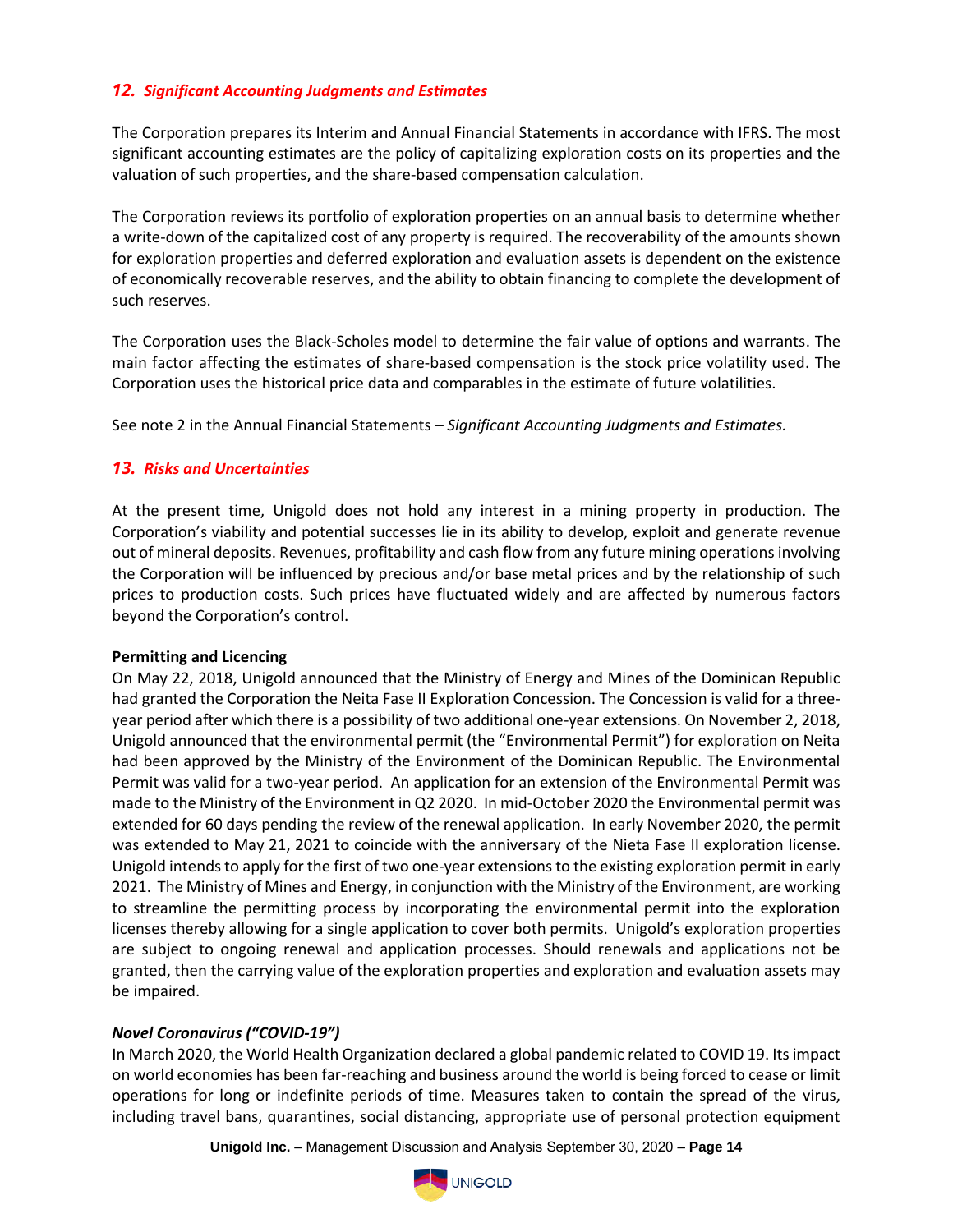## *12. Significant Accounting Judgments and Estimates*

The Corporation prepares its Interim and Annual Financial Statements in accordance with IFRS. The most significant accounting estimates are the policy of capitalizing exploration costs on its properties and the valuation of such properties, and the share-based compensation calculation.

The Corporation reviews its portfolio of exploration properties on an annual basis to determine whether a write-down of the capitalized cost of any property is required. The recoverability of the amounts shown for exploration properties and deferred exploration and evaluation assets is dependent on the existence of economically recoverable reserves, and the ability to obtain financing to complete the development of such reserves.

The Corporation uses the Black-Scholes model to determine the fair value of options and warrants. The main factor affecting the estimates of share-based compensation is the stock price volatility used. The Corporation uses the historical price data and comparables in the estimate of future volatilities.

See note 2 in the Annual Financial Statements – *Significant Accounting Judgments and Estimates.*

#### *13. Risks and Uncertainties*

At the present time, Unigold does not hold any interest in a mining property in production. The Corporation's viability and potential successes lie in its ability to develop, exploit and generate revenue out of mineral deposits. Revenues, profitability and cash flow from any future mining operations involving the Corporation will be influenced by precious and/or base metal prices and by the relationship of such prices to production costs. Such prices have fluctuated widely and are affected by numerous factors beyond the Corporation's control.

#### **Permitting and Licencing**

On May 22, 2018, Unigold announced that the Ministry of Energy and Mines of the Dominican Republic had granted the Corporation the Neita Fase II Exploration Concession. The Concession is valid for a threeyear period after which there is a possibility of two additional one-year extensions. On November 2, 2018, Unigold announced that the environmental permit (the "Environmental Permit") for exploration on Neita had been approved by the Ministry of the Environment of the Dominican Republic. The Environmental Permit was valid for a two-year period. An application for an extension of the Environmental Permit was made to the Ministry of the Environment in Q2 2020. In mid-October 2020 the Environmental permit was extended for 60 days pending the review of the renewal application. In early November 2020, the permit was extended to May 21, 2021 to coincide with the anniversary of the Nieta Fase II exploration license. Unigold intends to apply for the first of two one-year extensions to the existing exploration permit in early 2021. The Ministry of Mines and Energy, in conjunction with the Ministry of the Environment, are working to streamline the permitting process by incorporating the environmental permit into the exploration licenses thereby allowing for a single application to cover both permits. Unigold's exploration properties are subject to ongoing renewal and application processes. Should renewals and applications not be granted, then the carrying value of the exploration properties and exploration and evaluation assets may be impaired.

#### *Novel Coronavirus ("COVID-19")*

In March 2020, the World Health Organization declared a global pandemic related to COVID 19. Its impact on world economies has been far-reaching and business around the world is being forced to cease or limit operations for long or indefinite periods of time. Measures taken to contain the spread of the virus, including travel bans, quarantines, social distancing, appropriate use of personal protection equipment

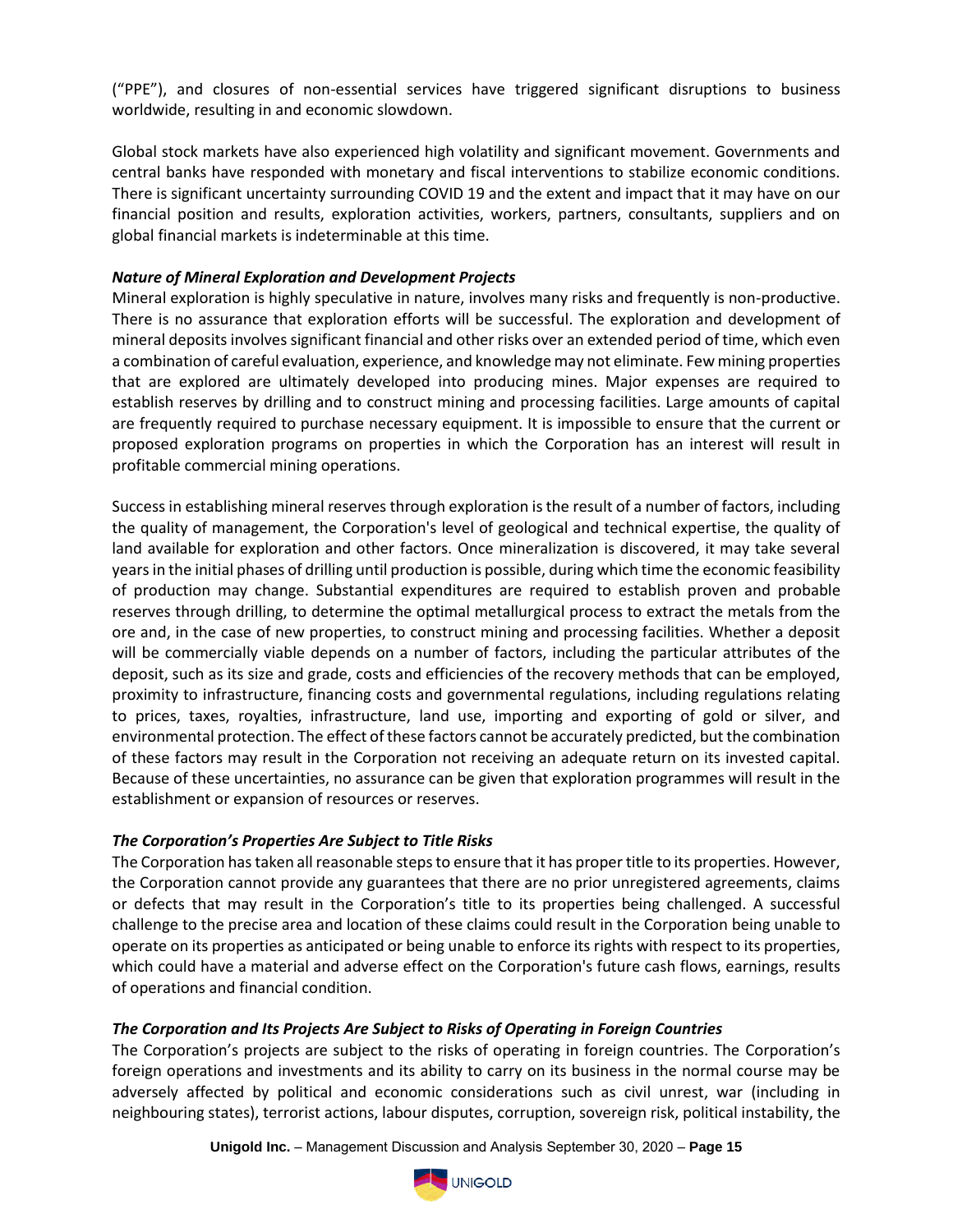("PPE"), and closures of non-essential services have triggered significant disruptions to business worldwide, resulting in and economic slowdown.

Global stock markets have also experienced high volatility and significant movement. Governments and central banks have responded with monetary and fiscal interventions to stabilize economic conditions. There is significant uncertainty surrounding COVID 19 and the extent and impact that it may have on our financial position and results, exploration activities, workers, partners, consultants, suppliers and on global financial markets is indeterminable at this time.

### *Nature of Mineral Exploration and Development Projects*

Mineral exploration is highly speculative in nature, involves many risks and frequently is non-productive. There is no assurance that exploration efforts will be successful. The exploration and development of mineral deposits involves significant financial and other risks over an extended period of time, which even a combination of careful evaluation, experience, and knowledge may not eliminate. Few mining properties that are explored are ultimately developed into producing mines. Major expenses are required to establish reserves by drilling and to construct mining and processing facilities. Large amounts of capital are frequently required to purchase necessary equipment. It is impossible to ensure that the current or proposed exploration programs on properties in which the Corporation has an interest will result in profitable commercial mining operations.

Success in establishing mineral reserves through exploration is the result of a number of factors, including the quality of management, the Corporation's level of geological and technical expertise, the quality of land available for exploration and other factors. Once mineralization is discovered, it may take several years in the initial phases of drilling until production is possible, during which time the economic feasibility of production may change. Substantial expenditures are required to establish proven and probable reserves through drilling, to determine the optimal metallurgical process to extract the metals from the ore and, in the case of new properties, to construct mining and processing facilities. Whether a deposit will be commercially viable depends on a number of factors, including the particular attributes of the deposit, such as its size and grade, costs and efficiencies of the recovery methods that can be employed, proximity to infrastructure, financing costs and governmental regulations, including regulations relating to prices, taxes, royalties, infrastructure, land use, importing and exporting of gold or silver, and environmental protection. The effect of these factors cannot be accurately predicted, but the combination of these factors may result in the Corporation not receiving an adequate return on its invested capital. Because of these uncertainties, no assurance can be given that exploration programmes will result in the establishment or expansion of resources or reserves.

## *The Corporation's Properties Are Subject to Title Risks*

The Corporation has taken all reasonable steps to ensure that it has proper title to its properties. However, the Corporation cannot provide any guarantees that there are no prior unregistered agreements, claims or defects that may result in the Corporation's title to its properties being challenged. A successful challenge to the precise area and location of these claims could result in the Corporation being unable to operate on its properties as anticipated or being unable to enforce its rights with respect to its properties, which could have a material and adverse effect on the Corporation's future cash flows, earnings, results of operations and financial condition.

## *The Corporation and Its Projects Are Subject to Risks of Operating in Foreign Countries*

The Corporation's projects are subject to the risks of operating in foreign countries. The Corporation's foreign operations and investments and its ability to carry on its business in the normal course may be adversely affected by political and economic considerations such as civil unrest, war (including in neighbouring states), terrorist actions, labour disputes, corruption, sovereign risk, political instability, the

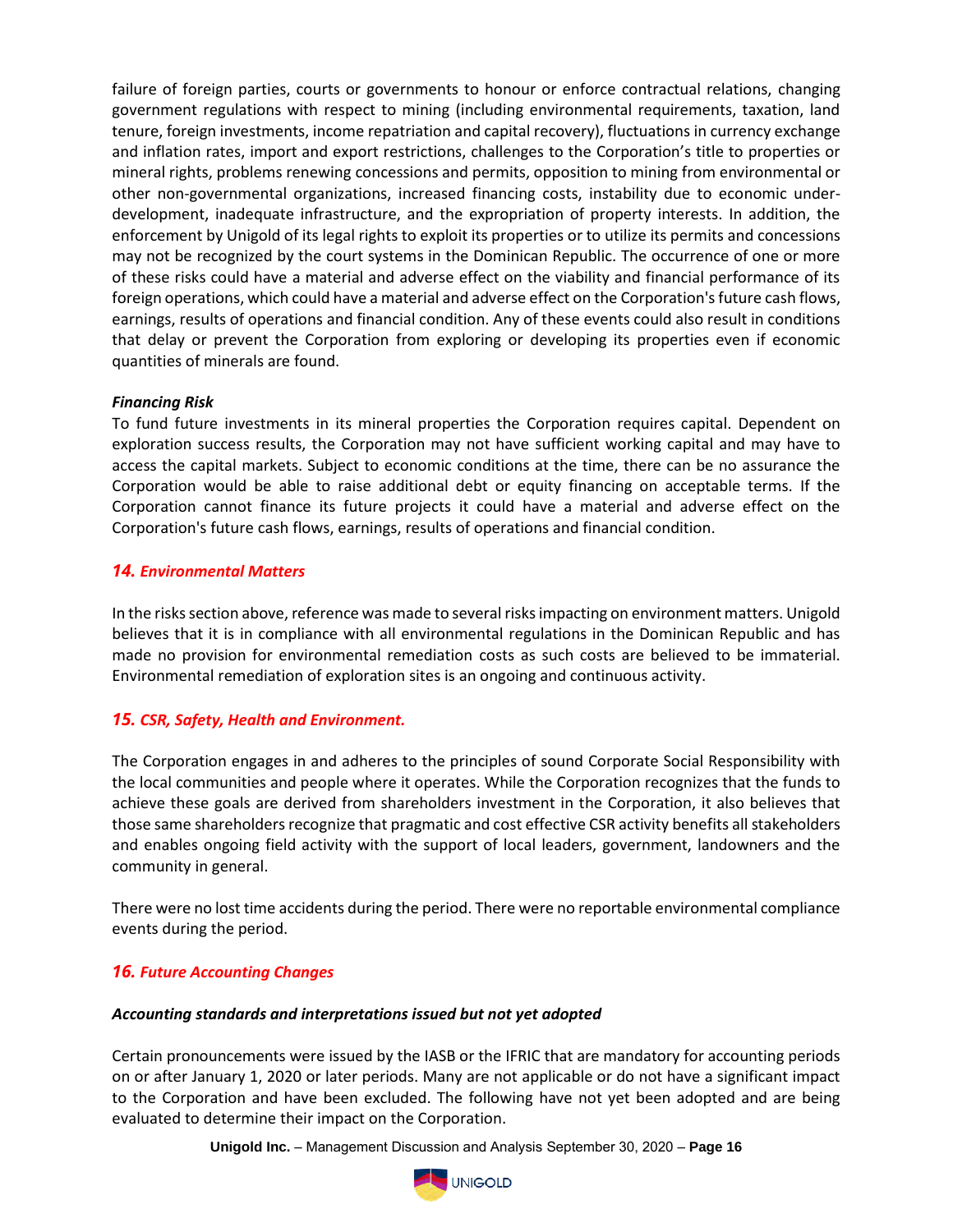failure of foreign parties, courts or governments to honour or enforce contractual relations, changing government regulations with respect to mining (including environmental requirements, taxation, land tenure, foreign investments, income repatriation and capital recovery), fluctuations in currency exchange and inflation rates, import and export restrictions, challenges to the Corporation's title to properties or mineral rights, problems renewing concessions and permits, opposition to mining from environmental or other non-governmental organizations, increased financing costs, instability due to economic underdevelopment, inadequate infrastructure, and the expropriation of property interests. In addition, the enforcement by Unigold of its legal rights to exploit its properties or to utilize its permits and concessions may not be recognized by the court systems in the Dominican Republic. The occurrence of one or more of these risks could have a material and adverse effect on the viability and financial performance of its foreign operations, which could have a material and adverse effect on the Corporation's future cash flows, earnings, results of operations and financial condition. Any of these events could also result in conditions that delay or prevent the Corporation from exploring or developing its properties even if economic quantities of minerals are found.

#### *Financing Risk*

To fund future investments in its mineral properties the Corporation requires capital. Dependent on exploration success results, the Corporation may not have sufficient working capital and may have to access the capital markets. Subject to economic conditions at the time, there can be no assurance the Corporation would be able to raise additional debt or equity financing on acceptable terms. If the Corporation cannot finance its future projects it could have a material and adverse effect on the Corporation's future cash flows, earnings, results of operations and financial condition.

#### *14. Environmental Matters*

In the risks section above, reference was made to several risks impacting on environment matters. Unigold believes that it is in compliance with all environmental regulations in the Dominican Republic and has made no provision for environmental remediation costs as such costs are believed to be immaterial. Environmental remediation of exploration sites is an ongoing and continuous activity.

#### *15. CSR, Safety, Health and Environment.*

The Corporation engages in and adheres to the principles of sound Corporate Social Responsibility with the local communities and people where it operates. While the Corporation recognizes that the funds to achieve these goals are derived from shareholders investment in the Corporation, it also believes that those same shareholders recognize that pragmatic and cost effective CSR activity benefits all stakeholders and enables ongoing field activity with the support of local leaders, government, landowners and the community in general.

There were no lost time accidents during the period. There were no reportable environmental compliance events during the period.

## *16. Future Accounting Changes*

#### *Accounting standards and interpretations issued but not yet adopted*

Certain pronouncements were issued by the IASB or the IFRIC that are mandatory for accounting periods on or after January 1, 2020 or later periods. Many are not applicable or do not have a significant impact to the Corporation and have been excluded. The following have not yet been adopted and are being evaluated to determine their impact on the Corporation.

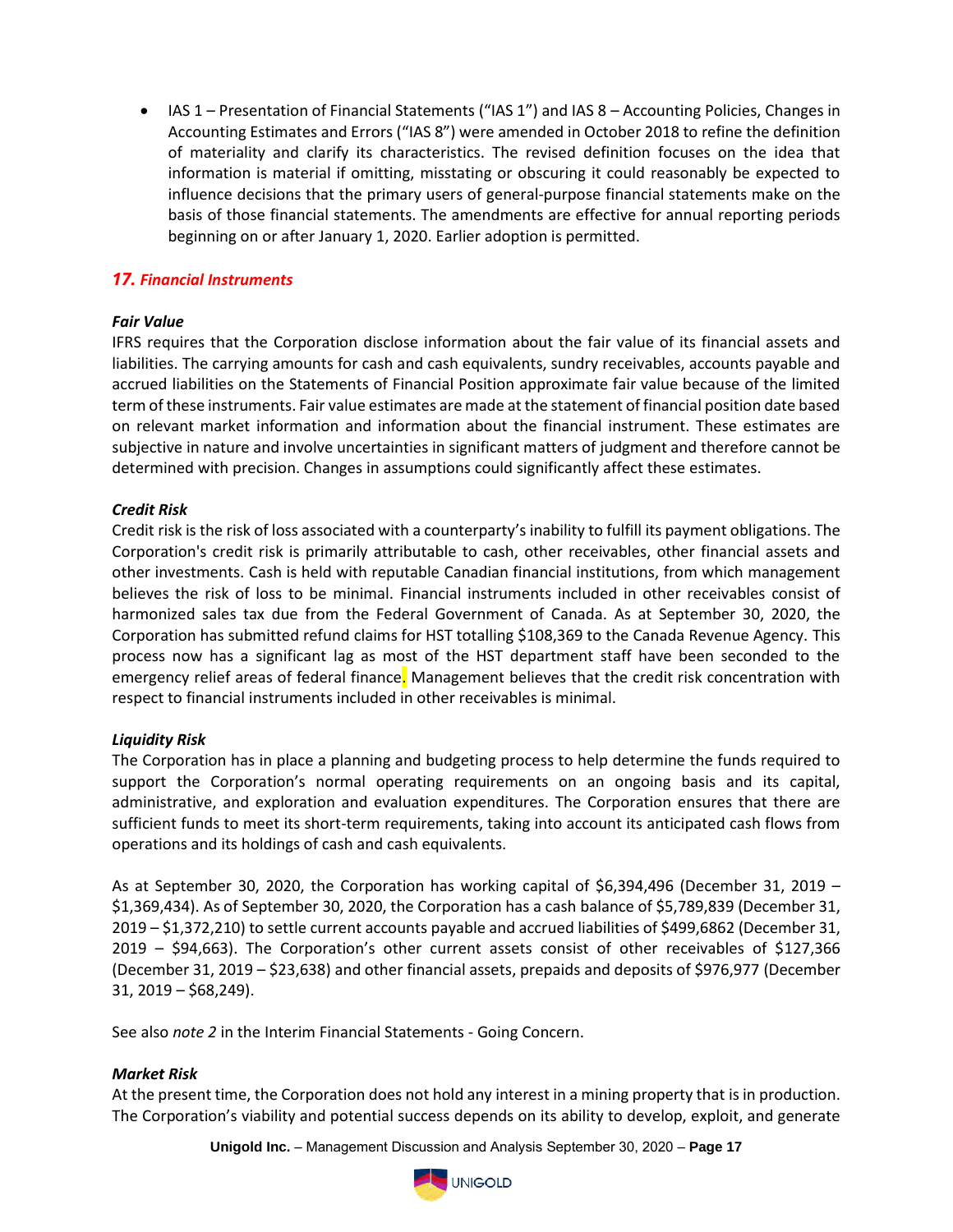• IAS 1 – Presentation of Financial Statements ("IAS 1") and IAS 8 – Accounting Policies, Changes in Accounting Estimates and Errors ("IAS 8") were amended in October 2018 to refine the definition of materiality and clarify its characteristics. The revised definition focuses on the idea that information is material if omitting, misstating or obscuring it could reasonably be expected to influence decisions that the primary users of general-purpose financial statements make on the basis of those financial statements. The amendments are effective for annual reporting periods beginning on or after January 1, 2020. Earlier adoption is permitted.

## *17. Financial Instruments*

#### *Fair Value*

IFRS requires that the Corporation disclose information about the fair value of its financial assets and liabilities. The carrying amounts for cash and cash equivalents, sundry receivables, accounts payable and accrued liabilities on the Statements of Financial Position approximate fair value because of the limited term of these instruments. Fair value estimates are made at the statement of financial position date based on relevant market information and information about the financial instrument. These estimates are subjective in nature and involve uncertainties in significant matters of judgment and therefore cannot be determined with precision. Changes in assumptions could significantly affect these estimates.

#### *Credit Risk*

Credit risk is the risk of loss associated with a counterparty's inability to fulfill its payment obligations. The Corporation's credit risk is primarily attributable to cash, other receivables, other financial assets and other investments. Cash is held with reputable Canadian financial institutions, from which management believes the risk of loss to be minimal. Financial instruments included in other receivables consist of harmonized sales tax due from the Federal Government of Canada. As at September 30, 2020, the Corporation has submitted refund claims for HST totalling \$108,369 to the Canada Revenue Agency. This process now has a significant lag as most of the HST department staff have been seconded to the emergency relief areas of federal finance. Management believes that the credit risk concentration with respect to financial instruments included in other receivables is minimal.

#### *Liquidity Risk*

The Corporation has in place a planning and budgeting process to help determine the funds required to support the Corporation's normal operating requirements on an ongoing basis and its capital, administrative, and exploration and evaluation expenditures. The Corporation ensures that there are sufficient funds to meet its short-term requirements, taking into account its anticipated cash flows from operations and its holdings of cash and cash equivalents.

As at September 30, 2020, the Corporation has working capital of  $$6,394,496$  (December 31, 2019 – \$1,369,434). As of September 30, 2020, the Corporation has a cash balance of \$5,789,839 (December 31, 2019 – \$1,372,210) to settle current accounts payable and accrued liabilities of \$499,6862 (December 31, 2019 – \$94,663). The Corporation's other current assets consist of other receivables of \$127,366 (December 31, 2019 – \$23,638) and other financial assets, prepaids and deposits of \$976,977 (December 31, 2019 – \$68,249).

See also *note 2* in the Interim Financial Statements - Going Concern.

#### *Market Risk*

At the present time, the Corporation does not hold any interest in a mining property that is in production. The Corporation's viability and potential success depends on its ability to develop, exploit, and generate

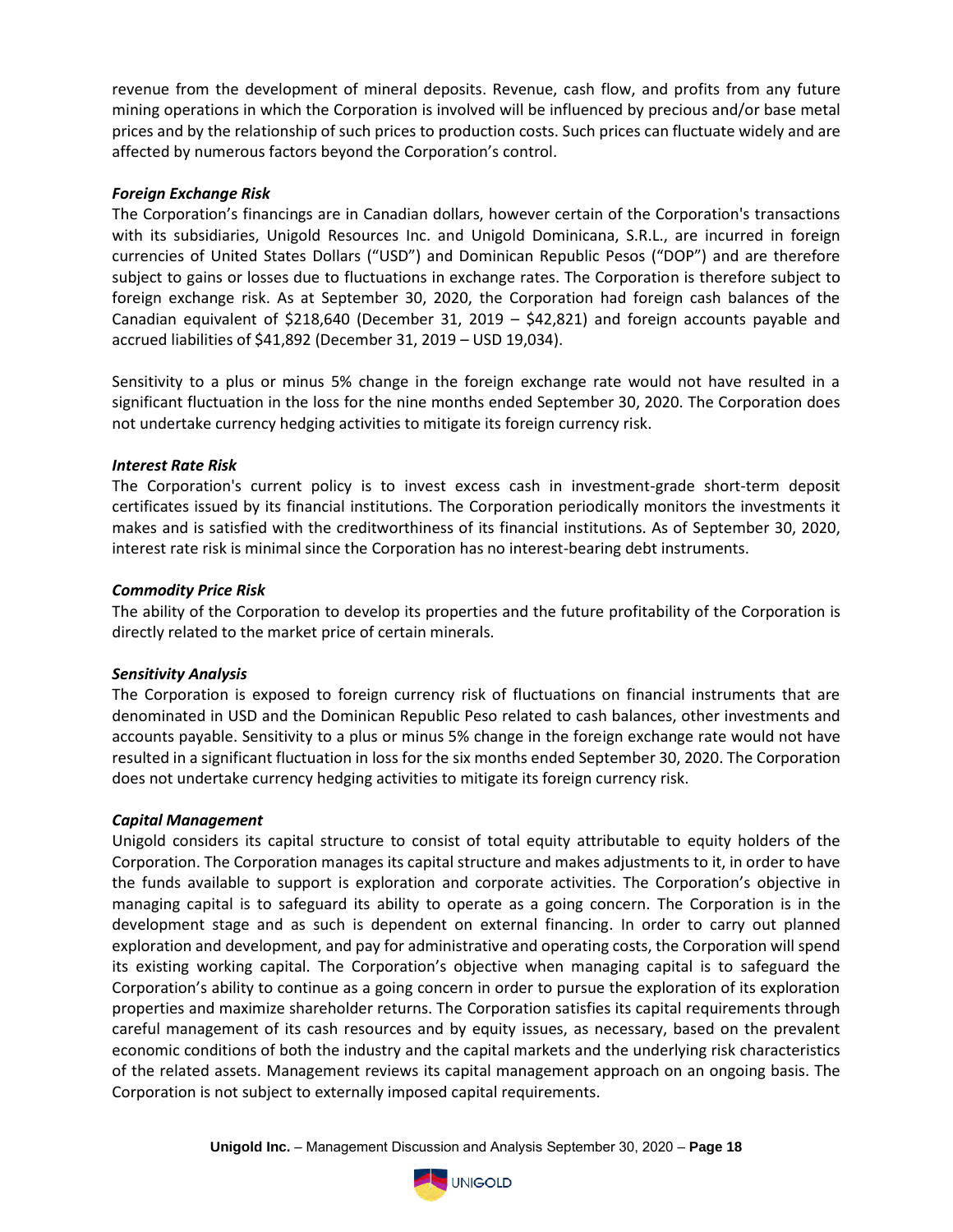revenue from the development of mineral deposits. Revenue, cash flow, and profits from any future mining operations in which the Corporation is involved will be influenced by precious and/or base metal prices and by the relationship of such prices to production costs. Such prices can fluctuate widely and are affected by numerous factors beyond the Corporation's control.

#### *Foreign Exchange Risk*

The Corporation's financings are in Canadian dollars, however certain of the Corporation's transactions with its subsidiaries, Unigold Resources Inc. and Unigold Dominicana, S.R.L., are incurred in foreign currencies of United States Dollars ("USD") and Dominican Republic Pesos ("DOP") and are therefore subject to gains or losses due to fluctuations in exchange rates. The Corporation is therefore subject to foreign exchange risk. As at September 30, 2020, the Corporation had foreign cash balances of the Canadian equivalent of \$218,640 (December 31, 2019 – \$42,821) and foreign accounts payable and accrued liabilities of \$41,892 (December 31, 2019 – USD 19,034).

Sensitivity to a plus or minus 5% change in the foreign exchange rate would not have resulted in a significant fluctuation in the loss for the nine months ended September 30, 2020. The Corporation does not undertake currency hedging activities to mitigate its foreign currency risk.

## *Interest Rate Risk*

The Corporation's current policy is to invest excess cash in investment-grade short-term deposit certificates issued by its financial institutions. The Corporation periodically monitors the investments it makes and is satisfied with the creditworthiness of its financial institutions. As of September 30, 2020, interest rate risk is minimal since the Corporation has no interest-bearing debt instruments.

## *Commodity Price Risk*

The ability of the Corporation to develop its properties and the future profitability of the Corporation is directly related to the market price of certain minerals.

#### *Sensitivity Analysis*

The Corporation is exposed to foreign currency risk of fluctuations on financial instruments that are denominated in USD and the Dominican Republic Peso related to cash balances, other investments and accounts payable. Sensitivity to a plus or minus 5% change in the foreign exchange rate would not have resulted in a significant fluctuation in loss for the six months ended September 30, 2020. The Corporation does not undertake currency hedging activities to mitigate its foreign currency risk.

#### *Capital Management*

Unigold considers its capital structure to consist of total equity attributable to equity holders of the Corporation. The Corporation manages its capital structure and makes adjustments to it, in order to have the funds available to support is exploration and corporate activities. The Corporation's objective in managing capital is to safeguard its ability to operate as a going concern. The Corporation is in the development stage and as such is dependent on external financing. In order to carry out planned exploration and development, and pay for administrative and operating costs, the Corporation will spend its existing working capital. The Corporation's objective when managing capital is to safeguard the Corporation's ability to continue as a going concern in order to pursue the exploration of its exploration properties and maximize shareholder returns. The Corporation satisfies its capital requirements through careful management of its cash resources and by equity issues, as necessary, based on the prevalent economic conditions of both the industry and the capital markets and the underlying risk characteristics of the related assets. Management reviews its capital management approach on an ongoing basis. The Corporation is not subject to externally imposed capital requirements.

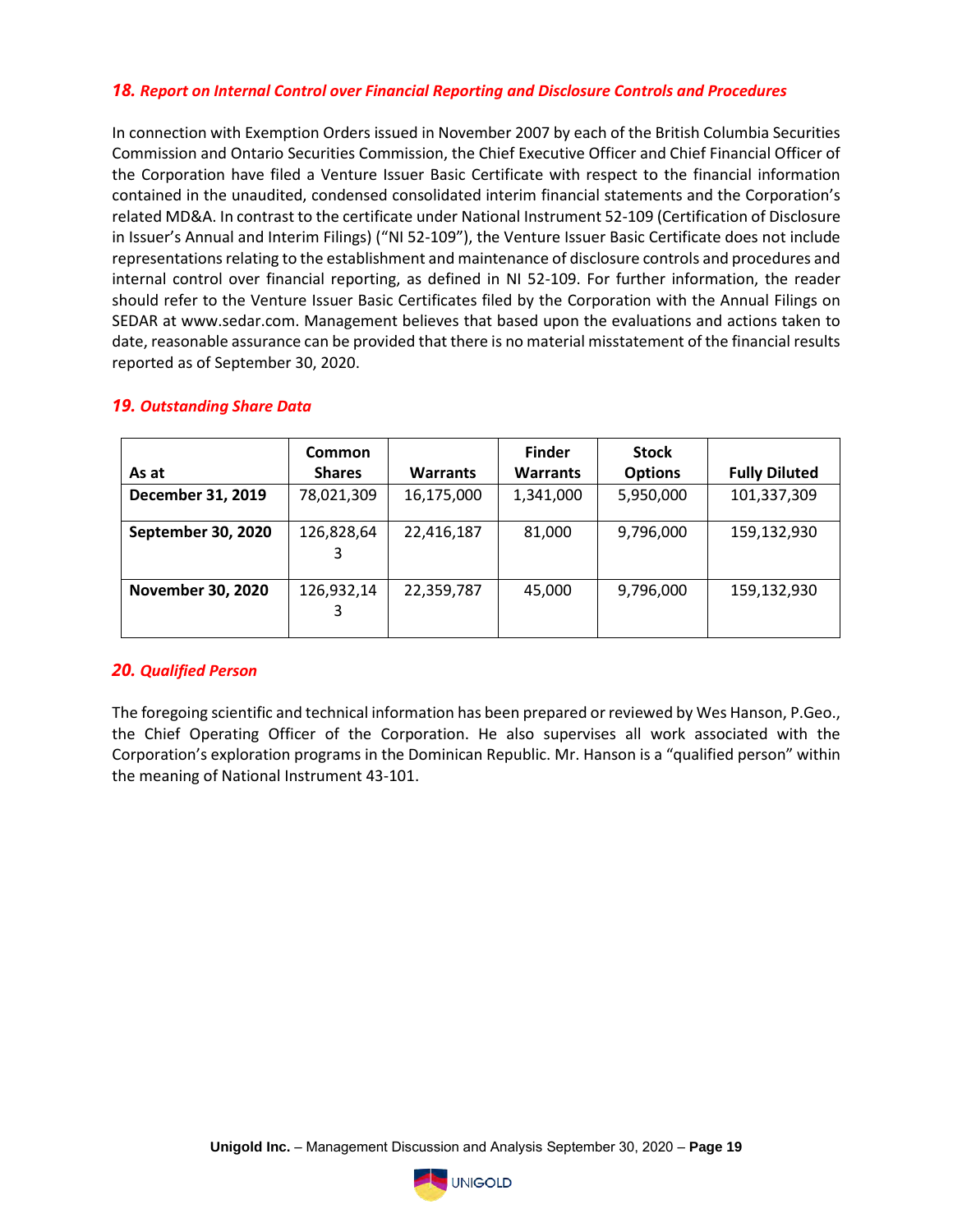## *18. Report on Internal Control over Financial Reporting and Disclosure Controls and Procedures*

In connection with Exemption Orders issued in November 2007 by each of the British Columbia Securities Commission and Ontario Securities Commission, the Chief Executive Officer and Chief Financial Officer of the Corporation have filed a Venture Issuer Basic Certificate with respect to the financial information contained in the unaudited, condensed consolidated interim financial statements and the Corporation's related MD&A. In contrast to the certificate under National Instrument 52-109 (Certification of Disclosure in Issuer's Annual and Interim Filings) ("NI 52-109"), the Venture Issuer Basic Certificate does not include representations relating to the establishment and maintenance of disclosure controls and procedures and internal control over financial reporting, as defined in NI 52-109. For further information, the reader should refer to the Venture Issuer Basic Certificates filed by the Corporation with the Annual Filings on SEDAR at www.sedar.com. Management believes that based upon the evaluations and actions taken to date, reasonable assurance can be provided that there is no material misstatement of the financial results reported as of September 30, 2020.

|                          | <b>Common</b> |                 | <b>Finder</b>   | <b>Stock</b>   |                      |
|--------------------------|---------------|-----------------|-----------------|----------------|----------------------|
| As at                    | <b>Shares</b> | <b>Warrants</b> | <b>Warrants</b> | <b>Options</b> | <b>Fully Diluted</b> |
| December 31, 2019        | 78,021,309    | 16,175,000      | 1,341,000       | 5,950,000      | 101,337,309          |
| September 30, 2020       | 126,828,64    | 22,416,187      | 81,000          | 9,796,000      | 159,132,930          |
| <b>November 30, 2020</b> | 126,932,14    | 22,359,787      | 45,000          | 9,796,000      | 159,132,930          |

#### *19. Outstanding Share Data*

#### *20. Qualified Person*

The foregoing scientific and technical information has been prepared or reviewed by Wes Hanson, P.Geo., the Chief Operating Officer of the Corporation. He also supervises all work associated with the Corporation's exploration programs in the Dominican Republic. Mr. Hanson is a "qualified person" within the meaning of National Instrument 43-101.